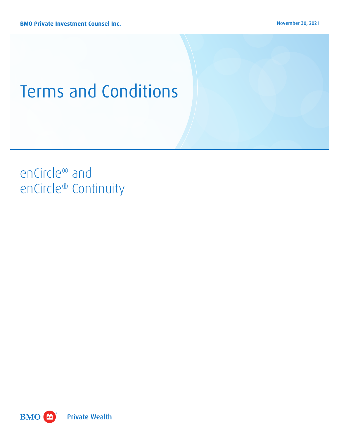# Terms and Conditions

# enCircle® and enCircle® Continuity

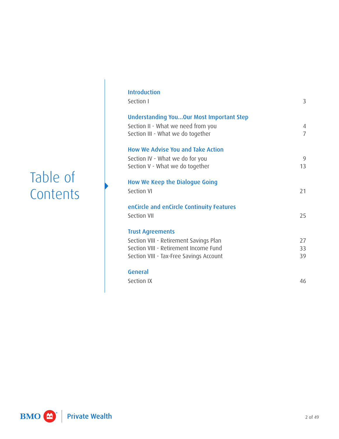# Table of **Contents**

| <b>Introduction</b><br>Section I                                                                                    | 3                   |
|---------------------------------------------------------------------------------------------------------------------|---------------------|
| Understanding YouOur Most Important Step<br>Section II - What we need from you<br>Section III - What we do together | 4<br>$\overline{7}$ |
| <b>How We Advise You and Take Action</b><br>Section IV - What we do for you                                         | 9                   |
| Section V - What we do together                                                                                     | 13                  |
| How We Keep the Dialogue Going<br>Section VI                                                                        | 21                  |
| enCircle and enCircle Continuity Features<br>Section VII                                                            | 25                  |
| <b>Trust Agreements</b>                                                                                             |                     |
| Section VIII - Retirement Savings Plan<br>Section VIII - Retirement Income Fund                                     | 27<br>33            |
| Section VIII - Tax-Free Savings Account                                                                             | 39                  |
| General                                                                                                             |                     |
| Section IX                                                                                                          | 46                  |

**Private Wealth** BMO CO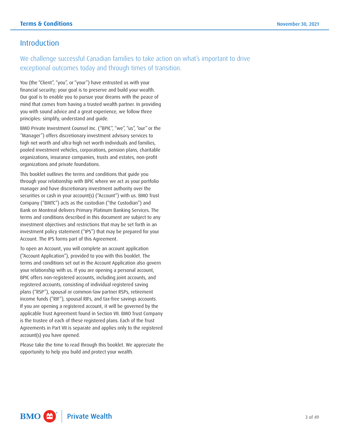# <span id="page-2-0"></span>Introduction

We challenge successful Canadian families to take action on what's important to drive exceptional outcomes today and through times of transition.

You (the "Client", "you", or "your") have entrusted us with your financial security; your goal is to preserve and build your wealth. Our goal is to enable you to pursue your dreams with the peace of mind that comes from having a trusted wealth partner. In providing you with sound advice and a great experience, we follow three principles: simplify, understand and guide.

BMO Private Investment Counsel Inc. ("BPIC", "we", "us", "our" or the "Manager") offers discretionary investment advisory services to high net worth and ultra-high net worth individuals and families, pooled investment vehicles, corporations, pension plans, charitable organizations, insurance companies, trusts and estates, non-profit organizations and private foundations.

 investment policy statement ("IPS") that may be prepared for your This booklet outlines the terms and conditions that guide you through your relationship with BPIC where we act as your portfolio manager and have discretionary investment authority over the securities or cash in your account(s) ("Account") with us. BMO Trust Company ("BMTC") acts as the custodian ("the Custodian") and Bank on Montreal delivers Primary Platinum Banking Services. The terms and conditions described in this document are subject to any investment objectives and restrictions that may be set forth in an Account. The IPS forms part of this Agreement.

To open an Account, you will complete an account application ("Account Application"), provided to you with this booklet. The terms and conditions set out in the Account Application also govern your relationship with us. If you are opening a personal account, BPIC offers non-registered accounts, including joint accounts, and registered accounts, consisting of individual registered saving plans ("RSP"), spousal or common-law partner RSPs, retirement income funds ("RIF"), spousal RIFs, and tax-free savings accounts. If you are opening a registered account, it will be governed by the applicable Trust Agreement found in Section VII. BMO Trust Company is the trustee of each of these registered plans. Each of the Trust Agreements in Part VII is separate and applies only to the registered account(s) you have opened.

Please take the time to read through this booklet. We appreciate the opportunity to help you build and protect your wealth.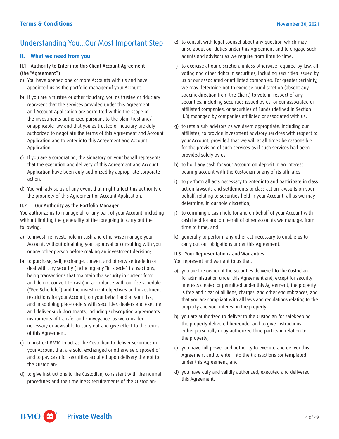# <span id="page-3-0"></span>Understanding You...Our Most Important Step

# **II. What we need from you**

# II.1 Authority to Enter into this Client Account Agreement (the "Agreement")

- a) You have opened one or more Accounts with us and have appointed us as the portfolio manager of your Account.
- b) If you are a trustee or other fiduciary, you as trustee or fiduciary represent that the services provided under this Agreement and Account Application are permitted within the scope of the investments authorized pursuant to the plan, trust and/ or applicable law and that you as trustee or fiduciary are duly authorized to negotiate the terms of this Agreement and Account Application and to enter into this Agreement and Account Application.
- c) If you are a corporation, the signatory on your behalf represents that the execution and delivery of this Agreement and Account Application have been duly authorized by appropriate corporate action.
- d) You will advise us of any event that might affect this authority or the propriety of this Agreement or Account Application.

# II.2 Our Authority as the Portfolio Manager

You authorize us to manage all or any part of your Account, including without limiting the generality of the foregoing to carry out the following:

- a) to invest, reinvest, hold in cash and otherwise manage your Account, without obtaining your approval or consulting with you or any other person before making an investment decision;
- restrictions for your Account, on your behalf and at your risk, b) to purchase, sell, exchange, convert and otherwise trade in or deal with any security (including any "in-specie" transactions, being transactions that maintain the security in current form and do not convert to cash) in accordance with our fee schedule ("Fee Schedule") and the investment objectives and investment and in so doing place orders with securities dealers and execute and deliver such documents, including subscription agreements, instruments of transfer and conveyance, as we consider necessary or advisable to carry out and give effect to the terms of this Agreement;
- c) to instruct BMTC to act as the Custodian to deliver securities in your Account that are sold, exchanged or otherwise disposed of and to pay cash for securities acquired upon delivery thereof to the Custodian;
- d) to give instructions to the Custodian, consistent with the normal procedures and the timeliness requirements of the Custodian;
- e) to consult with legal counsel about any question which may arise about our duties under this Agreement and to engage such agents and advisors as we require from time to time;
- f) to exercise at our discretion, unless otherwise required by law, all voting and other rights in securities, including securities issued by us or our associated or affiliated companies. For greater certainty, we may determine not to exercise our discretion (absent any specific direction from the Client) to vote in respect of any securities, including securities issued by us, or our associated or affiliated companies, or securities of Funds (defined in Section II.8) managed by companies affiliated or associated with us;
- g) to retain sub-advisors as we deem appropriate, including our affiliates, to provide investment advisory services with respect to your Account, provided that we will at all times be responsible for the provision of such services as if such services had been provided solely by us;
- h) to hold any cash for your Account on deposit in an interest bearing account with the Custodian or any of its affiliates;
- behalf, relating to securities held in your Account, all as we may i) to perform all acts necessary to enter into and participate in class action lawsuits and settlements to class action lawsuits on your determine, in our sole discretion;
- j) to commingle cash held for and on behalf of your Account with cash held for and on behalf of other accounts we manage, from time to time; and
- k) generally to perform any other act necessary to enable us to carry out our obligations under this Agreement.

# II.3 Your Representations and Warranties

You represent and warrant to us that:

- a) you are the owner of the securities delivered to the Custodian for administration under this Agreement and, except for security interests created or permitted under this Agreement, the property is free and clear of all liens, charges, and other encumbrances, and that you are compliant with all laws and regulations relating to the property and your interest in the property;
- b) you are authorized to deliver to the Custodian for safekeeping the property delivered hereunder and to give instructions either personally or by authorized third parties in relation to the property;
- c) you have full power and authority to execute and deliver this Agreement and to enter into the transactions contemplated under this Agreement; and
- d) you have duly and validly authorized, executed and delivered this Agreement.

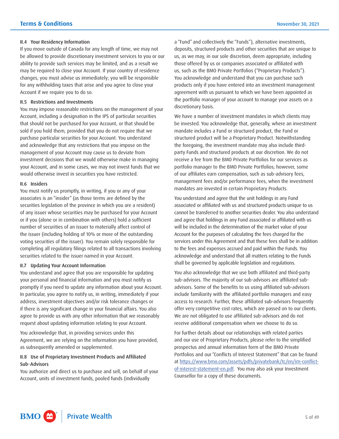#### II.4 Your Residency Information

 for any withholding taxes that arise and you agree to close your If you move outside of Canada for any length of time, we may not be allowed to provide discretionary investment services to you or our ability to provide such services may be limited, and as a result we may be required to close your Account. If your country of residence changes, you must advise us immediately; you will be responsible Account if we require you to do so.

#### II.5 Restrictions and Investments

 that should not be purchased for your Account, or that should be purchase particular securities for your Account. You understand You may impose reasonable restrictions on the management of your Account, including a designation in the IPS of particular securities sold if you hold them, provided that you do not require that we and acknowledge that any restrictions that you impose on the management of your Account may cause us to deviate from investment decisions that we would otherwise make in managing your Account, and in some cases, we may not invest funds that we would otherwise invest in securities you have restricted.

#### II.6 Insiders

 of any issuer whose securities may be purchased for your Account You must notify us promptly, in writing, if you or any of your associates is an "insider" (as those terms are defined by the securities legislation of the province in which you are a resident) or if you (alone or in combination with others) hold a sufficient number of securities of an issuer to materially affect control of the issuer (including holding of 10% or more of the outstanding voting securities of the issuer). You remain solely responsible for completing all regulatory filings related to all transactions involving securities related to the issuer named in your Account.

#### II.7 Updating Your Account Information

You understand and agree that you are responsible for updating your personal and financial information and you must notify us promptly if you need to update any information about your Account. In particular, you agree to notify us, in writing, immediately if your address, investment objectives and/or risk tolerance changes or if there is any significant change in your financial affairs. You also agree to provide us with any other information that we reasonably request about updating information relating to your Account.

You acknowledge that, in providing services under this Agreement, we are relying on the information you have provided, as subsequently amended or supplemented.

# II.8 Use of Proprietary Investment Products and Affiliated Sub- Advisors

You authorize and direct us to purchase and sell, on behalf of your Account, units of investment funds, pooled funds (individually

a "Fund" and collectively the "Funds"), alternative investments, deposits, structured products and other securities that are unique to us, as we may, in our sole discretion, deem appropriate, including those offered by us or companies associated or affiliated with us, such as the BMO Private Portfolios ("Proprietary Products"). You acknowledge and understand that you can purchase such products only if you have entered into an investment management agreement with us pursuant to which we have been appointed as the portfolio manager of your account to manage your assets on a discretionary basis.

We have a number of investment mandates in which clients may be invested. You acknowledge that, generally, where an investment mandate includes a Fund or structured product, the Fund or structured product will be a Proprietary Product. Notwithstanding the foregoing, the investment mandate may also include thirdparty Funds and structured products at our discretion. We do not receive a fee from the BMO Private Portfolios for our services as portfolio manager to the BMO Private Portfolios; however, some of our affiliates earn compensation, such as sub-advisory fees, management fees and/or performance fees, when the investment mandates are invested in certain Proprietary Products.

You understand and agree that the unit holdings in any Fund associated or affiliated with us and structured products unique to us cannot be transferred to another securities dealer. You also understand and agree that holdings in any Fund associated or affiliated with us will be included in the determination of the market value of your Account for the purposes of calculating the fees charged for the services under this Agreement and that these fees shall be in addition to the fees and expenses accrued and paid within the Funds. You acknowledge and understand that all matters relating to the Funds shall be governed by applicable legislation and regulations.

 include familiarity with the affiliated portfolio managers and easy You also acknowledge that we use both affiliated and third-party sub-advisors. The majority of our sub-advisors are affiliated subadvisors. Some of the benefits to us using affiliated sub-advisors access to research. Further, these affiliated sub-advisors frequently offer very competitive cost rates, which are passed on to our clients. We are not obligated to use affiliated sub-advisors and do not receive additional compensation when we choose to do so.

For further details about our relationships with related parties and our use of Proprietary Products, please refer to the simplified prospectus and annual information form of the BMO Private Portfolios and our "Conflicts of Interest Statement" that can be found at [https://www.bmo.com/assets/pdfs/privatebank/tc/en/im-conflict](https://www.bmo.com/assets/pdfs/privatebank/tc/en/im-conflict-of-interest-statement-en.pdf)[of-interest-statement-en.pdf.](https://www.bmo.com/assets/pdfs/privatebank/tc/en/im-conflict-of-interest-statement-en.pdf) You may also ask your Investment Counsellor for a copy of these documents.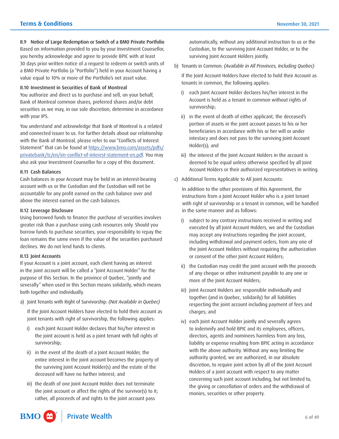II.9 Notice of Large Redemption or Switch of a BMO Private Portfolio Based on information provided to you by your Investment Counsellor, you hereby acknowledge and agree to provide BPIC with at least 30 days prior written notice of a request to redeem or switch units of a BMO Private Portfolio (a "Portfolio") held in your Account having a value equal to 10% or more of the Portfolio's net asset value.

#### II.10 Investment in Securities of Bank of Montreal

You authorize and direct us to purchase and sell, on your behalf, Bank of Montreal common shares, preferred shares and/or debt securities as we may, in our sole discretion, determine in accordance with your IPS.

You understand and acknowledge that Bank of Montreal is a related and connected issuer to us. For further details about our relationship with the Bank of Montreal, please refer to our "Conflicts of Interest Statement" that can be found at [https://www.bmo.com/assets/pdfs/](https://www.bmo.com/assets/pdfs/privatebank/tc/en/im-conflict-of-interest-statement-en.pdf) [privatebank/tc/en/im-conflict-of-interest-statement-en.pdf.](https://www.bmo.com/assets/pdfs/privatebank/tc/en/im-conflict-of-interest-statement-en.pdf) You may also ask your Investment Counsellor for a copy of this document.

#### II.11 Cash Balances

Cash balances in your Account may be held in an interest-bearing account with us or the Custodian and the Custodian will not be accountable for any profit earned on the cash balance over and above the interest earned on the cash balances.

#### II.12 Leverage Disclosure

Using borrowed funds to finance the purchase of securities involves greater risk than a purchase using cash resources only. Should you borrow funds to purchase securities, your responsibility to repay the loan remains the same even if the value of the securities purchased declines. We do not lend funds to clients.

#### II.13 Joint Accounts

If your Account is a joint account, each client having an interest in the joint account will be called a "Joint Account Holder" for the purpose of this Section. In the province of Quebec, "jointly and severally" when used in this Section means solidarily, which means both together and individually.

a) Joint Tenants with Right of Survivorship: *(Not Available in Quebec)* 

If the Joint Account Holders have elected to hold their account as joint tenants with right of survivorship, the following applies:

- i) each Joint Account Holder declares that his/her interest in the joint account is held as a joint tenant with full rights of survivorship;
- ii) in the event of the death of a Joint Account Holder, the entire interest in the joint account becomes the property of the surviving Joint Account Holder(s) and the estate of the deceased will have no further interest; and
- iii) the death of one Joint Account Holder does not terminate the joint account or affect the rights of the survivor(s) to it; rather, all proceeds of and rights to the joint account pass

automatically, without any additional instruction to us or the Custodian, to the surviving Joint Account Holder, or to the surviving Joint Account Holders jointly.

b) Tenants in Common: *(Available in All Provinces, Including Quebec)* 

If the Joint Account Holders have elected to hold their Account as tenants in common, the following applies:

- i) each Joint Account Holder declares his/her interest in the Account is held as a tenant in common without rights of survivorship;
- ii) in the event of death of either applicant, the deceased's portion of assets in the joint account passes to his or her beneficiaries in accordance with his or her will or under intestacy and does not pass to the surviving Joint Account Holder(s); and
- iii) the interest of the Joint Account Holders in the account is deemed to be equal unless otherwise specified by all Joint Account Holders or their authorized representatives in writing.
- c) Additional Terms Applicable to All Joint Accounts:

In addition to the other provisions of this Agreement, the instructions from a Joint Account Holder who is a joint tenant with right of survivorship or a tenant in common, will be handled in the same manner and as follows:

- i) subject to any contrary instructions received in writing and executed by all Joint Account Holders, we and the Custodian may accept any instructions regarding the joint account, including withdrawal and payment orders, from any one of the Joint Account Holders without requiring the authorization or consent of the other Joint Account Holders;
- ii) the Custodian may credit the joint account with the proceeds of any cheque or other instrument payable to any one or more of the Joint Account Holders;
- iii) Joint Account Holders are responsible individually and together (and in Quebec, solidarily) for all liabilities respecting the joint account including payment of fees and charges; and
- iv) each Joint Account Holder jointly and severally agrees to indemnify and hold BPIC and its employees, officers, directors, agents and nominees harmless from any loss, liability or expense resulting from BPIC acting in accordance with the above authority. Without any way limiting the authority granted, we are authorized, in our absolute discretion, to require joint action by all of the Joint Account Holders of a joint account with respect to any matter concerning such joint account including, but not limited to, the giving or cancellation of orders and the withdrawal of monies, securities or other property.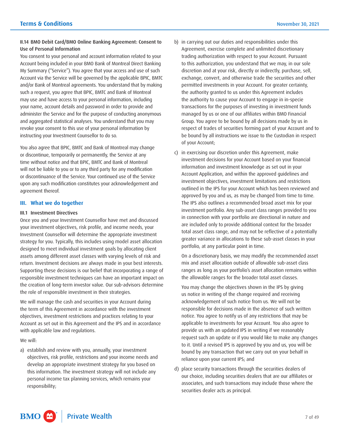# <span id="page-6-0"></span>II.14 BMO Debit Card/BMO Online Banking Agreement: Consent to Use of Personal Information

You consent to your personal and account information related to your Account being included in your BMO Bank of Montreal Direct Banking My Summary ("Service"). You agree that your access and use of such Account via the Service will be governed by the applicable BPIC, BMTC and/or Bank of Montreal agreements. You understand that by making such a request, you agree that BPIC, BMTC and Bank of Montreal may use and have access to your personal information, including your name, account details and password in order to provide and administer the Service and for the purpose of conducting anonymous and aggregated statistical analyses. You understand that you may revoke your consent to this use of your personal information by instructing your Investment Counsellor to do so.

You also agree that BPIC, BMTC and Bank of Montreal may change or discontinue, temporarily or permanently, the Service at any time without notice and that BPIC, BMTC and Bank of Montreal will not be liable to you or to any third party for any modification or discontinuance of the Service. Your continued use of the Service upon any such modification constitutes your acknowledgement and agreement thereof.

# **III. What we do together**

## III.1 Investment Directives

Once you and your Investment Counsellor have met and discussed your investment objectives, risk profile, and income needs, your Investment Counsellor will determine the appropriate investment strategy for you. Typically, this includes using model asset allocation designed to meet individual investment goals by allocating client assets among different asset classes with varying levels of risk and return. Investment decisions are always made in your best interests. Supporting these decisions is our belief that incorporating a range of responsible investment techniques can have an important impact on the creation of long-term investor value. Our sub-advisors determine the role of responsible investment in their strategies.

We will manage the cash and securities in your Account during the term of this Agreement in accordance with the investment objectives, investment restrictions and practices relating to your Account as set out in this Agreement and the IPS and in accordance with applicable law and regulations.

We will:

 this information. The investment strategy will not include any a) establish and review with you, annually, your investment objectives, risk profile, restrictions and your income needs and develop an appropriate investment strategy for you based on personal income tax planning services, which remains your responsibility;

- b) in carrying out our duties and responsibilities under this Agreement, exercise complete and unlimited discretionary trading authorization with respect to your Account. Pursuant to this authorization, you understand that we may, in our sole discretion and at your risk, directly or indirectly, purchase, sell, exchange, convert, and otherwise trade the securities and other permitted investments in your Account. For greater certainty, the authority granted to us under this Agreement includes the authority to cause your Account to engage in in-specie transactions for the purposes of investing in investment funds managed by us or one of our affiliates within BMO Financial Group. You agree to be bound by all decisions made by us in respect of trades of securities forming part of your Account and to be bound by all instructions we issue to the Custodian in respect of your Account;
- investment decisions for your Account based on your financial outlined in the IPS for your Account which has been reviewed and The IPS also outlines a recommended broad asset mix for your greater variance in allocations to these sub-asset classes in your c) in exercising our discretion under this Agreement, make information and investment knowledge as set out in your Account Application, and within the approved guidelines and investment objectives, investment limitations and restrictions approved by you and us, as may be changed from time to time. investment portfolio. Any sub-asset class ranges provided to you in connection with your portfolio are directional in nature and are included only to provide additional context for the broader total asset class range, and may not be reflective of a potentially portfolio, at any particular point in time.

On a discretionary basis, we may modify the recommended asset mix and asset allocation outside of allowable sub-asset class ranges as long as your portfolio's asset allocation remains within the allowable ranges for the broader total asset classes.

 applicable to investments for your Account. You also agree to You may change the objectives shown in the IPS by giving us notice in writing of the change required and receiving acknowledgement of such notice from us. We will not be responsible for decisions made in the absence of such written notice. You agree to notify us of any restrictions that may be provide us with an updated IPS in writing if we reasonably request such an update or if you would like to make any changes to it. Until a revised IPS is approved by you and us, you will be bound by any transaction that we carry out on your behalf in reliance upon your current IPS; and

d) place security transactions through the securities dealers of our choice, including securities dealers that are our affiliates or associates, and such transactions may include those where the securities dealer acts as principal.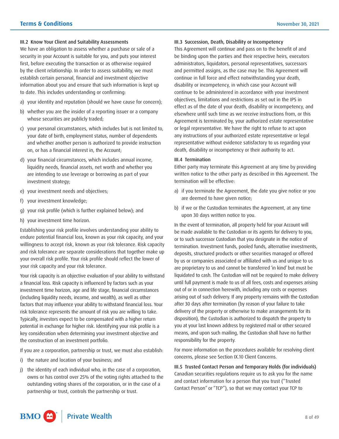#### III.2 Know Your Client and Suitability Assessments

 security in your Account is suitable for you, and puts your interest We have an obligation to assess whether a purchase or sale of a first, before executing the transaction or as otherwise required by the client relationship. In order to assess suitability, we must establish certain personal, financial and investment objective information about you and ensure that such information is kept up to date. This includes understanding or confirming:

- a) your identity and reputation (should we have cause for concern);
- b) whether you are the insider of a reporting issuer or a company whose securities are publicly traded;
- c) your personal circumstances, which includes but is not limited to, your date of birth, employment status, number of dependents and whether another person is authorized to provide instruction on, or has a financial interest in, the Account;
- d) your financial circumstances, which includes annual income, liquidity needs, financial assets, net worth and whether you are intending to use leverage or borrowing as part of your investment strategy;
- e) your investment needs and objectives;
- f) your investment knowledge;
- g) your risk profile (which is further explained below); and
- h) your investment time horizon.

Establishing your risk profile involves understanding your ability to endure potential financial loss, known as your risk capacity, and your willingness to accept risk, known as your risk tolerance. Risk capacity and risk tolerance are separate considerations that together make up your overall risk profile. Your risk profile should reflect the lower of your risk capacity and your risk tolerance.

Your risk capacity is an objective evaluation of your ability to withstand a financial loss. Risk capacity is influenced by factors such as your investment time horizon, age and life stage, financial circumstances (including liquidity needs, income, and wealth), as well as other factors that may influence your ability to withstand financial loss. Your risk tolerance represents the amount of risk you are willing to take. Typically, investors expect to be compensated with a higher return potential in exchange for higher risk. Identifying your risk profile is a key consideration when determining your investment objective and the construction of an investment portfolio.

If you are a corporation, partnership or trust, we must also establish:

- i) the nature and location of your business; and
- j) the identity of each individual who, in the case of a corporation, owns or has control over 25% of the voting rights attached to the outstanding voting shares of the corporation, or in the case of a partnership or trust, controls the partnership or trust.

#### III.3 Succession, Death, Disability or Incompetency

This Agreement will continue and pass on to the benefit of and be binding upon the parties and their respective heirs, executors administrators, liquidators, personal representatives, successors and permitted assigns, as the case may be. This Agreement will continue in full force and effect notwithstanding your death, disability or incompetency, in which case your Account will continue to be administered in accordance with your investment objectives, limitations and restrictions as set out in the IPS in effect as of the date of your death, disability or incompetency, and elsewhere until such time as we receive instructions from, or this Agreement is terminated by, your authorized estate representative or legal representative. We have the right to refuse to act upon any instructions of your authorized estate representative or legal representative without evidence satisfactory to us regarding your death, disability or incompetency or their authority to act.

#### III.4 Termination

Either party may terminate this Agreement at any time by providing written notice to the other party as described in this Agreement. The termination will be effective:

- a) if you terminate the Agreement, the date you give notice or you are deemed to have given notice;
- b) if we or the Custodian terminates the Agreement, at any time upon 30 days written notice to you.

 In the event of termination, all property held for your Account will be made available to the Custodian or its agents for delivery to you, or to such successor Custodian that you designate in the notice of termination. Investment funds, pooled funds, alternative investments, deposits, structured products or other securities managed or offered by us or companies associated or affiliated with us and unique to us are proprietary to us and cannot be transferred 'in kind' but must be liquidated to cash. The Custodian will not be required to make delivery until full payment is made to us of all fees, costs and expenses arising out of or in connection herewith, including any costs or expenses arising out of such delivery. If any property remains with the Custodian after 30 days after termination (by reason of your failure to take delivery of the property or otherwise to make arrangements for its disposition), the Custodian is authorized to dispatch the property to you at your last known address by registered mail or other secured means, and upon such mailing, the Custodian shall have no further responsibility for the property.

For more information on the procedures available for resolving client concerns, please see Section IX.10 Client Concerns.

 Contact Person" or "TCP"), so that we may contact your TCP to III.5 Trusted Contact Person and Temporary Holds (for individuals) Canadian securities regulations require us to ask you for the name and contact information for a person that you trust ("Trusted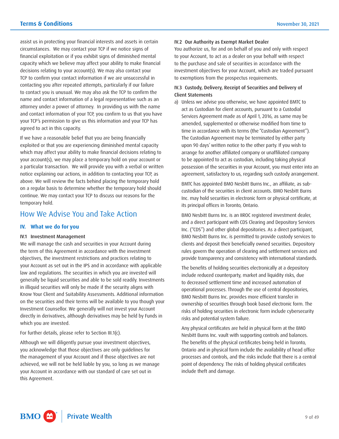<span id="page-8-0"></span> your TCP's permission to give us this information and your TCP has assist us in protecting your financial interests and assets in certain circumstances. We may contact your TCP if we notice signs of financial exploitation or if you exhibit signs of diminished mental capacity which we believe may affect your ability to make financial decisions relating to your account(s). We may also contact your TCP to confirm your contact information if we are unsuccessful in contacting you after repeated attempts, particularly if our failure to contact you is unusual. We may also ask the TCP to confirm the name and contact information of a legal representative such as an attorney under a power of attorney. In providing us with the name and contact information of your TCP, you confirm to us that you have agreed to act in this capacity.

If we have a reasonable belief that you are being financially exploited or that you are experiencing diminished mental capacity which may affect your ability to make financial decisions relating to your account(s), we may place a temporary hold on your account or a particular transaction. We will provide you with a verbal or written notice explaining our actions, in addition to contacting your TCP, as above. We will review the facts behind placing the temporary hold on a regular basis to determine whether the temporary hold should continue. We may contact your TCP to discuss our reasons for the temporary hold.

# How We Advise You and Take Action

# **IV. What we do for you**

#### IV.1 Investment Management

 Know Your Client and Suitability Assessments. Additional information Investment Counsellor. We generally will not invest your Account We will manage the cash and securities in your Account during the term of this Agreement in accordance with the investment objectives, the investment restrictions and practices relating to your Account as set out in the IPS and in accordance with applicable law and regulations. The securities in which you are invested will generally be liquid securities and able to be sold readily. Investments in illiquid securities will only be made if the security aligns with on the securities and their terms will be available to you though your directly in derivatives, although derivatives may be held by Funds in which you are invested.

For further details, please refer to Section III.1(c).

Although we will diligently pursue your investment objectives, you acknowledge that those objectives are only guidelines for the management of your Account and if those objectives are not achieved, we will not be held liable by you, so long as we manage your Account in accordance with our standard of care set out in this Agreement.

#### IV.2 Our Authority as Exempt Market Dealer

 investment objectives for your Account, which are traded pursuant You authorize us, for and on behalf of you and only with respect to your Account, to act as a dealer on your behalf with respect to the purchase and sale of securities in accordance with the to exemptions from the prospectus requirements.

# IV.3 Custody, Delivery, Receipt of Securities and Delivery of Client Statements

 upon 90 days' written notice to the other party. If you wish to possession of the securities in your Account, you must enter into an a) Unless we advise you otherwise, we have appointed BMTC to act as Custodian for client accounts, pursuant to a Custodial Services Agreement made as of April 1, 2016, as same may be amended, supplemented or otherwise modified from time to time in accordance with its terms (the "Custodian Agreement"). The Custodian Agreement may be terminated by either party arrange for another affiliated company or unaffiliated company to be appointed to act as custodian, including taking physical agreement, satisfactory to us, regarding such custody arrangement.

BMTC has appointed BMO Nesbitt Burns Inc., an affiliate, as subcustodian of the securities in client accounts. BMO Nesbitt Burns Inc. may hold securities in electronic form or physical certificate, at its principal offices in Toronto, Ontario.

BMO Nesbitt Burns Inc. is an IIROC registered investment dealer, and a direct participant with CDS Clearing and Depository Services Inc. ("CDS") and other global depositories. As a direct participant, BMO Nesbitt Burns Inc. is permitted to provide custody services to clients and deposit their beneficially owned securities. Depository rules govern the operation of clearing and settlement services and provide transparency and consistency with international standards.

The benefits of holding securities electronically at a depository include reduced counterparty, market and liquidity risks, due to decreased settlement time and increased automation of operational processes. Through the use of central depositories, BMO Nesbitt Burns Inc. provides more efficient transfer in ownership of securities through book based electronic form. The risks of holding securities in electronic form include cybersecurity risks and potential system failure.

Any physical certificates are held in physical form at the BMO Nesbitt Burns Inc. vault with supporting controls and balances. The benefits of the physical certificates being held in Toronto, Ontario and in physical form include the availability of head office processes and controls, and the risks include that there is a central point of dependency. The risks of holding physical certificates include theft and damage.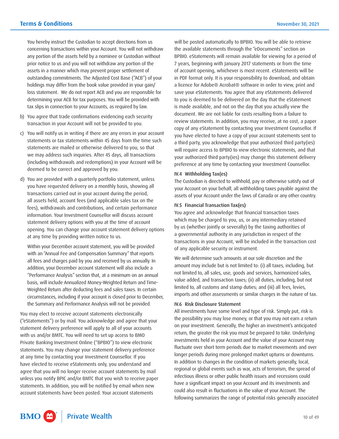concerning transactions within your Account. You will not withdraw You hereby instruct the Custodian to accept directions from us any portion of the assets held by a nominee or Custodian without prior notice to us and you will not withdraw any portion of the assets in a manner which may prevent proper settlement of outstanding commitments. The Adjusted Cost Base ("ACB") of your holdings may differ from the book value provided in your gain/ loss statement. We do not report ACB and you are responsible for determining your ACB for tax purposes. You will be provided with tax slips in connection to your Accounts, as required by law.

- b) You agree that trade confirmations evidencing each security transaction in your Account will not be provided to you.
- c) You will notify us in writing if there are any errors in your account statements or tax statements within 45 days from the time such statements are mailed or otherwise delivered to you, so that we may address such inquiries. After 45 days, all transactions (including withdrawals and redemptions) in your Account will be deemed to be correct and approved by you.
- d) You are provided with a quarterly portfolio statement, unless you have requested delivery on a monthly basis, showing all transactions carried out in your account during the period, all assets held, account fees (and applicable sales tax on the fees), withdrawals and contributions, and certain performance information. Your Investment Counsellor will discuss account statement delivery options with you at the time of account opening. You can change your account statement delivery options at any time by providing written notice to us.

Within your December account statement, you will be provided with an "Annual Fee and Compensation Summary" that reports all fees and charges paid by you and received by us annually. In addition, your December account statement will also include a "Performance Analysis" section that, at a minimum on an annual basis, will include Annualized Money-Weighted Return and Time-Weighted Return after deducting fees and sales taxes. In certain circumstances, including if your account is closed prior to December, the Summary and Performance Analysis will not be provided.

You may elect to receive account statements electronically ("eStatements") or by mail. You acknowledge and agree that your statement delivery preference will apply to all of your accounts with us and/or BMTC. You will need to set up access to BMO Private Banking Investment Online ("BPBIO") to view electronic statements. You may change your statement delivery preference at any time by contacting your Investment Counsellor. If you have elected to receive eStatements only, you understand and agree that you will no longer receive account statements by mail unless you notify BPIC and/or BMTC that you wish to receive paper statements. In addition, you will be notified by email when new account statements have been posted. Your account statements

will be posted automatically to BPBIO. You will be able to retrieve the available statements through the "eDocuments" section on BPBIO. eStatements will remain available for viewing for a period of 7 years, beginning with January 2017 statements or from the time of account opening, whichever is most recent. eStatements will be in PDF format only. It is your responsibility to download, and obtain a licence for Adobe® Acrobat® software in order to view, print and save your eStatements. You agree that any eStatements delivered to you is deemed to be delivered on the day that the eStatement is made available, and not on the day that you actually view the document. We are not liable for costs resulting from a failure to review statements. In addition, you may receive, at no cost, a paper copy of any eStatement by contacting your Investment Counsellor. If you have elected to have a copy of your account statements sent to a third party, you acknowledge that your authorized third party(ies) will require access to BPBIO to view electronic statements, and that your authorized third party(ies) may change this statement delivery preference at any time by contacting your Investment Counsellor.

#### IV.4 Withholding Tax(es)

 your Account on your behalf, all withholding taxes payable against the The Custodian is directed to withhold, pay or otherwise satisfy out of assets of your Account under the laws of Canada or any other country.

# IV.5 Financial Transaction Tax(es)

You agree and acknowledge that financial transaction taxes which may be charged to you, us, or any intermediary retained by us (whether jointly or severally) by the taxing authorities of a governmental authority in any jurisdiction in respect of the transactions in your Account, will be included in the transaction cost of any applicable security or instrument.

We will determine such amounts at our sole discretion and the amount may include but is not limited to: (i) all taxes, including, but not limited to, all sales, use, goods and services, harmonized sales, value added, and transaction taxes; (ii) all duties, including, but not limited to, all customs and stamp duties; and (iii) all fees, levies, imports and other assessments or similar charges in the nature of tax.

#### IV.6 Risk Disclosure Statement

 the possibility you may lose money, or that you may not earn a return investments held in your Account and the value of your Account may have a significant impact on your Account and its investments and could also result in fluctuations in the value of your Account. The All investments have some level and type of risk. Simply put, risk is on your investment. Generally, the higher an investment's anticipated return, the greater the risk you must be prepared to take. Underlying fluctuate over short term periods due to market movements and over longer periods during more prolonged market upturns or downturns. In addition to changes in the condition of markets generally, local, regional or global events such as war, acts of terrorism, the spread of infectious illness or other public health issues and recessions could following summarizes the range of potential risks generally associated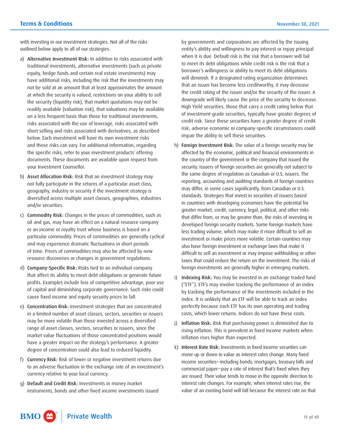with investing in our investment strategies. Not all of the risks outlined below apply to all of our strategies.

- a) Alternative Investment Risk: In addition to risks associated with traditional investments, alternative investments (such as private equity, hedge funds and certain real estate investments) may have additional risks, including the risk that the investments may not be sold at an amount that at least approximates the amount at which the security is valued, restrictions on your ability to sell the security (liquidity risk), that market quotations may not be readily available (valuation risk), that valuations may be available on a less frequent basis than those for traditional investments, risks associated with the use of leverage, risks associated with short selling and risks associated with derivatives, as described below. Each investment will have its own investment risks and these risks can vary. For additional information, regarding the specific risks, refer to your investment products' offering documents. These documents are available upon request from your Investment Counsellor.
- b) Asset Allocation Risk: Risk that an investment strategy may not fully participate in the returns of a particular asset class, geography, industry or security if the investment strategy is diversified across multiple asset classes, geographies, industries and/or securities.
- c) Commodity Risk: Changes in the prices of commodities, such as oil and gas, may have an effect on a natural resource company or an income or royalty trust whose business is based on a particular commodity. Prices of commodities are generally cyclical and may experience dramatic fluctuations in short periods of time. Prices of commodities may also be affected by new resource discoveries or changes in government regulations.
- d) Company-Specific Risk: Risks tied to an individual company that affect its ability to meet debt obligations or generate future profits. Examples include loss of competitive advantage, poor use of capital and diminishing corporate governance. Such risks could cause fixed income and equity security prices to fall.
- e) Concentration Risk: Investment strategies that are concentrated in a limited number of asset classes, sectors, securities or issuers may be more volatile than those invested across a diversified range of asset classes, sectors, securities or issuers, since the market value fluctuations of those concentrated positions would have a greater impact on the strategy's performance. A greater degree of concentration could also lead to reduced liquidity.
- f) Currency Risk: Risk of lower or negative investment returns due to an adverse fluctuation in the exchange rate of an investment's currency relative to your local currency.
- g) Default and Credit Risk: Investments in money market instruments, bonds and other fixed income investments issued

by governments and corporations are affected by the issuing entity's ability and willingness to pay interest or repay principal when it is due. Default risk is the risk that a borrower will fail to meet its debt obligations while credit risk is the risk that a borrower's willingness or ability to meet its debt obligations will diminish. If a designated rating organization determines that an issuer has become less creditworthy, it may decrease the credit rating of the issuer and/or the security of the issuer. A downgrade will likely cause the price of the security to decrease. High Yield securities, those that carry a credit rating below that of investment-grade securities, typically have greater degrees of credit risk. Since these securities have a greater degree of credit risk, adverse economic or company-specific circumstances could impair the ability to sell these securities.

- h) Foreign Investment Risk: The value of a foreign security may be affected by the economic, political and financial environments in the country of the government or the company that issued the security. Issuers of foreign securities are generally not subject to the same degree of regulation as Canadian or U.S. issuers. The reporting, accounting and auditing standards of foreign countries may differ, in some cases significantly, from Canadian or U.S. standards. Strategies that invest in securities of issuers based in countries with developing economies have the potential for greater market, credit, currency, legal, political, and other risks that differ from, or may be greater than, the risks of investing in developed foreign security markets. Some foreign markets have less trading volume, which may make it more difficult to sell an investment or make prices more volatile. Certain countries may also have foreign investment or exchange laws that make it difficult to sell an investment or may impose withholding or other taxes that could reduce the return on the investment. The risks of foreign investments are generally higher in emerging markets.
- i) Indexing Risk: You may be invested in an exchange traded fund ("ETF"). ETF's may involve tracking the performance of an index by tracking the performance of the investments included in the index. It is unlikely that an ETF will be able to track an index perfectly because each ETF has its own operating and trading costs, which lower returns. Indices do not have these costs.
- j) Inflation Risk: Risk that purchasing power is diminished due to rising inflation. This is prevalent in fixed income markets when inflation rises higher than expected.
- are issued. Their value tends to move in the opposite direction to k) Interest Rate Risk: Investments in fixed income securities can move up or down in value as interest rates change. Many fixed income securities—including bonds, mortgages, treasury bills and commercial paper—pay a rate of interest that's fixed when they interest rate changes. For example, when interest rates rise, the value of an existing bond will fall because the interest rate on that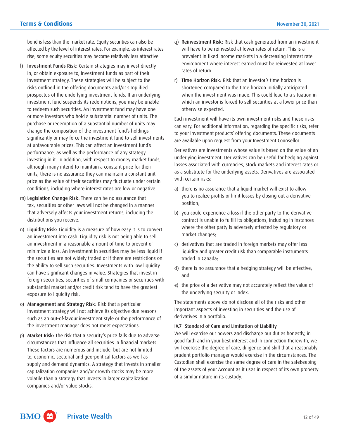bond is less than the market rate. Equity securities can also be affected by the level of interest rates. For example, as interest rates rise, some equity securities may become relatively less attractive.

- Investment Funds Risk: Certain strategies may invest directly in, or obtain exposure to, investment funds as part of their investment strategy. These strategies will be subject to the risks outlined in the offering documents and/or simplified prospectus of the underlying investment funds. If an underlying investment fund suspends its redemptions, you may be unable to redeem such securities. An investment fund may have one or more investors who hold a substantial number of units. The purchase or redemption of a substantial number of units may change the composition of the investment fund's holdings significantly or may force the investment fund to sell investments at unfavourable prices. This can affect an investment fund's performance, as well as the performance of any strategy investing in it. In addition, with respect to money market funds, although many intend to maintain a constant price for their units, there is no assurance they can maintain a constant unit price as the value of their securities may fluctuate under certain conditions, including where interest rates are low or negative.
- m) Legislation Change Risk: There can be no assurance that tax, securities or other laws will not be changed in a manner that adversely affects your investment returns, including the distributions you receive.
- n) Liquidity Risk: Liquidity is a measure of how easy it is to convert an investment into cash. Liquidity risk is not being able to sell an investment in a reasonable amount of time to prevent or minimize a loss. An investment in securities may be less liquid if the securities are not widely traded or if there are restrictions on the ability to sell such securities. Investments with low liquidity can have significant changes in value. Strategies that invest in foreign securities, securities of small companies or securities with substantial market and/or credit risk tend to have the greatest exposure to liquidity risk.
- o) Management and Strategy Risk: Risk that a particular investment strategy will not achieve its objective due reasons such as an out-of-favour investment style or the performance of the investment manager does not meet expectations.
- p) Market Risk: The risk that a security's price falls due to adverse circumstances that influence all securities in financial markets. These factors are numerous and include, but are not limited to, economic. sectorial and geo-political factors as well as supply and demand dynamics. A strategy that invests in smaller capitalization companies and/or growth stocks may be more volatile than a strategy that invests in larger capitalization companies and/or value stocks.
- q) Reinvestment Risk: Risk that cash generated from an investment will have to be reinvested at lower rates of return. This is a prevalent in fixed income markets in a decreasing interest rate environment where interest earned must be reinvested at lower rates of return.
- r) Time Horizon Risk: Risk that an investor's time horizon is shortened compared to the time horizon initially anticipated when the investment was made. This could lead to a situation in which an investor is forced to sell securities at a lower price than otherwise expected.

Each investment will have its own investment risks and these risks can vary. For additional information, regarding the specific risks, refer to your investment products' offering documents. These documents are available upon request from your Investment Counsellor.

Derivatives are investments whose value is based on the value of an underlying investment. Derivatives can be useful for hedging against losses associated with currencies, stock markets and interest rates or as a substitute for the underlying assets. Derivatives are associated with certain risks:

- a) there is no assurance that a liquid market will exist to allow you to realize profits or limit losses by closing out a derivative position;
- b) you could experience a loss if the other party to the derivative contract is unable to fulfill its obligations, including in instances where the other party is adversely affected by regulatory or market changes;
- c) derivatives that are traded in foreign markets may offer less liquidity and greater credit risk than comparable instruments traded in Canada;
- d) there is no assurance that a hedging strategy will be effective; and
- e) the price of a derivative may not accurately reflect the value of the underlying security or index.

The statements above do not disclose all of the risks and other important aspects of investing in securities and the use of derivatives in a portfolio.

# IV.7 Standard of Care and Limitation of Liability

 of the assets of your Account as it uses in respect of its own property We will exercise our powers and discharge our duties honestly, in good faith and in your best interest and in connection therewith, we will exercise the degree of care, diligence and skill that a reasonably prudent portfolio manager would exercise in the circumstances. The Custodian shall exercise the same degree of care in the safekeeping of a similar nature in its custody.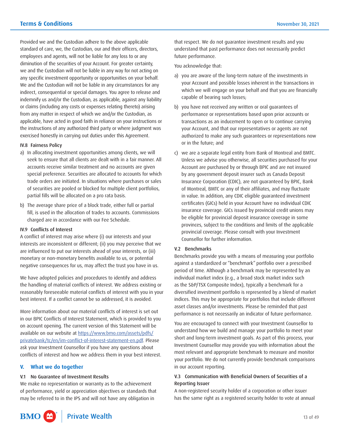<span id="page-12-0"></span> diminution of the securities of your Account. For greater certainty, we and the Custodian will not be liable in any way for not acting on the instructions of any authorized third party or where judgment was Provided we and the Custodian adhere to the above applicable standard of care, we, the Custodian, our and their officers, directors, employees and agents, will not be liable for any loss to or any any specific investment opportunity or opportunities on your behalf. We and the Custodian will not be liable in any circumstances for any indirect, consequential or special damages. You agree to release and indemnify us and/or the Custodian, as applicable, against any liability or claims (including any costs or expenses relating thereto) arising from any matter in respect of which we and/or the Custodian, as applicable, have acted in good faith in reliance on your instructions or exercised honestly in carrying out duties under this Agreement.

#### IV.8 Fairness Policy

- a) In allocating investment opportunities among clients, we will seek to ensure that all clients are dealt with in a fair manner. All accounts receive similar treatment and no accounts are given special preference. Securities are allocated to accounts for which trade orders are initiated. In situations where purchases or sales of securities are pooled or blocked for multiple client portfolios, partial fills will be allocated on a pro rata basis.
- b) The average share price of a block trade, either full or partial fill, is used in the allocation of trades to accounts. Commissions charged are in accordance with our Fee Schedule.

# IV.9 Conflicts of Interest

A conflict of interest may arise where (i) our interests and your interests are inconsistent or different; (ii) you may perceive that we are influenced to put our interests ahead of your interests, or (iii) monetary or non-monetary benefits available to us, or potential negative consequences for us, may affect the trust you have in us.

We have adopted policies and procedures to identify and address the handling of material conflicts of interest. We address existing or reasonably foreseeable material conflicts of interest with you in your best interest. If a conflict cannot be so addressed, it is avoided.

More information about our material conflicts of interest is set out in our BPIC Conflicts of Interest Statement, which is provided to you on account opening. The current version of this Statement will be available on our website at [https://www.bmo.com/assets/pdfs/](https://www.bmo.com/assets/pdfs/privatebank/tc/en/im-conflict-of-interest-statement-en.pdf) [privatebank/tc/en/im-conflict-of-interest-statement-en.pdf.](https://www.bmo.com/assets/pdfs/privatebank/tc/en/im-conflict-of-interest-statement-en.pdf) Please ask your Investment Counsellor if you have any questions about conflicts of interest and how we address them in your best interest.

## **V. What we do together**

# V.1 No Guarantee of Investment Results

We make no representation or warranty as to the achievement of performance, yield or appreciation objectives or standards that may be referred to in the IPS and will not have any obligation in

that respect. We do not guarantee investment results and you understand that past performance does not necessarily predict future performance.

You acknowledge that:

- a) you are aware of the long-term nature of the investments in your Account and possible losses inherent in the transactions in which we will engage on your behalf and that you are financially capable of bearing such losses;
- b) you have not received any written or oral guarantees of performance or representations based upon prior accounts or transactions as an inducement to open or to continue carrying your Account, and that our representatives or agents are not authorized to make any such guarantees or representations now or in the future; and
- Unless we advise you otherwise, all securities purchased for your c) we are a separate legal entity from Bank of Montreal and BMTC. Account are purchased by or through BPIC and are not insured by any government deposit insurer such as Canada Deposit Insurance Corporation (CDIC), are not guaranteed by BPIC, Bank of Montreal, BMTC or any of their affiliates, and may fluctuate in value. In addition, any CDIC eligible guaranteed investment certificates (GICs) held in your Account have no individual CDIC insurance coverage. GICs issued by provincial credit unions may be eligible for provincial deposit insurance coverage in some provinces, subject to the conditions and limits of the applicable provincial coverage. Please consult with your Investment Counsellor for further information.

#### V.2 Benchmarks

Benchmarks provide you with a means of measuring your portfolio against a standardized or "benchmark" portfolio over a prescribed period of time. Although a benchmark may be represented by an individual market index (e.g., a broad stock market index such as the S&P/TSX Composite Index), typically a benchmark for a diversified investment portfolio is represented by a blend of market indices. This may be appropriate for portfolios that include different asset classes and/or investments. Please be reminded that past performance is not necessarily an indicator of future performance.

 understand how we build and manage your portfolio to meet your You are encouraged to connect with your Investment Counsellor to short and long-term investment goals. As part of this process, your Investment Counsellor may provide you with information about the most relevant and appropriate benchmark to measure and monitor your portfolio. We do not currently provide benchmark comparisons in our account reporting.

# V.3 Communication with Beneficial Owners of Securities of a Reporting Issuer

A non-registered security holder of a corporation or other issuer has the same right as a registered security holder to vote at annual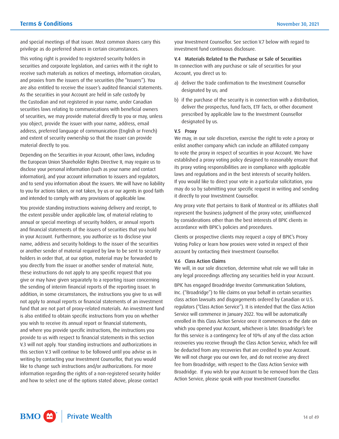and special meetings of that issuer. Most common shares carry this privilege as do preferred shares in certain circumstances.

This voting right is provided to registered security holders in securities and corporate legislation, and carries with it the right to receive such materials as notices of meetings, information circulars, and proxies from the issuers of the securities (the "Issuers"). You are also entitled to receive the issuer's audited financial statements. As the securities in your Account are held in safe custody by the Custodian and not registered in your name, under Canadian securities laws relating to communications with beneficial owners of securities, we may provide material directly to you or may, unless you object, provide the issuer with your name, address, email address, preferred language of communication (English or French) and extent of security ownership so that the issuer can provide material directly to you.

Depending on the Securities in your Account, other laws, including the European Union Shareholder Rights Directive II, may require us to disclose your personal information (such as your name and contact information), and your account information to issuers and regulators, and to send you information about the issuers. We will have no liability to you for actions taken, or not taken, by us or our agents in good faith and intended to comply with any provisions of applicable law.

You provide standing instructions waiving delivery and receipt, to the extent possible under applicable law, of material relating to annual or special meetings of security holders, or annual reports and financial statements of the issuers of securities that you hold in your Account. Furthermore, you authorize us to disclose your name, address and security holdings to the issuer of the securities or another sender of material required by law to be sent to security holders in order that, at our option, material may be forwarded to you directly from the issuer or another sender of material. Note, these instructions do not apply to any specific request that you give or may have given separately to a reporting issuer concerning the sending of interim financial reports of the reporting issuer. In addition, in some circumstances, the instructions you give to us will not apply to annual reports or financial statements of an investment fund that are not part of proxy-related materials. An investment fund is also entitled to obtain specific instructions from you on whether you wish to receive its annual report or financial statements, and where you provide specific instructions, the instructions you provide to us with respect to financial statements in this section V.3 will not apply. Your standing instructions and authorizations in this section V.3 will continue to be followed until you advise us in writing by contacting your Investment Counsellor, that you would like to change such instructions and/or authorizations. For more information regarding the rights of a non-registered security holder and how to select one of the options stated above, please contact

your Investment Counsellor. See section V.7 below with regard to investment fund continuous disclosure.

 In connection with any purchase or sale of securities for your V.4 Materials Related to the Purchase or Sale of Securities Account, you direct us to:

- a) deliver the trade confirmation to the Investment Counsellor designated by us; and
- b) if the purchase of the security is in connection with a distribution, deliver the prospectus, fund facts, ETF facts, or other document prescribed by applicable law to the Investment Counsellor designated by us.

#### V.5 Proxy

 enlist another company which can include an affiliated company We may, in our sole discretion, exercise the right to vote a proxy or to vote the proxy in respect of securities in your Account. We have established a proxy voting policy designed to reasonably ensure that its proxy voting responsibilities are in compliance with applicable laws and regulations and in the best interests of security holders. If you would like to direct your vote in a particular solicitation, you may do so by submitting your specific request in writing and sending it directly to your Investment Counsellor.

Any proxy vote that pertains to Bank of Montreal or its affiliates shall represent the business judgment of the proxy voter, uninfluenced by considerations other than the best interests of BPIC clients in accordance with BPIC's policies and procedures.

Clients or prospective clients may request a copy of BPIC's Proxy Voting Policy or learn how proxies were voted in respect of their account by contacting their Investment Counsellor.

#### V.6 Class Action Claims

We will, in our sole discretion, determine what role we will take in any legal proceedings affecting any securities held in your Account.

 be deducted from any recoveries that are credited to your Account. Broadridge. If you wish for your Account to be removed from the Class BPIC has engaged Broadridge Investor Communication Solutions, Inc. ("Broadridge") to file claims on your behalf in certain securities class action lawsuits and disgorgements ordered by Canadian or U.S. regulators ("Class Action Service"). It is intended that the Class Action Service will commence in January 2022. You will be automatically enrolled in this Class Action Service once it commences or the date on which you opened your Account, whichever is later. Broadridge's fee for this service is a contingency fee of 10% of any of the class action recoveries you receive through the Class Action Service, which fee will We will not charge you our own fee, and do not receive any direct fee from Broadridge, with respect to the Class Action Service with Action Service, please speak with your Investment Counsellor.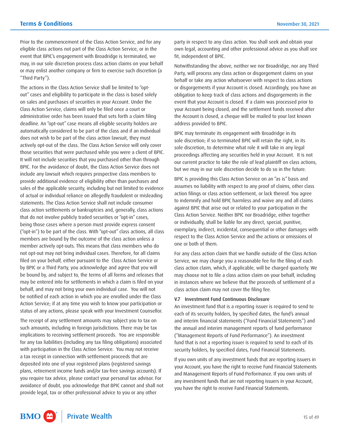Prior to the commencement of the Class Action Service, and for any eligible class actions not part of the Class Action Service, or in the event that BPIC's engagement with Broadridge is terminated, we may, in our sole discretion process class action claims on your behalf or may enlist another company or firm to exercise such discretion (a "Third Party").

 Action Service; if at any time you wish to know your participation or The actions in the Class Action Service shall be limited to "optout" cases and eligibility to participate in the class is based solely on sales and purchases of securities in your Account. Under the Class Action Service, claims will only be filed once a court or administrative order has been issued that sets forth a claim filing deadline. An "opt-out" case means all eligible security holders are automatically considered to be part of the class and if an individual does not wish to be part of the class action lawsuit, they must actively opt-out of the class. The Class Action Service will only cover those securities that were purchased while you were a client of BPIC. It will not include securities that you purchased other than through BPIC. For the avoidance of doubt, the Class Action Service does not include any lawsuit which requires prospective class members to provide additional evidence of eligibility other than purchases and sales of the applicable security, including but not limited to evidence of actual or individual reliance on allegedly fraudulent or misleading statements. The Class Action Service shall not include consumer class action settlements or bankruptcies and, generally, class actions that do not involve publicly traded securities or "opt-in" cases, being those cases where a person must provide express consent ("opt-in") to be part of the class. With "opt-out" class actions, all class members are bound by the outcome of the class action unless a member actively opt-outs. This means that class members who do not opt-out may not bring individual cases. Therefore, for all claims filed on your behalf, either pursuant to the Class Action Service or by BPIC or a Third Party, you acknowledge and agree that you will be bound by, and subject to, the terms of all forms and releases that may be entered into for settlements in which a claim is filed on your behalf, and may not bring your own individual case. You will not be notified of each action in which you are enrolled under the Class status of any actions, please speak with your Investment Counsellor.

The receipt of any settlement amounts may subject you to tax on such amounts, including in foreign jurisdictions. There may be tax implications to receiving settlement proceeds. You are responsible for any tax liabilities (including any tax filing obligations) associated with participation in the Class Action Service. You may not receive a tax receipt in connection with settlement proceeds that are deposited into one of your registered plans (registered savings plans, retirement income funds and/or tax-free savings accounts). If you require tax advice, please contact your personal tax advisor. For avoidance of doubt, you acknowledge that BPIC cannot and shall not provide legal, tax or other professional advice to you or any other

party in respect to any class action. You shall seek and obtain your own legal, accounting and other professional advice as you shall see fit, independent of BPIC.

 Notwithstanding the above, neither we nor Broadridge, nor any Third your Account being closed, and the settlement funds received after Party, will process any class action or disgorgement claims on your behalf or take any action whatsoever with respect to class actions or disgorgements if your Account is closed. Accordingly, you have an obligation to keep track of class actions and disgorgements in the event that your Account is closed. If a claim was processed prior to the Account is closed, a cheque will be mailed to your last known address provided to BPIC.

BPIC may terminate its engagement with Broadridge in its sole discretion; if so terminated BPIC will retain the right, in its sole discretion, to determine what role it will take in any legal proceedings affecting any securities held in your Account. It is not our current practice to take the role of lead plaintiff on class actions, but we may in our sole discretion decide to do so in the future.

BPIC is providing this Class Action Service on an "as is" basis and assumes no liability with respect to any proof of claims, other class action filings or class action settlement, or lack thereof. You agree to indemnify and hold BPIC harmless and waive any and all claims against BPIC that arise out or related to your participation in the Class Action Service. Neither BPIC nor Broadridge, either together or individually, shall be liable for any direct, special, punitive, exemplary, indirect, incidental, consequential or other damages with respect to the Class Action Service and the actions or omissions of one or both of them.

For any class action claim that we handle outside of the Class Action Service, we may charge you a reasonable fee for the filing of each class action claim, which, if applicable, will be charged quarterly. We may choose not to file a class action claim on your behalf, including in instances where we believe that the proceeds of settlement of a class action claim may not cover the filing fee.

## V.7 Investment Fund Continuous Disclosure

An investment fund that is a reporting issuer is required to send to each of its security holders, by specified dates, the fund's annual and interim financial statements ("Fund Financial Statements") and the annual and interim management reports of fund performance ("Management Reports of Fund Performance"). An investment fund that is not a reporting issuer is required to send to each of its security holders, by specified dates, Fund Financial Statements.

 your Account, you have the right to receive Fund Financial Statements any investment funds that are not reporting issuers in your Account, If you own units of any investment funds that are reporting issuers in and Management Reports of Fund Performance. If you own units of you have the right to receive Fund Financial Statements.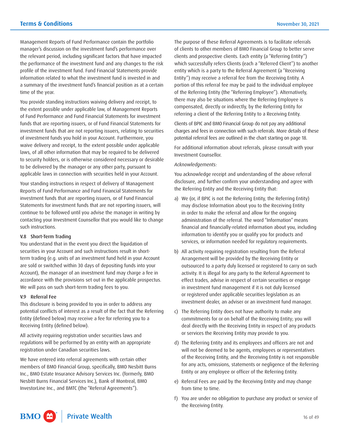Management Reports of Fund Performance contain the portfolio manager's discussion on the investment fund's performance over the relevant period, including significant factors that have impacted the performance of the investment fund and any changes to the risk profile of the investment fund. Fund Financial Statements provide information related to what the investment fund is invested in and a summary of the investment fund's financial position as at a certain time of the year.

You provide standing instructions waiving delivery and receipt, to the extent possible under applicable law, of Management Reports of Fund Performance and Fund Financial Statements for investment funds that are reporting issuers, or of Fund Financial Statements for investment funds that are not reporting issuers, relating to securities of investment funds you hold in your Account. Furthermore, you waive delivery and receipt, to the extent possible under applicable laws, of all other information that may be required to be delivered to security holders, or is otherwise considered necessary or desirable to be delivered by the manager or any other party, pursuant to applicable laws in connection with securities held in your Account.

Your standing instructions in respect of delivery of Management Reports of Fund Performance and Fund Financial Statements for investment funds that are reporting issuers, or of Fund Financial Statements for investment funds that are not reporting issuers, will continue to be followed until you advise the manager in writing by contacting your Investment Counsellor that you would like to change such instructions.

#### V.8 Short-Term Trading

You understand that in the event you direct the liquidation of securities in your Account and such instructions result in shortterm trading (e.g. units of an investment fund held in your Account are sold or switched within 30 days of depositing funds into your Account), the manager of an investment fund may charge a fee in accordance with the provisions set out in the applicable prospectus. We will pass on such short-term trading fees to you.

#### V.9 Referral Fee

This disclosure is being provided to you in order to address any potential conflicts of interest as a result of the fact that the Referring Entity (defined below) may receive a fee for referring you to a Receiving Entity (defined below).

All activity requiring registration under securities laws and regulations will be performed by an entity with an appropriate registration under Canadian securities laws.

We have entered into referral agreements with certain other members of BMO Financial Group, specifically, BMO Nesbitt Burns Inc., BMO Estate Insurance Advisory Services Inc. (formerly, BMO Nesbitt Burns Financial Services Inc.), Bank of Montreal, BMO InvestorLine Inc., and BMTC (the "Referral Agreements").

The purpose of these Referral Agreements is to facilitate referrals of clients to other members of BMO Financial Group to better serve clients and prospective clients. Each entity (a "Referring Entity") which successfully refers Clients (each a "Referred Client") to another entity which is a party to the Referral Agreement (a "Receiving Entity") may receive a referral fee from the Receiving Entity. A portion of this referral fee may be paid to the individual employee of the Referring Entity (the "Referring Employee"). Alternatively, there may also be situations where the Referring Employee is compensated, directly or indirectly, by the Referring Entity for referring a client of the Referring Entity to a Receiving Entity.

Clients of BPIC and BMO Financial Group do not pay any additional charges and fees in connection with such referrals. More details of these potential referral fees are outlined in the chart starting on page 18.

For additional information about referrals, please consult with your Investment Counsellor.

# *Acknowledgements:*

You acknowledge receipt and understanding of the above referral disclosure, and further confirm your understanding and agree with the Referring Entity and the Receiving Entity that:

- information to identify you or qualify you for products and a) We (or, if BPIC is not the Referring Entity, the Referring Entity) may disclose Information about you to the Receiving Entity in order to make the referral and allow for the ongoing administration of the referral. The word "Information" means financial and financially-related information about you, including services, or information needed for regulatory requirements.
- b) All activity requiring registration resulting from the Referral Arrangement will be provided by the Receiving Entity or outsourced to a party duly licensed or registered to carry on such activity. It is illegal for any party to the Referral Agreement to effect trades, advise in respect of certain securities or engage in investment fund management if it is not duly licensed or registered under applicable securities legislation as an investment dealer, an adviser or an investment fund manager.
- c) The Referring Entity does not have authority to make any commitments for or on behalf of the Receiving Entity; you will deal directly with the Receiving Entity in respect of any products or services the Receiving Entity may provide to you.
- d) The Referring Entity and its employees and officers are not and will not be deemed to be agents, employees or representatives of the Receiving Entity, and the Receiving Entity is not responsible for any acts, omissions, statements or negligence of the Referring Entity or any employee or officer of the Referring Entity.
- e) Referral Fees are paid by the Receiving Entity and may change from time to time.
- f) You are under no obligation to purchase any product or service of the Receiving Entity.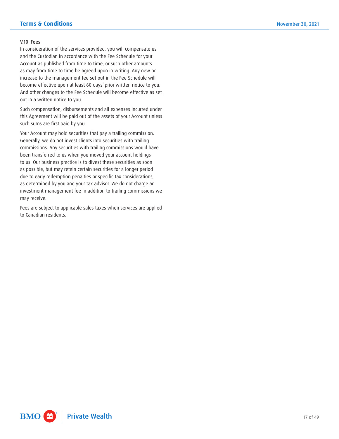# V.10 Fees

 and the Custodian in accordance with the Fee Schedule for your In consideration of the services provided, you will compensate us Account as published from time to time, or such other amounts as may from time to time be agreed upon in writing. Any new or increase to the management fee set out in the Fee Schedule will become effective upon at least 60 days' prior written notice to you. And other changes to the Fee Schedule will become effective as set out in a written notice to you.

Such compensation, disbursements and all expenses incurred under this Agreement will be paid out of the assets of your Account unless such sums are first paid by you.

Your Account may hold securities that pay a trailing commission. Generally, we do not invest clients into securities with trailing commissions. Any securities with trailing commissions would have been transferred to us when you moved your account holdings to us. Our business practice is to divest these securities as soon as possible, but may retain certain securities for a longer period due to early redemption penalties or specific tax considerations, as determined by you and your tax advisor. We do not charge an investment management fee in addition to trailing commissions we may receive.

Fees are subject to applicable sales taxes when services are applied to Canadian residents.

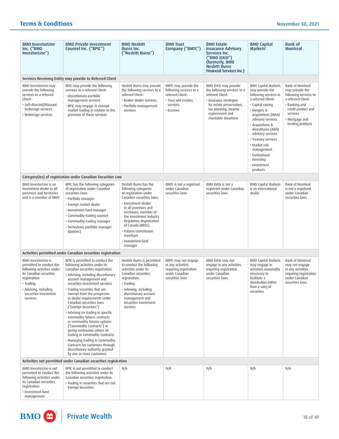| <b>BMO InvestorLine</b><br>Inc. ("BMO<br>InvestorLine")                                                                                                                                                     | <b>BMO Private Investment</b><br>Counsel Inc. ("BPIC")                                                                                                                                                                                                                                                                                                                                                                                                                                                                                                                                                                                                                                                 | <b>BMO Nesbitt</b><br><b>Burns Inc.</b><br>("Nesbitt Burns")                                                                                                                                                                                                                                                                | <b>BMO Trust</b><br>Company ("BMTC")                                                                                | <b>BMO Estate</b><br><b>Insurance Advisory</b><br>Services Inc.<br>("BMO EIASI")<br>(formerly, BMO<br><b>Nesbitt Burns</b><br><b>Financial Services Inc.)</b>                                     | <b>BMO Capital</b><br>Markets <sup>1</sup>                                                                                                                                                                                                                                                                                                                   | <b>Bank of</b><br><b>Montreal</b>                                                                                                                                           |
|-------------------------------------------------------------------------------------------------------------------------------------------------------------------------------------------------------------|--------------------------------------------------------------------------------------------------------------------------------------------------------------------------------------------------------------------------------------------------------------------------------------------------------------------------------------------------------------------------------------------------------------------------------------------------------------------------------------------------------------------------------------------------------------------------------------------------------------------------------------------------------------------------------------------------------|-----------------------------------------------------------------------------------------------------------------------------------------------------------------------------------------------------------------------------------------------------------------------------------------------------------------------------|---------------------------------------------------------------------------------------------------------------------|---------------------------------------------------------------------------------------------------------------------------------------------------------------------------------------------------|--------------------------------------------------------------------------------------------------------------------------------------------------------------------------------------------------------------------------------------------------------------------------------------------------------------------------------------------------------------|-----------------------------------------------------------------------------------------------------------------------------------------------------------------------------|
| Services Receiving Entity may provide to Referred Client                                                                                                                                                    |                                                                                                                                                                                                                                                                                                                                                                                                                                                                                                                                                                                                                                                                                                        |                                                                                                                                                                                                                                                                                                                             |                                                                                                                     |                                                                                                                                                                                                   |                                                                                                                                                                                                                                                                                                                                                              |                                                                                                                                                                             |
| BMO InvestorLine may<br>provide the following<br>services to a referred<br>Client:<br>· Self-directed/discount<br>brokerage services<br>· Brokerage services                                                | BPIC may provide the following<br>services to a referred Client:<br>· Discretionary portfolio<br>management services<br>· BPIC may engage in exempt<br>market trading in relation to the<br>provision of these services                                                                                                                                                                                                                                                                                                                                                                                                                                                                                | Nesbitt Burns may provide<br>the following services to a<br>referred Client:<br>· Broker-dealer services<br>· Portfolio management<br>services                                                                                                                                                                              | BMTC may provide the<br>following services to a<br>referred Client:<br>· Trust and estates<br>services<br>· Escrows | BMO EIASI may provide<br>the following services to a<br>referred Client:<br>· Insurance strategies<br>for estate preservation,<br>tax planning, income<br>replacement and<br>charitable donations | <b>BMO Capital Markets</b><br>may provide the<br>following services to<br>a referred Client:<br>· Capital raising<br>· Mergers &<br>acquisitions (M&A)<br>advisory services<br>· Acquisitions &<br>divestitures (A&D)<br>advisory services<br>· Treasury services<br>· Market risk<br>management<br>· Institutional<br>investing<br>· Investment<br>products | Bank of Montreal<br>may provide the<br>following services to<br>a referred Client:<br>· Banking and<br>credit product and<br>services<br>• Mortgage and<br>lending products |
|                                                                                                                                                                                                             | Category(ies) of registration under Canadian Securities Law                                                                                                                                                                                                                                                                                                                                                                                                                                                                                                                                                                                                                                            |                                                                                                                                                                                                                                                                                                                             |                                                                                                                     |                                                                                                                                                                                                   |                                                                                                                                                                                                                                                                                                                                                              |                                                                                                                                                                             |
| BMO InvestorLine is an<br>investment dealer in all<br>provinces and territories<br>and is a member of IIROC                                                                                                 | BPIC has the following categories<br>of registration under Canadian<br>securities laws:<br>• Portfolio manager<br>· Exempt market dealer<br>· Investment fund manager<br>· Commodity trading counsel<br>· Commodity trading manager<br>· Derivatives portfolio manager<br>(Quebec)                                                                                                                                                                                                                                                                                                                                                                                                                     | Nesbitt Burns has the<br>following categories<br>of registration under<br>Canadian securities laws:<br>· Investment dealer<br>in all provinces and<br>territories; member of<br>the Investment Industry<br>Regulatory Organization<br>of Canada (IIROC)<br>· Futures commission<br>merchant<br>· Investment fund<br>manager | BMTC is not a registrant<br>under Canadian<br>securities laws                                                       | BMO EIASI is not a<br>registrant under Canadian<br>securities laws                                                                                                                                | <b>BMO Capital Markets</b><br>is an international<br>dealer                                                                                                                                                                                                                                                                                                  | <b>Bank of Montreal</b><br>is not a registrant<br>under Canadian<br>securities laws                                                                                         |
|                                                                                                                                                                                                             | Activities permitted under Canadian securities registration                                                                                                                                                                                                                                                                                                                                                                                                                                                                                                                                                                                                                                            |                                                                                                                                                                                                                                                                                                                             |                                                                                                                     |                                                                                                                                                                                                   |                                                                                                                                                                                                                                                                                                                                                              |                                                                                                                                                                             |
| <b>BMO</b> InvestorLine is<br>permitted to conduct the<br>following activities under<br>its Canadian securities<br>registration:<br>· Trading<br>· Advising, including<br>securities investment<br>services | BPIC is permitted to conduct the<br>following activities under its<br>Canadian securities registration:<br>· Advising, including discretionary<br>account management and<br>securities investment services<br>· Trading securities that are<br>exempt from the prospectus<br>or dealer requirements under<br>Canadian securities laws<br>("Exempt Securities")<br>· Advising on trading in specific<br>commodity futures contracts<br>or commodity futures options<br>("Commodity Contracts") or<br>giving continuous advice on<br>trading in Commodity Contracts<br>· Managing trading in Commodity<br>Contracts for customers through<br>discretionary authority granted<br>by one or more customers | Nesbitt Burns is permitted<br>to conduct the following<br>activities under its<br>Canadian securities<br>registration:<br>$\cdot$ Trading<br>· Advising, including<br>discretionary account<br>management and<br>securities investment<br>services                                                                          | BMTC may not engage<br>in any activities<br>requiring registration<br>under Canadian<br>securities laws             | BMO EIASI may not<br>engage in any activities<br>requiring registration<br>under Canadian<br>securities laws                                                                                      | <b>BMO Capital Markets</b><br>may engage in<br>activities reasonably<br>necessary to<br>facilitate a<br>distribution (other<br>than a sale) of<br>securities                                                                                                                                                                                                 | Bank of Montreal<br>may not engage<br>in any activities<br>requiring registration<br>under Canadian<br>securities laws                                                      |
| Activities not permitted under Canadian securities registration                                                                                                                                             |                                                                                                                                                                                                                                                                                                                                                                                                                                                                                                                                                                                                                                                                                                        |                                                                                                                                                                                                                                                                                                                             |                                                                                                                     |                                                                                                                                                                                                   |                                                                                                                                                                                                                                                                                                                                                              |                                                                                                                                                                             |
| BMO InvestorLine is not<br>permitted to conduct the<br>following activities under<br>its Canadian securities<br>registration:<br>· Investment fund<br>management                                            | BPIC is not permitted to conduct<br>the following activities under its<br>Canadian securities registration:<br>· Trading in securities that are not<br><b>Exempt Securities</b>                                                                                                                                                                                                                                                                                                                                                                                                                                                                                                                        | N/A                                                                                                                                                                                                                                                                                                                         | N/A                                                                                                                 | N/A                                                                                                                                                                                               | N/A                                                                                                                                                                                                                                                                                                                                                          | N/A                                                                                                                                                                         |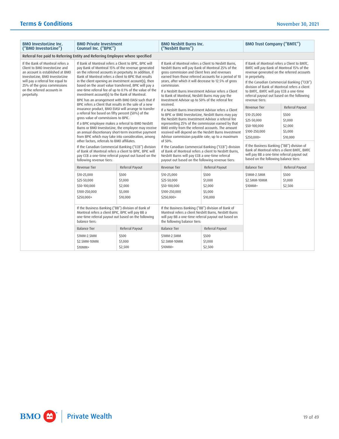| <b>BMO InvestorLine Inc.</b><br>("BMO InvestorLine")                                                                                                                                                                                                       | <b>BMO Private Investment</b><br>Counsel Inc. ("BPIC")                                                                                                                                                                                                                                                                                                                                                                                                                                                                                                                         |                                                     | <b>BMO Nesbitt Burns Inc.</b><br>("Nesbitt Burns")                                                                                                                                                                                                                                                                                                                                                                                                                                                                                                                                                                                     |                                                    | <b>BMO Trust Company ("BMTC")</b>                                                                                                                                                                                                                                                                                                                                |                                                                       |  |
|------------------------------------------------------------------------------------------------------------------------------------------------------------------------------------------------------------------------------------------------------------|--------------------------------------------------------------------------------------------------------------------------------------------------------------------------------------------------------------------------------------------------------------------------------------------------------------------------------------------------------------------------------------------------------------------------------------------------------------------------------------------------------------------------------------------------------------------------------|-----------------------------------------------------|----------------------------------------------------------------------------------------------------------------------------------------------------------------------------------------------------------------------------------------------------------------------------------------------------------------------------------------------------------------------------------------------------------------------------------------------------------------------------------------------------------------------------------------------------------------------------------------------------------------------------------------|----------------------------------------------------|------------------------------------------------------------------------------------------------------------------------------------------------------------------------------------------------------------------------------------------------------------------------------------------------------------------------------------------------------------------|-----------------------------------------------------------------------|--|
| Referral Fee paid to Referring Entity and Referring Employee where specified                                                                                                                                                                               |                                                                                                                                                                                                                                                                                                                                                                                                                                                                                                                                                                                |                                                     |                                                                                                                                                                                                                                                                                                                                                                                                                                                                                                                                                                                                                                        |                                                    |                                                                                                                                                                                                                                                                                                                                                                  |                                                                       |  |
| If the Bank of Montreal refers a<br>Client to BMO InvestorLine and<br>an account is established at BMO<br>InvestorLine, BMO InvestorLine<br>will pay a referral fee equal to<br>25% of the gross commissions<br>on the referred accounts in<br>perpetuity. | If Bank of Montreal refers a Client to BPIC, BPIC will<br>pay Bank of Montreal 15% of the revenue generated<br>on the referred accounts in perpetuity. In addition, if<br>Bank of Montreal refers a client to BPIC that results<br>in the client opening an investment account(s), then<br>based on the asset value transferred, BPIC will pay a<br>one-time referral fee of up to 0.1% of the value of the<br>investment account(s) to the Bank of Montreal.<br>BPIC has an arrangement with BMO EIASI such that if<br>BPIC refers a Client that results in the sale of a new |                                                     | If Bank of Montreal refers a Client to Nesbitt Burns.<br>Nesbitt Burns will pay Bank of Montreal 25% of the<br>gross commission and Client fees and revenues<br>earned from those referred accounts for a period of 10<br>years, after which it will decrease to 12.5% of gross<br>commission.<br>If a Nesbitt Burns Investment Advisor refers a Client<br>to Bank of Montreal, Nesbitt Burns may pay the<br>Investment Advisor up to 50% of the referral fee                                                                                                                                                                          |                                                    | If Bank of Montreal refers a Client to BMTC.<br>BMTC will pay Bank of Montreal 15% of the<br>revenue generated on the referred accounts<br>in perpetuity.<br>If the Canadian Commercial Banking ("CCB")<br>division of Bank of Montreal refers a client<br>to BMTC, BMTC will pay CCB a one-time<br>referral payout out based on the following<br>revenue tiers: |                                                                       |  |
|                                                                                                                                                                                                                                                            | insurance product, BMO EIASI will arrange to transfer<br>a referral fee based on fifty percent (50%) of the<br>gross value of commissions to BPIC.<br>If a BPIC employee makes a referral to BMO Nesbitt<br>an annual discretionary short-term incentive payment<br>from BPIC which may take into consideration, among<br>other factors, referrals to BMO affiliates.<br>If the Canadian Commercial Banking ("CCB") division<br>of Bank of Montreal refers a client to BPIC, BPIC will<br>pay CCB a one-time referral payout out based on the<br>following revenue tiers:      | Burns or BMO InvestorLine, the employee may receive | received.<br>If a Nesbitt Burns Investment Advisor refers a Client<br>to BPIC or BMO InvestorLine, Nesbitt Burns may pay<br>the Nesbitt Burns Investment Advisor a referral fee<br>representing 25% of the commission earned by that<br>BMO entity from the referred accounts. The amount<br>received will depend on the Nesbitt Burns Investment<br>Advisor commission payable rate; up to a maximum<br>of 50%.<br>If the Canadian Commercial Banking ("CCB") division<br>of Bank of Montreal refers a client to Nesbitt Burns.<br>Nesbitt Burns will pay CCB a one-time referral<br>payout out based on the following revenue tiers: |                                                    | <b>Revenue Tier</b><br>\$10-25,000<br>\$25-50,000<br>\$50-100,000<br>\$100-250,000<br>\$250,000+<br>If the Business Banking ("BB") division of<br>Bank of Montreal refers a client BMTC, BMTC<br>will pay BB a one-time referral payout out<br>based on the following balance tiers:                                                                             | Referral Payout<br>\$500<br>\$1,000<br>\$2,000<br>\$5,000<br>\$10,000 |  |
|                                                                                                                                                                                                                                                            | Revenue Tier                                                                                                                                                                                                                                                                                                                                                                                                                                                                                                                                                                   | Referral Payout                                     | Revenue Tier                                                                                                                                                                                                                                                                                                                                                                                                                                                                                                                                                                                                                           | Referral Payout                                    | <b>Balance Tier</b>                                                                                                                                                                                                                                                                                                                                              | Referral Payout                                                       |  |
|                                                                                                                                                                                                                                                            | \$10-25,000<br>\$25-50,000<br>\$50-100,000<br>\$100-250,000<br>\$250,000+                                                                                                                                                                                                                                                                                                                                                                                                                                                                                                      | \$500<br>\$1,000<br>\$2,000<br>\$5,000<br>\$10,000  | \$10-25,000<br>\$25-50,000<br>\$50-100,000<br>\$100-250,000<br>\$250,000+                                                                                                                                                                                                                                                                                                                                                                                                                                                                                                                                                              | \$500<br>\$1,000<br>\$2,000<br>\$5,000<br>\$10,000 | \$1MM-2.5MM<br>\$2.5MM-10MM<br>\$10MM+                                                                                                                                                                                                                                                                                                                           | \$500<br>\$1,000<br>\$2,500                                           |  |
|                                                                                                                                                                                                                                                            | If the Business Banking ("BB") division of Bank of<br>Montreal refers a client BPIC, BPIC will pay BB a<br>one-time referral payout out based on the following<br>balance tiers:                                                                                                                                                                                                                                                                                                                                                                                               |                                                     | If the Business Banking ("BB") division of Bank of<br>Montreal refers a client Nesbitt Burns, Nesbitt Burns<br>will pay BB a one-time referral payout out based on<br>the following balance tiers:                                                                                                                                                                                                                                                                                                                                                                                                                                     |                                                    |                                                                                                                                                                                                                                                                                                                                                                  |                                                                       |  |
|                                                                                                                                                                                                                                                            | <b>Balance Tier</b>                                                                                                                                                                                                                                                                                                                                                                                                                                                                                                                                                            | Referral Payout                                     | <b>Balance Tier</b>                                                                                                                                                                                                                                                                                                                                                                                                                                                                                                                                                                                                                    | Referral Payout                                    |                                                                                                                                                                                                                                                                                                                                                                  |                                                                       |  |
|                                                                                                                                                                                                                                                            | \$1MM-2.5MM<br>\$2.5MM-10MM<br>\$10MM+                                                                                                                                                                                                                                                                                                                                                                                                                                                                                                                                         | \$500<br>\$1,000<br>\$2,500                         | \$1MM-2.5MM<br>\$2.5MM-10MM<br>$$10MM+$                                                                                                                                                                                                                                                                                                                                                                                                                                                                                                                                                                                                | \$500<br>\$1,000<br>\$2,500                        |                                                                                                                                                                                                                                                                                                                                                                  |                                                                       |  |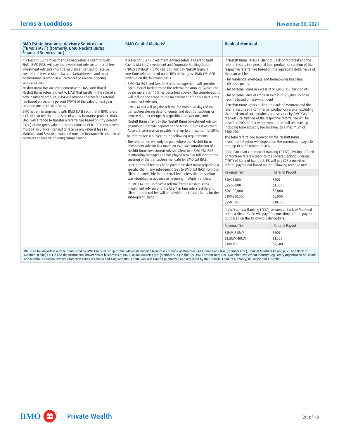| <b>BMO Estate Insurance Advisory Services Inc.</b><br>("BMO EIASI") (formerly, BMO Nesbitt Burns<br><b>Financial Services Inc.)</b>                                                                                                                                                                                                                                                                                                                                                                                                                                                                                                                                                                                                                                                                                                                                                                                                                                                                                                                                                                                | <b>BMO Capital Markets<sup>1</sup></b>                                                                                                                                                                                                                                                                                                                                                                                                                                                                                                                                                                                                                                                                                                                                                                                                                                                                                                                                                                                                                                                                                                                                                                                                                                                                                                                                                                                                                                                                                                                                                                                                                                                                                                                                                                                                         | <b>Bank of Montreal</b>                                                                                                                                                                                                                                                                                                                                                                                                                                                                                                                                                                                                                                                                                                                                                                                                                                                                                                                                                                                                                                                                                                                                                                                                                                                                                                                                                                                                                                                                                                                                                                                             |                                                                                                                         |
|--------------------------------------------------------------------------------------------------------------------------------------------------------------------------------------------------------------------------------------------------------------------------------------------------------------------------------------------------------------------------------------------------------------------------------------------------------------------------------------------------------------------------------------------------------------------------------------------------------------------------------------------------------------------------------------------------------------------------------------------------------------------------------------------------------------------------------------------------------------------------------------------------------------------------------------------------------------------------------------------------------------------------------------------------------------------------------------------------------------------|------------------------------------------------------------------------------------------------------------------------------------------------------------------------------------------------------------------------------------------------------------------------------------------------------------------------------------------------------------------------------------------------------------------------------------------------------------------------------------------------------------------------------------------------------------------------------------------------------------------------------------------------------------------------------------------------------------------------------------------------------------------------------------------------------------------------------------------------------------------------------------------------------------------------------------------------------------------------------------------------------------------------------------------------------------------------------------------------------------------------------------------------------------------------------------------------------------------------------------------------------------------------------------------------------------------------------------------------------------------------------------------------------------------------------------------------------------------------------------------------------------------------------------------------------------------------------------------------------------------------------------------------------------------------------------------------------------------------------------------------------------------------------------------------------------------------------------------------|---------------------------------------------------------------------------------------------------------------------------------------------------------------------------------------------------------------------------------------------------------------------------------------------------------------------------------------------------------------------------------------------------------------------------------------------------------------------------------------------------------------------------------------------------------------------------------------------------------------------------------------------------------------------------------------------------------------------------------------------------------------------------------------------------------------------------------------------------------------------------------------------------------------------------------------------------------------------------------------------------------------------------------------------------------------------------------------------------------------------------------------------------------------------------------------------------------------------------------------------------------------------------------------------------------------------------------------------------------------------------------------------------------------------------------------------------------------------------------------------------------------------------------------------------------------------------------------------------------------------|-------------------------------------------------------------------------------------------------------------------------|
| If a Nesbitt Burns Investment Advisor refers a Client to BMO<br>EIASI, BMO EIASI will pay the Investment Advisor a referral fee.<br>Investment Advisors must be insurance-licensed to receive<br>any referral fees in Manitoba and Saskatchewan and must<br>be insurance-licensed in all provinces to receive ongoing<br>compensation.<br>Nesbitt Burns has an arrangement with EIASI such that if<br>Nesbitt Burns refers a client to EIASI that results in the sale of a<br>new insurance product, EIASI will arrange to transfer a referral<br>fee based on seventy percent (70%) of the value of first year<br>commissions to Nesbitt Burns.<br>BPIC has an arrangement with BMO EIASI such that if BPIC refers<br>a Client that results in the sale of a new insurance product, BMO<br>EIASI will arrange to transfer a referral fee based on fifty percent<br>(50%) of the gross value of commissions to BPIC. BPIC employees<br>must be insurance-licensed to receive any referral fees in<br>Manitoba and Saskatchewan and must be insurance-licensed in all<br>provinces to receive ongoing compensation. | If a Nesbitt Burns Investment Advisor refers a Client to BMO<br>Capital Markets' Investment and Corporate Banking Group<br>("BMO CM I&CB"), BMO CM I&CB will pay Nesbitt Burns a<br>one-time referral fee of up to 10% of the gross BMO CM I&CB<br>revenue on the following basis:<br>· BMO CM I&CB and Nesbitt Burns management will consider<br>each referral to determine the referral fee amount (which can<br>be no more than 10%, as described above). The considerations<br>will include the scope of the involvement of the Nesbitt Burns<br>Investment Advisor:<br>. BMO CM I&B will pay the referral fee within 90 days of the<br>transaction closing date for equity and debt transactions or<br>invoice date for merger & acquisition transactions; and<br>. Nesbitt Burns may pay the Nesbitt Burns Investment Advisor<br>an amount that will depend on the Nesbitt Burns Investment<br>Advisor's commission payable rate; up to a maximum of 50%.<br>The referral fee is subject to the following requirements:<br>· The referral fee will only be paid where the Nesbitt Burns<br>Investment Advisor has made an exclusive introduction of a<br>Nesbitt Burns Investment Advisor Client to a BMO CM I&CB<br>relationship manager and has played a role in influencing the<br>securing of the transaction mandate for BMO CM I&CB.<br>· Once a referral fee has been paid to Nesbitt Burns regarding a<br>specific Client, any subsequent fees to BMO CM I&CB from that<br>Client are ineligible for a referral fee, unless the transaction<br>was identified in advance as requiring multiple tranches.<br>. If BMO CM I&CB receives a referral from a Nesbitt Burns<br>Investment Advisor and the Client in turn refers a different<br>Client, no referral fee will be provided to Nesbitt Burns for the<br>subsequent Client. | If Nesbitt Burns refers a Client to Bank of Montreal and the<br>referral results in a personal loan product, calculation of the<br>respective referral fee based on the aggregate dollar value of<br>the loan will be:<br>· for residential mortgage and Homeowner Readiline:<br>60 basis points<br>· for personal loans in excess of \$15,000: 150 basis points<br>· for personal lines of credit in excess of \$15,000: 75 basis<br>points based on drawn amount<br>If Nesbitt Burns refers a client to Bank of Montreal and the<br>referral results in a commercial product or service (excluding<br>the provision of such products and services by BMO Capital<br>Markets), calculation of the respective referral fee will be<br>based on 20% of first year revenue from full relationship,<br>including M&A advisory fee revenue, to a maximum of<br>\$100,000.<br>The total referral fee received by the Nesbitt Burns<br>Investment Advisor will depend on the commission payable<br>rate, up to a maximum of 50%.<br>If the Canadian Commercial Banking ("CCB") division of Bank<br>of Montreal refers a client to the Private Banking Division<br>("PB") of Bank of Montreal, PB will pay CCB a one-time<br>referral payout out based on the following revenue tiers:<br>Revenue Tier<br>\$10-25,000<br>\$25-50,000<br>\$50-100,000<br>\$100-250,000<br>\$250,000+<br>If the Business Banking ("BB") division of Bank of Montreal<br>refers a client PB, PB will pay BB a one-time referral payout<br>out based on the following balance tiers:<br>Revenue Tier<br>\$1MM-2.5MM<br>\$2.5MM-10MM<br>\$10MM+ | Referral Payout<br>\$500<br>\$1,000<br>\$2,000<br>\$5,000<br>\$10,000<br>Referral Payout<br>\$500<br>\$1,000<br>\$2,500 |
| <sup>1</sup> BMO Capital Markets is a trade name used by BMO Financial Group for the wholesale banking businesses of Bank of Montreal, BMO Harris Bank N.A. (member FDIC), Bank of Montreal Ireland p.l.c., and Bank of                                                                                                                                                                                                                                                                                                                                                                                                                                                                                                                                                                                                                                                                                                                                                                                                                                                                                            |                                                                                                                                                                                                                                                                                                                                                                                                                                                                                                                                                                                                                                                                                                                                                                                                                                                                                                                                                                                                                                                                                                                                                                                                                                                                                                                                                                                                                                                                                                                                                                                                                                                                                                                                                                                                                                                |                                                                                                                                                                                                                                                                                                                                                                                                                                                                                                                                                                                                                                                                                                                                                                                                                                                                                                                                                                                                                                                                                                                                                                                                                                                                                                                                                                                                                                                                                                                                                                                                                     |                                                                                                                         |

' BMO Capital Markets is a trade name used by BMO Financial Group for the wholesale banking businesses of Bank of Montreal, BMO Harris Bank N.A. (member FDIC), Bank of Montreal Ireland p.l.c., and Bank of Ganak of Allen an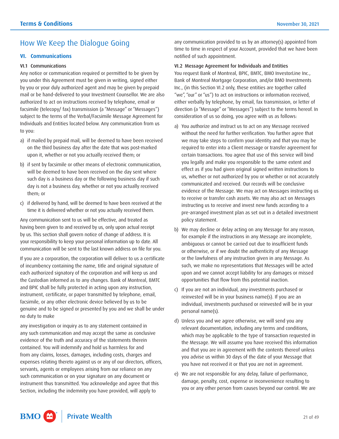# <span id="page-20-0"></span>How We Keep the Dialogue Going

# **VI. Communications**

#### VI.1 Communications

 by you or your duly authorized agent and may be given by prepaid Any notice or communication required or permitted to be given by you under this Agreement must be given in writing, signed either mail or be hand-delivered to your Investment Counsellor. We are also authorized to act on instructions received by telephone, email or facsimile (telecopy/ fax) transmission (a "Message" or "Messages") subject to the terms of the Verbal/Facsimile Message Agreement for Individuals and Entities located below. Any communication from us to you:

- a) if mailed by prepaid mail, will be deemed to have been received on the third business day after the date that was post-marked upon it, whether or not you actually received them; or
- b) if sent by facsimile or other means of electronic communication, will be deemed to have been received on the day sent where such day is a business day or the following business day if such day is not a business day, whether or not you actually received them; or
- c) if delivered by hand, will be deemed to have been received at the time it is delivered whether or not you actually received them.

Any communication sent to us will be effective, and treated as having been given to and received by us, only upon actual receipt by us. This section shall govern notice of change of address. It is your responsibility to keep your personal information up to date. All communication will be sent to the last known address on file for you.

 genuine and to be signed or presented by you and we shall be under If you are a corporation, the corporation will deliver to us a certificate of incumbency containing the name, title and original signature of each authorized signatory of the corporation and will keep us and the Custodian informed as to any changes. Bank of Montreal, BMTC and BPIC shall be fully protected in acting upon any instruction, instrument, certificate, or paper transmitted by telephone, email, facsimile, or any other electronic device believed by us to be no duty to make

any investigation or inquiry as to any statement contained in any such communication and may accept the same as conclusive evidence of the truth and accuracy of the statements therein contained. You will indemnify and hold us harmless for and from any claims, losses, damages, including costs, charges and expenses relating thereto against us or any of our directors, officers, servants, agents or employees arising from our reliance on any such communication or on your signature on any document or instrument thus transmitted. You acknowledge and agree that this Section, including the indemnity you have provided, will apply to

any communication provided to us by an attorney(s) appointed from time to time in respect of your Account, provided that we have been notified of such appointment.

#### VI.2 Message Agreement for Individuals and Entities

You request Bank of Montreal, BPIC, BMTC, BMO InvestorLine Inc., Bank of Montreal Mortgage Corporation, and/or BMO Investments Inc., (in this Section VI.2 only, these entities are together called "we", "our" or "us") to act on instructions or information received, either verbally by telephone, by email, fax transmission, or letter of direction (a "Message" or "Messages") subject to the terms hereof. In consideration of us so doing, you agree with us as follows:

- us, whether or not authorized by you or whether or not accurately a) You authorize and instruct us to act on any Message received without the need for further verification. You further agree that we may take steps to confirm your identity and that you may be required to enter into a Client message or transfer agreement for certain transactions. You agree that use of this service will bind you legally and make you responsible to the same extent and effect as if you had given original signed written instructions to communicated and received. Our records will be conclusive evidence of the Message. We may act on Messages instructing us to receive or transfer cash assets. We may also act on Messages instructing us to receive and invest new funds according to a pre-arranged investment plan as set out in a detailed investment policy statement.
- b) We may decline or delay acting on any Message for any reason, for example if the instructions in any Message are incomplete, ambiguous or cannot be carried out due to insufficient funds or otherwise, or if we doubt the authenticity of any Message or the lawfulness of any instruction given in any Message. As such, we make no representations that Messages will be acted upon and we cannot accept liability for any damages or missed opportunities that flow from this potential inaction.
- c) If you are not an individual, any investments purchased or reinvested will be in your business name(s). If you are an individual, investments purchased or reinvested will be in your personal name(s).
- d) Unless you and we agree otherwise, we will send you any relevant documentation, including any terms and conditions, which may be applicable to the type of transaction requested in the Message. We will assume you have received this information and that you are in agreement with the contents thereof unless you advise us within 30 days of the date of your Message that you have not received it or that you are not in agreement.
- e) We are not responsible for any delay, failure of performance, damage, penalty, cost, expense or inconvenience resulting to you or any other person from causes beyond our control. We are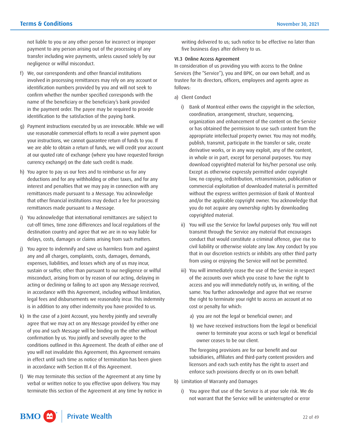not liable to you or any other person for incorrect or improper payment to any person arising out of the processing of any transfer including wire payments, unless caused solely by our negligence or wilful misconduct.

- f) We, our correspondents and other financial institutions involved in processing remittances may rely on any account or identification numbers provided by you and will not seek to confirm whether the number specified corresponds with the name of the beneficiary or the beneficiary's bank provided in the payment order. The payee may be required to provide identification to the satisfaction of the paying bank.
- g) Payment instructions executed by us are irrevocable. While we will use reasonable commercial efforts to recall a wire payment upon your instructions, we cannot guarantee return of funds to you. If we are able to obtain a return of funds, we will credit your account at our quoted rate of exchange (where you have requested foreign currency exchange) on the date such credit is made.
- deductions and for any withholding or other taxes, and for any h) You agree to pay us our fees and to reimburse us for any interest and penalties that we may pay in connection with any remittances made pursuant to a Message. You acknowledge that other financial institutions may deduct a fee for processing remittances made pursuant to a Message.
- i) You acknowledge that international remittances are subject to cut-off times, time zone differences and local regulations of the destination country and agree that we are in no way liable for delays, costs, damages or claims arising from such matters.
- j) You agree to indemnify and save us harmless from and against any and all charges, complaints, costs, damages, demands, expenses, liabilities, and losses which any of us may incur, sustain or suffer, other than pursuant to our negligence or wilful misconduct, arising from or by reason of our acting, delaying in acting or declining or failing to act upon any Message received, in accordance with this Agreement, including without limitation, legal fees and disbursements we reasonably incur. This indemnity is in addition to any other indemnity you have provided to us.
- k) In the case of a Joint Account, you hereby jointly and severally agree that we may act on any Message provided by either one of you and such Message will be binding on the other without confirmation by us. You jointly and severally agree to the conditions outlined in this Agreement. The death of either one of you will not invalidate this Agreement; this Agreement remains in effect until such time as notice of termination has been given in accordance with Section III.4 of this Agreement.
- l) We may terminate this section of the Agreement at any time by verbal or written notice to you effective upon delivery. You may terminate this section of the Agreement at any time by notice in

writing delivered to us; such notice to be effective no later than five business days after delivery to us.

#### VI.3 Online Access Agreement

In consideration of us providing you with access to the Online Services (the "Service"), you and BPIC, on our own behalf, and as trustee for its directors, officers, employees and agents agree as follows:

- a) Client Conduct
	- i) Bank of Montreal either owns the copyright in the selection, coordination, arrangement, structure, sequencing, organization and enhancement of the content on the Service or has obtained the permission to use such content from the appropriate intellectual property owner. You may not modify, publish, transmit, participate in the transfer or sale, create derivative works, or in any way exploit, any of the content, in whole or in part, except for personal purposes. You may download copyrighted material for his/her personal use only. Except as otherwise expressly permitted under copyright law, no copying, redistribution, retransmission, publication or commercial exploitation of downloaded material is permitted without the express written permission of Bank of Montreal and/or the applicable copyright owner. You acknowledge that you do not acquire any ownership rights by downloading copyrighted material.
	- ii) You will use the Service for lawful purposes only. You will not transmit through the Service any material that encourages conduct that would constitute a criminal offence, give rise to civil liability or otherwise violate any law. Any conduct by you that in our discretion restricts or inhibits any other third party from using or enjoying the Service will not be permitted.
	- iii) You will immediately cease the use of the Service in respect of the accounts over which you cease to have the right to access and you will immediately notify us, in writing, of the same. You further acknowledge and agree that we reserve the right to terminate your right to access an account at no cost or penalty for which:
		- a) you are not the legal or beneficial owner; and
		- b) we have received instructions from the legal or beneficial owner to terminate your access or such legal or beneficial owner ceases to be our client.

The foregoing provisions are for our benefit and our subsidiaries, affiliates and third-party content providers and licensors and each such entity has the right to assert and enforce such provisions directly or on its own behalf.

- b) Limitation of Warranty and Damages
	- i) You agree that use of the Service is at your sole risk. We do not warrant that the Service will be uninterrupted or error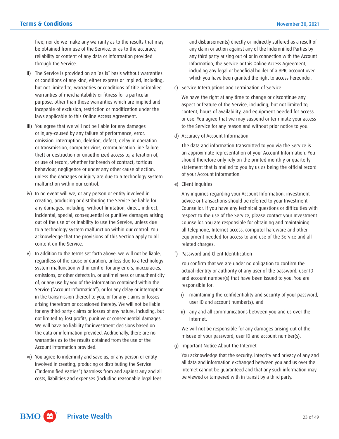free; nor do we make any warranty as to the results that may be obtained from use of the Service, or as to the accuracy, reliability or content of any data or information provided through the Service.

- ii) The Service is provided on an "as is" basis without warranties or conditions of any kind, either express or implied, including, but not limited to, warranties or conditions of title or implied warranties of merchantability or fitness for a particular purpose, other than those warranties which are implied and incapable of exclusion, restriction or modification under the laws applicable to this Online Access Agreement.
- iii) You agree that we will not be liable for any damages or injury-caused by any failure of performance, error, omission, interruption, deletion, defect, delay in operation or transmission, computer virus, communication line failure, theft or destruction or unauthorized access to, alteration of, or use of record, whether for breach of contract, tortious behaviour, negligence or under any other cause of action, unless the damages or injury are due to a technology system malfunction within our control.
- iv) In no event will we, or any person or entity involved in creating, producing or distributing the Service be liable for any damages, including, without limitation, direct, indirect, incidental, special, consequential or punitive damages arising out of the use of or inability to use the Service, unless due to a technology system malfunction within our control. You acknowledge that the provisions of this Section apply to all content on the Service.
- of, or any use by you of the information contained within the v) In addition to the terms set forth above, we will not be liable, regardless of the cause or duration, unless due to a technology system malfunction within control for any errors, inaccuracies, omissions, or other defects in, or untimeliness or unauthenticity Service ("Account Information"), or for any delay or interruption in the transmission thereof to you, or for any claims or losses arising therefrom or occasioned thereby. We will not be liable for any third-party claims or losses of any nature, including, but not limited to, lost profits, punitive or consequential damages. We will have no liability for investment decisions based on the data or information provided. Additionally, there are no warranties as to the results obtained from the use of the Account Information provided.
- vi) You agree to indemnify and save us, or any person or entity involved in creating, producing or distributing the Service ("Indemnified Parties") harmless from and against any and all costs, liabilities and expenses (including reasonable legal fees

and disbursements) directly or indirectly suffered as a result of any claim or action against any of the Indemnified Parties by any third party arising out of or in connection with the Account Information, the Service or this Online Access Agreement, including any legal or beneficial holder of a BPIC account over which you have been granted the right to access hereunder.

c) Service Interruptions and Termination of Service

We have the right at any time to change or discontinue any aspect or feature of the Service, including, but not limited to, content, hours of availability, and equipment needed for access or use. You agree that we may suspend or terminate your access to the Service for any reason and without prior notice to you.

d) Accuracy of Account Information

The data and information transmitted to you via the Service is an approximate representation of your Account Information. You should therefore only rely on the printed monthly or quarterly statement that is mailed to you by us as being the official record of your Account Information.

e) Client Inquiries

Any inquiries regarding your Account Information, investment advice or transactions should be referred to your Investment Counsellor. If you have any technical questions or difficulties with respect to the use of the Service, please contact your Investment Counsellor. You are responsible for obtaining and maintaining all telephone, Internet access, computer hardware and other equipment needed for access to and use of the Service and all related charges.

f) Password and Client Identification

You confirm that we are under no obligation to confirm the actual identity or authority of any user of the password, user ID and account number(s) that have been issued to you. You are responsible for:

- i) maintaining the confidentiality and security of your password, user ID and account number(s); and
- ii) any and all communications between you and us over the Internet.

We will not be responsible for any damages arising out of the misuse of your password, user ID and account number(s).

g) Important Notice About the Internet

You acknowledge that the security, integrity and privacy of any and all data and information exchanged between you and us over the Internet cannot be guaranteed and that any such information may be viewed or tampered with in transit by a third party.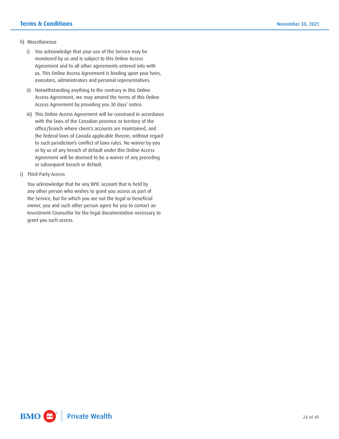#### h) Miscellaneous

- i) You acknowledge that your use of the Service may be monitored by us and is subject to this Online Access Agreement and to all other agreements entered into with us. This Online Access Agreement is binding upon your heirs, executors, administrators and personal representatives.
- ii) Notwithstanding anything to the contrary in this Online Access Agreement, we may amend the terms of this Online Access Agreement by providing you 30 days' notice.
- iii) This Online Access Agreement will be construed in accordance with the laws of the Canadian province or territory of the office/branch where client's accounts are maintained, and the federal laws of Canada applicable therein, without regard to such jurisdiction's conflict of laws rules. No waiver by you or by us of any breach of default under this Online Access Agreement will be deemed to be a waiver of any preceding or subsequent breach or default.
- i) Third-Party Access

You acknowledge that for any BPIC account that is held by any other person who wishes to grant you access as part of the Service, but for which you are not the legal or beneficial owner, you and such other person agree for you to contact an Investment Counsellor for the legal documentation necessary to grant you such access.

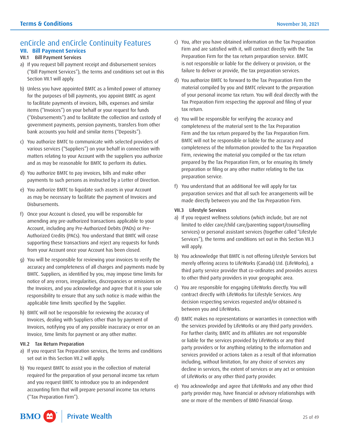# <span id="page-24-0"></span>enCircle and enCircle Continuity Features **VII. Bill Payment Services**

# VII.1 Bill Payment Services

- a) If you request bill payment receipt and disbursement services ("Bill Payment Services"), the terms and conditions set out in this Section VII.1 will apply.
- b) Unless you have appointed BMTC as a limited power of attorney for the purposes of bill payments, you appoint BMTC as agent to facilitate payments of invoices, bills, expenses and similar items ("Invoices") on your behalf or your request for funds ("Disbursements") and to facilitate the collection and custody of government payments, pension payments, transfers from other bank accounts you hold and similar items ("Deposits").
- c) You authorize BMTC to communicate with selected providers of various services ("Suppliers") on your behalf in connection with matters relating to your Account with the suppliers you authorize and as may be reasonable for BMTC to perform its duties.
- d) You authorize BMTC to pay invoices, bills and make other payments to such persons as instructed by a Letter of Direction.
- e) You authorize BMTC to liquidate such assets in your Account as may be necessary to facilitate the payment of Invoices and Disbursements.
- f) Once your Account is closed, you will be responsible for amending any pre-authorized transactions applicable to your Account, including any Pre-Authorized Debits (PADs) or Pre-Authorized Credits (PACs). You understand that BMTC will cease supporting these transactions and reject any requests for funds from your Account once your Account has been closed.
- g) You will be responsible for reviewing your invoices to verify the accuracy and completeness of all charges and payments made by BMTC. Suppliers, as identified by you, may impose time limits for notice of any errors, irregularities, discrepancies or omissions on the Invoices, and you acknowledge and agree that it is your sole responsibility to ensure that any such notice is made within the applicable time limits specified by the Supplier.
- h) BMTC will not be responsible for reviewing the accuracy of Invoices, dealing with Suppliers other than by payment of Invoices, notifying you of any possible inaccuracy or error on an Invoice, time limits for payment or any other matter.

#### VII.2 Tax Return Preparation

- a) If you request Tax Preparation services, the terms and conditions set out in this Section VII.2 will apply.
- b) You request BMTC to assist you in the collection of material required for the preparation of your personal income tax return and you request BMTC to introduce you to an independent accounting firm that will prepare personal income tax returns ("Tax Preparation Firm").
- c) You, after you have obtained information on the Tax Preparation Firm and are satisfied with it, will contract directly with the Tax Preparation Firm for the tax return preparation service. BMTC is not responsible or liable for the delivery or provision, or the failure to deliver or provide, the tax preparation services.
- d) You authorize BMTC to forward to the Tax Preparation Firm the material compiled by you and BMTC relevant to the preparation of your personal income tax return. You will deal directly with the Tax Preparation Firm respecting the approval and filing of your tax return.
- e) You will be responsible for verifying the accuracy and completeness of the material sent to the Tax Preparation Firm and the tax return prepared by the Tax Preparation Firm. BMTC will not be responsible or liable for the accuracy and completeness of the Information provided to the Tax Preparation Firm, reviewing the material you compiled or the tax return prepared by the Tax Preparation Firm, or for ensuring its timely preparation or filing or any other matter relating to the tax preparation service.
- f) You understand that an additional fee will apply for tax preparation services and that all such fee arrangements will be made directly between you and the Tax Preparation Firm.

## VII.3 Lifestyle Services

- a) If you request wellness solutions (which include, but are not limited to elder care/child care/parenting support/counselling services) or personal assistant services (together called "Lifestyle Services"), the terms and conditions set out in this Section VII.3 will apply.
- b) You acknowledge that BMTC is not offering Lifestyle Services but merely offering access to LifeWorks (Canada) Ltd. (LifeWorks), a third party service provider that co-ordinates and provides access to other third party providers in your geographic area.
- contract directly with LifeWorks for Lifestyle Services. Any c) You are responsible for engaging LifeWorks directly. You will decision respecting services requested and/or obtained is between you and LifeWorks.
- d) BMTC makes no representations or warranties in connection with the services provided by LifeWorks or any third party providers. For further clarity, BMTC and its affiliates are not responsible or liable for the services provided by LifeWorks or any third party providers or for anything relating to the information and services provided or actions taken as a result of that information including, without limitation, for any choice of services any decline in services, the extent of services or any act or omission of LifeWorks or any other third party provider.
- e) You acknowledge and agree that LifeWorks and any other third party provider may, have financial or advisory relationships with one or more of the members of BMO Financial Group.

#### $BMO$   $\bigtriangleup$ <sup>\*</sup> **Private Wealth**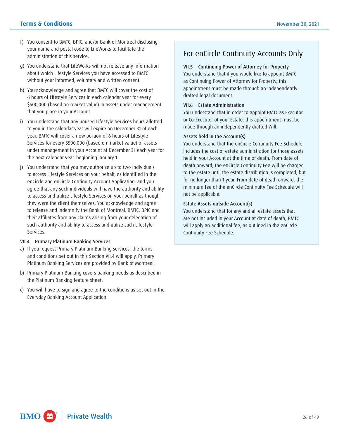- f) You consent to BMTC, BPIC, and/or Bank of Montreal disclosing your name and postal code to LifeWorks to facilitate the administration of this service.
- g) You understand that LifeWorks will not release any information about which Lifestyle Services you have accessed to BMTC without your informed, voluntary and written consent.
- 6 hours of Lifestyle Services in each calendar year for every h) You acknowledge and agree that BMTC will cover the cost of \$500,000 (based on market value) in assets under management that you place in your Account.
- to you in the calendar year will expire on December 31 of each under management in your Account at December 31 each year for i) You understand that any unused Lifestyle Services hours allotted year. BMTC will cover a new portion of 6 hours of Lifestyle Services for every \$500,000 (based on market value) of assets the next calendar year, beginning January 1.
- j) You understand that you may authorize up to two individuals to access Lifestyle Services on your behalf, as identified in the enCircle and enCircle Continuity Account Application, and you agree that any such individuals will have the authority and ability to access and utilize Lifestyle Services on your behalf as though they were the client themselves. You acknowledge and agree to release and indemnify the Bank of Montreal, BMTC, BPIC and their affiliates from any claims arising from your delegation of such authority and ability to access and utilize such Lifestyle Services.

#### VII.4 Primary Platinum Banking Services

- a) If you request Primary Platinum Banking services, the terms and conditions set out in this Section VII.4 will apply. Primary Platinum Banking Services are provided by Bank of Montreal.
- b) Primary Platinum Banking covers banking needs as described in the Platinum Banking feature sheet.
- c) You will have to sign and agree to the conditions as set out in the Everyday Banking Account Application.

# For enCircle Continuity Accounts Only

# VII.5 Continuing Power of Attorney for Property

You understand that if you would like to appoint BMTC as Continuing Power of Attorney for Property, this appointment must be made through an independently drafted legal document.

#### VII.6 Estate Administration

You understand that in order to appoint BMTC as Executor or Co-Executor of your Estate, this appointment must be made through an independently drafted Will.

# Assets held in the Account(s)

You understand that the enCircle Continuity Fee Schedule includes the cost of estate administration for those assets held in your Account at the time of death. From date of death onward, the enCircle Continuity Fee will be charged to the estate until the estate distribution is completed, but for no longer than 1 year. From date of death onward, the minimum fee of the enCircle Continuity Fee Schedule will not be applicable.

# Estate Assets outside Account(s)

You understand that for any and all estate assets that are not included in your Account at date of death, BMTC will apply an additional fee, as outlined in the enCircle Continuity Fee Schedule.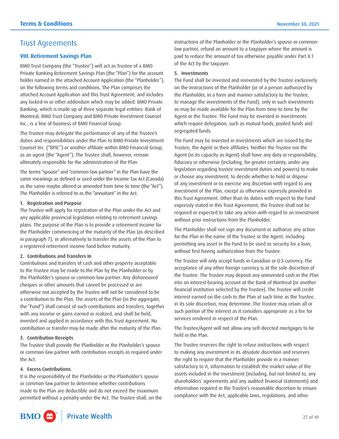# <span id="page-26-0"></span>Trust Agreements

# **VIII. Retirement Savings Plan**

BMO Trust Company (the "Trustee") will act as Trustee of a BMO Private Banking Retirement Savings Plan (the "Plan") for the account holder named in the attached Account Application (the "Planholder"), on the following terms and conditions. The Plan comprises the attached Account Application and this Trust Agreement, and includes any locked-in or other addendum which may be added. BMO Private Banking, which is made up of three separate legal entities: Bank of Montreal, BMO Trust Company and BMO Private Investment Counsel Inc., is a line of business of BMO Financial Group.

The Trustee may delegate the performance of any of the Trustee's duties and responsibilities under the Plan to BMO Private Investment Counsel Inc. ("BPIC") or another affiliate within BMO Financial Group, as an agent (the "Agent"). The Trustee shall, however, remain ultimately responsible for the administration of the Plan.

The terms "spouse" and "common-law partner" in the Plan have the same meanings as defined or used under the Income Tax Act (Canada) as the same maybe altered or amended from time to time (the "Act"). The Planholder is referred to as the "annuitant" in the Act.

## 1. Registration and Purpose

The Trustee will apply for registration of the Plan under the Act and any applicable provincial legislation relating to retirement savings plans. The purpose of the Plan is to provide a retirement income for the Planholder commencing at the maturity of the Plan (as described in paragraph 7), or alternatively to transfer the assets of the Plan to a registered retirement income fund before maturity.

# 2. Contributions and Transfers In

Contributions and transfers of cash and other property acceptable to the Trustee may be made to the Plan by the Planholder or by the Planholder's spouse or common-law partner. Any dishonoured cheques or other amounts that cannot be processed or are otherwise not accepted by the Trustee will not be considered to be a contribution to the Plan. The assets of the Plan (in the aggregate, the "Fund") shall consist of such contributions and transfers, together with any income or gains earned or realized, and shall be held, invested and applied in accordance with this Trust Agreement. No contribution or transfer may be made after the maturity of the Plan.

# 3. Contribution Receipts

 or common-law partner with contribution receipts as required under The Trustee shall provide the Planholder or the Planholder's spouse the Act.

# 4. Excess Contributions

It is the responsibility of the Planholder or the Planholder's spouse or common-law partner to determine whether contributions made to the Plan are deductible and do not exceed the maximum permitted without a penalty under the Act. The Trustee shall, on the instructions of the Planholder or the Planholder's spouse or commonlaw partner, refund an amount to a taxpayer where the amount is paid to reduce the amount of tax otherwise payable under Part X.1 of the Act by the taxpayer.

## 5. Investments

The Fund shall be invested and reinvested by the Trustee exclusively on the instructions of the Planholder (or of a person authorized by the Planholder, in a form and manner satisfactory to the Trustee, to manage the investments of the Fund), only in such investments as may be made available for the Plan from time to time by the Agent or the Trustee. The Fund may be invested in investments which require delegation, such as mutual funds, pooled funds and segregated funds.

The Fund may be invested in investments which are issued by the Trustee, the Agent or their affiliates. Neither the Trustee nor the Agent (in its capacity as Agent) shall have any duty or responsibility, fiduciary or otherwise (including, for greater certainty, under any legislation regarding trustee investment duties and powers) to make or choose any investment, to decide whether to hold or dispose of any investment or to exercise any discretion with regard to any investment of the Plan, except as otherwise expressly provided in this Trust Agreement. Other than its duties with respect to the Fund expressly stated in this Trust Agreement, the Trustee shall not be required or expected to take any action with regard to an investment without prior instructions from the Planholder.

The Planholder shall not sign any document or authorize any action for the Plan in the name of the Trustee or the Agent, including permitting any asset in the Fund to be used as security for a loan, without first having authorization from the Trustee.

The Trustee will only accept funds in Canadian or U.S currency. The acceptance of any other foreign currency is at the sole discretion of the Trustee. The Trustee may deposit any uninvested cash in the Plan into an interest-bearing account at the Bank of Montreal (or another financial institution selected by the Trustee). The Trustee will credit interest earned on the cash to the Plan at such time as the Trustee, in its sole discretion, may determine. The Trustee may retain all or such portion of the interest as it considers appropriate as a fee for services rendered in respect of the Plan.

The Trustee/Agent will not allow any self-directed mortgages to be held in the Plan.

The Trustee reserves the right to refuse instructions with respect to making any investment in its absolute discretion and reserves the right to require that the Planholder provide in a manner satisfactory to it, information to establish the market value of the assets included in the investment (including, but not limited to, any shareholders' agreements and any audited financial statements) and information required in the Trustee's reasonable discretion to ensure compliance with the Act, applicable laws, regulations, and other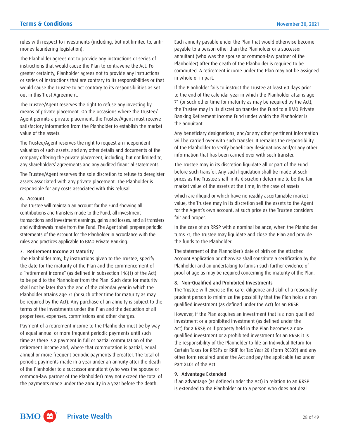rules with respect to investments (including, but not limited to, antimoney laundering legislation).

The Planholder agrees not to provide any instructions or series of instructions that would cause the Plan to contravene the Act. For greater certainty, Planholder agrees not to provide any instructions or series of instructions that are contrary to its responsibilities or that would cause the Trustee to act contrary to its responsibilities as set out in this Trust Agreement.

The Trustee/Agent reserves the right to refuse any investing by means of private placement. On the occasions where the Trustee/ Agent permits a private placement, the Trustee/Agent must receive satisfactory information from the Planholder to establish the market value of the assets.

The Trustee/Agent reserves the right to request an independent valuation of such assets, and any other details and documents of the company offering the private placement, including, but not limited to, any shareholders' agreements and any audited financial statements.

The Trustee/Agent reserves the sole discretion to refuse to deregister assets associated with any private placement. The Planholder is responsible for any costs associated with this refusal.

#### 6. Account

The Trustee will maintain an account for the Fund showing all contributions and transfers made to the Fund, all investment transactions and investment earnings, gains and losses, and all transfers and withdrawals made from the Fund. The Agent shall prepare periodic statements of the Account for the Planholder in accordance with the rules and practices applicable to BMO Private Banking.

#### 7. Retirement Income at Maturity

The Planholder may, by instructions given to the Trustee, specify the date for the maturity of the Plan and the commencement of a "retirement income" (as defined in subsection 146(1) of the Act) to be paid to the Planholder from the Plan. Such date for maturity shall not be later than the end of the calendar year in which the Planholder attains age 71 (or such other time for maturity as may be required by the Act). Any purchase of an annuity is subject to the terms of the investments under the Plan and the deduction of all proper fees, expenses, commissions and other charges.

 Payment of a retirement income to the Planholder must be by way of equal annual or more frequent periodic payments until such time as there is a payment in full or partial commutation of the retirement income and, where that commutation is partial, equal annual or more frequent periodic payments thereafter. The total of periodic payments made in a year under an annuity after the death of the Planholder to a successor annuitant (who was the spouse or common-law partner of the Planholder) may not exceed the total of the payments made under the annuity in a year before the death.

Each annuity payable under the Plan that would otherwise become payable to a person other than the Planholder or a successor annuitant (who was the spouse or common-law partner of the Planholder) after the death of the Planholder is required to be commuted. A retirement income under the Plan may not be assigned in whole or in part.

If the Planholder fails to instruct the Trustee at least 60 days prior to the end of the calendar year in which the Planholder attains age 71 (or such other time for maturity as may be required by the Act), the Trustee may in its discretion transfer the Fund to a BMO Private Banking Retirement Income Fund under which the Planholder is the annuitant.

 will be carried over with such transfer. It remains the responsibility Any beneficiary designations, and/or any other pertinent information of the Planholder to verify beneficiary designations and/or any other information that has been carried over with such transfer.

The Trustee may in its discretion liquidate all or part of the Fund before such transfer. Any such liquidation shall be made at such prices as the Trustee shall in its discretion determine to be the fair market value of the assets at the time; in the case of assets

which are illiquid or which have no readily ascertainable market value, the Trustee may in its discretion sell the assets to the Agent for the Agent's own account, at such price as the Trustee considers fair and proper.

In the case of an RRSP with a nominal balance, when the Planholder turns 71, the Trustee may liquidate and close the Plan and provide the funds to the Planholder.

The statement of the Planholder's date of birth on the attached Account Application or otherwise shall constitute a certification by the Planholder and an undertaking to furnish such further evidence of proof of age as may be required concerning the maturity of the Plan.

#### 8. Non-Qualified and Prohibited Investments

The Trustee will exercise the care, diligence and skill of a reasonably prudent person to minimize the possibility that the Plan holds a nonqualified investment (as defined under the Act) for an RRSP.

 Certain Taxes for RRSPs or RRIF for Tax Year 20 (Form RC339) and any However, if the Plan acquires an investment that is a non-qualified investment or a prohibited investment (as defined under the Act) for a RRSP, or if property held in the Plan becomes a nonqualified investment or a prohibited investment for an RRSP, it is the responsibility of the Planholder to file an Individual Return for other form required under the Act and pay the applicable tax under Part XI.01 of the Act.

#### 9. Advantage Extended

If an advantage (as defined under the Act) in relation to an RRSP is extended to the Planholder or to a person who does not deal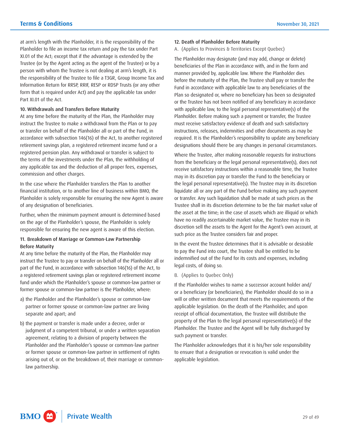form that is required under Act) and pay the applicable tax under at arm's length with the Planholder, it is the responsibility of the Planholder to file an income tax return and pay the tax under Part XI.01 of the Act; except that if the advantage is extended by the Trustee (or by the Agent acting as the agent of the Trustee) or by a person with whom the Trustee is not dealing at arm's length, it is the responsibility of the Trustee to file a T3GR, Group Income Tax and Information Return for RRSP, RRIF, RESP or RDSP Trusts (or any other Part XI.01 of the Act.

## 10. Withdrawals and Transfers Before Maturity

At any time before the maturity of the Plan, the Planholder may instruct the Trustee to make a withdrawal from the Plan or to pay or transfer on behalf of the Planholder all or part of the Fund, in accordance with subsection 146(16) of the Act, to another registered retirement savings plan, a registered retirement income fund or a registered pension plan. Any withdrawal or transfer is subject to the terms of the investments under the Plan, the withholding of any applicable tax and the deduction of all proper fees, expenses, commission and other charges.

In the case where the Planholder transfers the Plan to another financial institution, or to another line of business within BMO, the Planholder is solely responsible for ensuring the new Agent is aware of any designation of beneficiaries.

Further, when the minimum payment amount is determined based on the age of the Planholder's spouse, the Planholder is solely responsible for ensuring the new agent is aware of this election.

## 11. Breakdown of Marriage or Common-Law Partnership Before Maturity

 fund under which the Planholder's spouse or common-law partner or At any time before the maturity of the Plan, the Planholder may instruct the Trustee to pay or transfer on behalf of the Planholder all or part of the Fund, in accordance with subsection 146(16) of the Act, to a registered retirement savings plan or registered retirement income former spouse or common-law partner is the Planholder, where:

- a) the Planholder and the Planholder's spouse or common-law partner or former spouse or common-law partner are living separate and apart; and
- b) the payment or transfer is made under a decree, order or judgment of a competent tribunal, or under a written separation agreement, relating to a division of property between the Planholder and the Planholder's spouse or common-law partner or former spouse or common-law partner in settlement of rights arising out of, or on the breakdown of, their marriage or commonlaw partnership.
- 12. Death of Planholder Before Maturity
- A. (Applies to Provinces & Territories Except Quebec)

The Planholder may designate (and may add, change or delete) beneficiaries of the Plan in accordance with, and in the form and manner provided by, applicable law. Where the Planholder dies before the maturity of the Plan, the Trustee shall pay or transfer the Fund in accordance with applicable law to any beneficiaries of the Plan so designated or, where no beneficiary has been so designated or the Trustee has not been notified of any beneficiary in accordance with applicable law, to the legal personal representative(s) of the Planholder. Before making such a payment or transfer, the Trustee must receive satisfactory evidence of death and such satisfactory instructions, releases, indemnities and other documents as may be required. It is the Planholder's responsibility to update any beneficiary designations should there be any changes in personal circumstances.

 the asset at the time; in the case of assets which are illiquid or which Where the Trustee, after making reasonable requests for instructions from the beneficiary or the legal personal representative(s), does not receive satisfactory instructions within a reasonable time, the Trustee may in its discretion pay or transfer the Fund to the beneficiary or the legal personal representative(s). The Trustee may in its discretion liquidate all or any part of the Fund before making any such payment or transfer. Any such liquidation shall be made at such prices as the Trustee shall in its discretion determine to be the fair market value of have no readily ascertainable market value, the Trustee may in its discretion sell the assets to the Agent for the Agent's own account, at such price as the Trustee considers fair and proper.

In the event the Trustee determines that it is advisable or desirable to pay the Fund into court, the Trustee shall be entitled to be indemnified out of the Fund for its costs and expenses, including legal costs, of doing so.

# B. (Applies to Quebec Only)

If the Planholder wishes to name a successor account holder and/ or a beneficiary (or beneficiaries), the Planholder should do so in a will or other written document that meets the requirements of the applicable legislation. On the death of the Planholder, and upon receipt of official documentation, the Trustee will distribute the property of the Plan to the legal personal representative(s) of the Planholder. The Trustee and the Agent will be fully discharged by such payment or transfer.

The Planholder acknowledges that it is his/her sole responsibility to ensure that a designation or revocation is valid under the applicable legislation.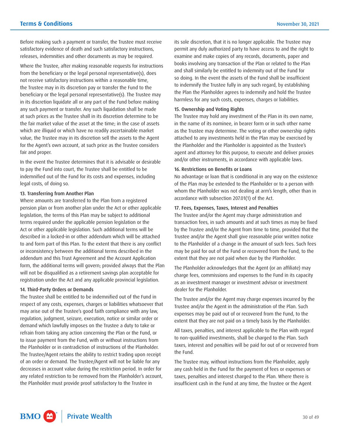Before making such a payment or transfer, the Trustee must receive satisfactory evidence of death and such satisfactory instructions, releases, indemnities and other documents as may be required.

Where the Trustee, after making reasonable requests for instructions from the beneficiary or the legal personal representative(s), does not receive satisfactory instructions within a reasonable time, the Trustee may in its discretion pay or transfer the Fund to the beneficiary or the legal personal representative(s). The Trustee may in its discretion liquidate all or any part of the Fund before making any such payment or transfer. Any such liquidation shall be made at such prices as the Trustee shall in its discretion determine to be the fair market value of the asset at the time; in the case of assets which are illiquid or which have no readily ascertainable market value, the Trustee may in its discretion sell the assets to the Agent for the Agent's own account, at such price as the Trustee considers fair and proper.

In the event the Trustee determines that it is advisable or desirable to pay the Fund into court, the Trustee shall be entitled to be indemnified out of the Fund for its costs and expenses, including legal costs, of doing so.

## 13. Transferring from Another Plan

Where amounts are transferred to the Plan from a registered pension plan or from another plan under the Act or other applicable legislation, the terms of this Plan may be subject to additional terms required under the applicable pension legislation or the Act or other applicable legislation. Such additional terms will be described in a locked-in or other addendum which will be attached to and form part of this Plan. To the extent that there is any conflict or inconsistency between the additional terms described in the addendum and this Trust Agreement and the Account Application form, the additional terms will govern; provided always that the Plan will not be disqualified as a retirement savings plan acceptable for registration under the Act and any applicable provincial legislation.

#### 14. Third-Party Orders or Demands

The Trustee shall be entitled to be indemnified out of the Fund in respect of any costs, expenses, charges or liabilities whatsoever that may arise out of the Trustee's good faith compliance with any law, regulation, judgment, seizure, execution, notice or similar order or demand which lawfully imposes on the Trustee a duty to take or refrain from taking any action concerning the Plan or the Fund, or to issue payment from the Fund, with or without instructions from the Planholder or in contradiction of instructions of the Planholder. The Trustee/Agent retains the ability to restrict trading upon receipt of an order or demand. The Trustee/Agent will not be liable for any decreases in account value during the restriction period. In order for any related restriction to be removed from the Planholder's account, the Planholder must provide proof satisfactory to the Trustee in

its sole discretion, that it is no longer applicable. The Trustee may permit any duly authorized party to have access to and the right to examine and make copies of any records, documents, paper and books involving any transaction of the Plan or related to the Plan and shall similarly be entitled to indemnity out of the Fund for so doing. In the event the assets of the Fund shall be insufficient to indemnify the Trustee fully in any such regard, by establishing the Plan the Planholder agrees to indemnify and hold the Trustee harmless for any such costs, expenses, charges or liabilities.

#### 15. Ownership and Voting Rights

The Trustee may hold any investment of the Plan in its own name, in the name of its nominee, in bearer form or in such other name as the Trustee may determine. The voting or other ownership rights attached to any investments held in the Plan may be exercised by the Planholder and the Planholder is appointed as the Trustee's agent and attorney for this purpose, to execute and deliver proxies and/or other instruments, in accordance with applicable laws.

#### 16. Restrictions on Benefits or Loans

No advantage or loan that is conditional in any way on the existence of the Plan may be extended to the Planholder or to a person with whom the Planholder was not dealing at arm's length, other than in accordance with subsection 207.01(1) of the Act.

#### 17. Fees, Expenses, Taxes, Interest and Penalties

The Trustee and/or the Agent may charge administration and transaction fees, in such amounts and at such times as may be fixed by the Trustee and/or the Agent from time to time, provided that the Trustee and/or the Agent shall give reasonable prior written notice to the Planholder of a change in the amount of such fees. Such fees may be paid for out of the Fund or recovered from the Fund, to the extent that they are not paid when due by the Planholder.

The Planholder acknowledges that the Agent (or an affiliate) may charge fees, commissions and expenses to the Fund in its capacity as an investment manager or investment advisor or investment dealer for the Planholder.

The Trustee and/or the Agent may charge expenses incurred by the Trustee and/or the Agent in the administration of the Plan. Such expenses may be paid out of or recovered from the Fund, to the extent that they are not paid on a timely basis by the Planholder.

All taxes, penalties, and interest applicable to the Plan with regard to non-qualified investments, shall be charged to the Plan. Such taxes, interest and penalties will be paid for out of or recovered from the Fund.

The Trustee may, without instructions from the Planholder, apply any cash held in the Fund for the payment of fees or expenses or taxes, penalties and interest charged to the Plan. Where there is insufficient cash in the Fund at any time, the Trustee or the Agent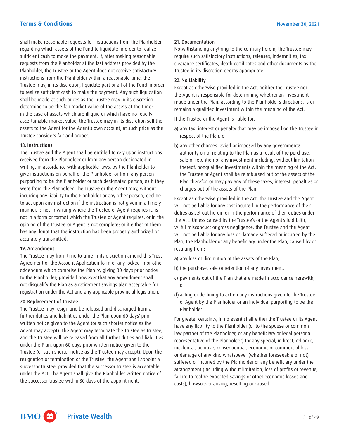shall make reasonable requests for instructions from the Planholder regarding which assets of the Fund to liquidate in order to realize sufficient cash to make the payment. If, after making reasonable requests from the Planholder at the last address provided by the Planholder, the Trustee or the Agent does not receive satisfactory instructions from the Planholder within a reasonable time, the Trustee may, in its discretion, liquidate part or all of the Fund in order to realize sufficient cash to make the payment. Any such liquidation shall be made at such prices as the Trustee may in its discretion determine to be the fair market value of the assets at the time; in the case of assets which are illiquid or which have no readily ascertainable market value, the Trustee may in its discretion sell the assets to the Agent for the Agent's own account, at such price as the Trustee considers fair and proper.

#### 18. Instructions

The Trustee and the Agent shall be entitled to rely upon instructions received from the Planholder or from any person designated in writing, in accordance with applicable laws, by the Planholder to give instructions on behalf of the Planholder or from any person purporting to be the Planholder or such designated person, as if they were from the Planholder. The Trustee or the Agent may, without incurring any liability to the Planholder or any other person, decline to act upon any instruction if the instruction is not given in a timely manner, is not in writing where the Trustee or Agent requires it, is not in a form or format which the Trustee or Agent requires, or in the opinion of the Trustee or Agent is not complete; or if either of them has any doubt that the instruction has been properly authorized or accurately transmitted.

#### 19. Amendment

The Trustee may from time to time in its discretion amend this Trust Agreement or the Account Application form or any locked-in or other addendum which comprise the Plan by giving 30 days prior notice to the Planholder; provided however that any amendment shall not disqualify the Plan as a retirement savings plan acceptable for registration under the Act and any applicable provincial legislation.

#### 20.Replacement of Trustee

The Trustee may resign and be released and discharged from all further duties and liabilities under the Plan upon 60 days' prior written notice given to the Agent (or such shorter notice as the Agent may accept). The Agent may terminate the Trustee as trustee, and the Trustee will be released from all further duties and liabilities under the Plan, upon 60 days prior written notice given to the Trustee (or such shorter notice as the Trustee may accept). Upon the resignation or termination of the Trustee, the Agent shall appoint a successor trustee, provided that the successor trustee is acceptable under the Act. The Agent shall give the Planholder written notice of the successor trustee within 30 days of the appointment.

#### 21. Documentation

Notwithstanding anything to the contrary herein, the Trustee may require such satisfactory instructions, releases, indemnities, tax clearance certificates, death certificates and other documents as the Trustee in its discretion deems appropriate.

# 22. No Liability

Except as otherwise provided in the Act, neither the Trustee nor the Agent is responsible for determining whether an investment made under the Plan, according to the Planholder's directions, is or remains a qualified investment within the meaning of the Act.

If the Trustee or the Agent is liable for:

- a) any tax, interest or penalty that may be imposed on the Trustee in respect of the Plan, or
- b) any other charges levied or imposed by any governmental authority on or relating to the Plan as a result of the purchase, sale or retention of any investment including, without limitation thereof, nonqualified investments within the meaning of the Act, the Trustee or Agent shall be reimbursed out of the assets of the Plan therefor, or may pay any of these taxes, interest, penalties or charges out of the assets of the Plan.

Except as otherwise provided in the Act, the Trustee and the Agent will not be liable for any cost incurred in the performance of their duties as set out herein or in the performance of their duties under the Act. Unless caused by the Trustee's or the Agent's bad faith, wilful misconduct or gross negligence, the Trustee and the Agent will not be liable for any loss or damage suffered or incurred by the Plan, the Planholder or any beneficiary under the Plan, caused by or resulting from:

- a) any loss or diminution of the assets of the Plan;
- b) the purchase, sale or retention of any investment;
- c) payments out of the Plan that are made in accordance herewith; or
- d) acting or declining to act on any instructions given to the Trustee or Agent by the Planholder or an individual purporting to be the Planholder.

For greater certainty, in no event shall either the Trustee or its Agent have any liability to the Planholder (or to the spouse or commonlaw partner of the Planholder, or any beneficiary or legal personal representative of the Planholder) for any special, indirect, reliance, incidental, punitive, consequential, economic or commercial loss or damage of any kind whatsoever (whether foreseeable or not), suffered or incurred by the Planholder or any beneficiary under the arrangement (including without limitation, loss of profits or revenue, failure to realize expected savings or other economic losses and costs), howsoever arising, resulting or caused.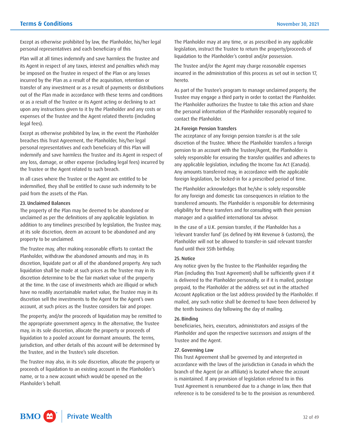Except as otherwise prohibited by law, the Planholder, his/her legal personal representatives and each beneficiary of this

Plan will at all times indemnify and save harmless the Trustee and its Agent in respect of any taxes, interest and penalties which may be imposed on the Trustee in respect of the Plan or any losses incurred by the Plan as a result of the acquisition, retention or transfer of any investment or as a result of payments or distributions out of the Plan made in accordance with these terms and conditions or as a result of the Trustee or its Agent acting or declining to act upon any instructions given to it by the Planholder and any costs or expenses of the Trustee and the Agent related thereto (including legal fees).

Except as otherwise prohibited by law, in the event the Planholder breaches this Trust Agreement, the Planholder, his/her legal personal representatives and each beneficiary of this Plan will indemnify and save harmless the Trustee and its Agent in respect of any loss, damage, or other expense (including legal fees) incurred by the Trustee or the Agent related to such breach.

In all cases where the Trustee or the Agent are entitled to be indemnified, they shall be entitled to cause such indemnity to be paid from the assets of the Plan.

#### 23. Unclaimed Balances

The property of the Plan may be deemed to be abandoned or unclaimed as per the definitions of any applicable legislation. In addition to any timelines prescribed by legislation, the Trustee may, at its sole discretion, deem an account to be abandoned and any property to be unclaimed.

The Trustee may, after making reasonable efforts to contact the Planholder, withdraw the abandoned amounts and may, in its discretion, liquidate part or all of the abandoned property. Any such liquidation shall be made at such prices as the Trustee may in its discretion determine to be the fair market value of the property at the time. In the case of investments which are illiquid or which have no readily ascertainable market value, the Trustee may in its discretion sell the investments to the Agent for the Agent's own account, at such prices as the Trustee considers fair and proper.

The property, and/or the proceeds of liquidation may be remitted to the appropriate government agency. In the alternative, the Trustee may, in its sole discretion, allocate the property or proceeds of liquidation to a pooled account for dormant amounts. The terms, jurisdiction, and other details of this account will be determined by the Trustee, and in the Trustee's sole discretion.

The Trustee may also, in its sole discretion, allocate the property or proceeds of liquidation to an existing account in the Planholder's name, or to a new account which would be opened on the Planholder's behalf.

The Planholder may at any time, or as prescribed in any applicable legislation, instruct the Trustee to return the property/proceeds of liquidation to the Planholder's control and/or possession.

The Trustee and/or the Agent may charge reasonable expenses incurred in the administration of this process as set out in section 17, hereto.

As part of the Trustee's program to manage unclaimed property, the Trustee may engage a third party in order to contact the Planholder. The Planholder authorizes the Trustee to take this action and share the personal information of the Planholder reasonably required to contact the Planholder.

#### 24. Foreign Pension Transfers

The acceptance of any foreign pension transfer is at the sole discretion of the Trustee. Where the Planholder transfers a foreign pension to an account with the Trustee/Agent, the Planholder is solely responsible for ensuring the transfer qualifies and adheres to any applicable legislation, including the Income Tax Act (Canada). Any amounts transferred may, in accordance with the applicable foreign legislation, be locked-in for a prescribed period of time.

The Planholder acknowledges that he/she is solely responsible for any foreign and domestic tax consequences in relation to the transferred amounts. The Planholder is responsible for determining eligibility for these transfers and for consulting with their pension manager and a qualified international tax advisor.

In the case of a U.K. pension transfer, if the Planholder has a 'relevant transfer fund' (as defined by HM Revenue & Customs), the Planholder will not be allowed to transfer-in said relevant transfer fund until their 55th birthday.

#### 25. Notice

Any notice given by the Trustee to the Planholder regarding the Plan (including this Trust Agreement) shall be sufficiently given if it is delivered to the Planholder personally, or if it is mailed, postage prepaid, to the Planholder at the address set out in the attached Account Application or the last address provided by the Planholder. If mailed, any such notice shall be deemed to have been delivered by the tenth business day following the day of mailing.

#### 26.Binding

beneficiaries, heirs, executors, administrators and assigns of the Planholder and upon the respective successors and assigns of the Trustee and the Agent.

#### 27. Governing Law

This Trust Agreement shall be governed by and interpreted in accordance with the laws of the jurisdiction in Canada in which the branch of the Agent (or an affiliate) is located where the account is maintained. If any provision of legislation referred to in this Trust Agreement is renumbered due to a change in law, then that reference is to be considered to be to the provision as renumbered.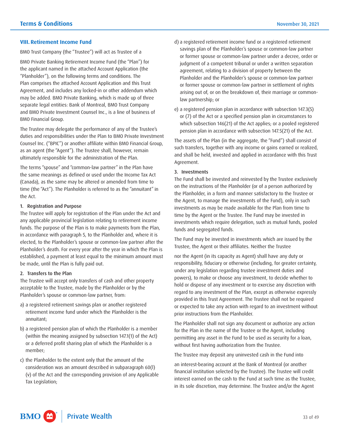#### <span id="page-32-0"></span>**VIII. Retirement Income Fund**

BMO Trust Company (the "Trustee") will act as Trustee of a

BMO Private Banking Retirement Income Fund (the "Plan") for the applicant named in the attached Account Application (the "Planholder"), on the following terms and conditions. The Plan comprises the attached Account Application and this Trust Agreement, and includes any locked-in or other addendum which may be added. BMO Private Banking, which is made up of three separate legal entities: Bank of Montreal, BMO Trust Company and BMO Private Investment Counsel Inc., is a line of business of BMO Financial Group.

The Trustee may delegate the performance of any of the Trustee's duties and responsibilities under the Plan to BMO Private Investment Counsel Inc. ("BPIC") or another affiliate within BMO Financial Group, as an agent (the "Agent"). The Trustee shall, however, remain ultimately responsible for the administration of the Plan.

The terms "spouse" and "common-law partner" in the Plan have the same meanings as defined or used under the Income Tax Act (Canada), as the same may be altered or amended from time to time (the "Act"). The Planholder is referred to as the "annuitant" in the Act.

#### 1. Registration and Purpose

The Trustee will apply for registration of the Plan under the Act and any applicable provincial legislation relating to retirement income funds. The purpose of the Plan is to make payments from the Plan, in accordance with paragraph 5, to the Planholder and, where it is elected, to the Planholder's spouse or common-law partner after the Planholder's death. For every year after the year in which the Plan is established, a payment at least equal to the minimum amount must be made, until the Plan is fully paid out.

#### 2. Transfers to the Plan

The Trustee will accept only transfers of cash and other property acceptable to the Trustee, made by the Planholder or by the Planholder's spouse or common-law partner, from:

- a) a registered retirement savings plan or another registered retirement income fund under which the Planholder is the annuitant;
- b) a registered pension plan of which the Planholder is a member (within the meaning assigned by subsection 147.1(1) of the Act) or a deferred profit sharing plan of which the Planholder is a member;
- c) the Planholder to the extent only that the amount of the consideration was an amount described in subparagraph 60(l) (v) of the Act and the corresponding provision of any Applicable Tax Legislation;
- d) a registered retirement income fund or a registered retirement savings plan of the Planholder's spouse or common-law partner or former spouse or common-law partner under a decree, order or judgment of a competent tribunal or under a written separation agreement, relating to a division of property between the Planholder and the Planholder's spouse or common-law partner or former spouse or common-law partner in settlement of rights arising out of, or on the breakdown of, their marriage or commonlaw partnership; or
- e) a registered pension plan in accordance with subsection 147.3(5) or (7) of the Act or a specified pension plan in circumstances to which subsection 146(21) of the Act applies; or a pooled registered pension plan in accordance with subsection 147.5(21) of the Act.

The assets of the Plan (in the aggregate, the "Fund") shall consist of such transfers, together with any income or gains earned or realized, and shall be held, invested and applied in accordance with this Trust Agreement.

#### 3. Investments

The Fund shall be invested and reinvested by the Trustee exclusively on the instructions of the Planholder (or of a person authorized by the Planholder, in a form and manner satisfactory to the Trustee or the Agent, to manage the investments of the Fund), only in such investments as may be made available for the Plan from time to time by the Agent or the Trustee. The Fund may be invested in investments which require delegation, such as mutual funds, pooled funds and segregated funds.

The Fund may be invested in investments which are issued by the Trustee, the Agent or their affiliates. Neither the Trustee

nor the Agent (in its capacity as Agent) shall have any duty or responsibility, fiduciary or otherwise (including, for greater certainty, under any legislation regarding trustee investment duties and powers), to make or choose any investment, to decide whether to hold or dispose of any investment or to exercise any discretion with regard to any investment of the Plan, except as otherwise expressly provided in this Trust Agreement. The Trustee shall not be required or expected to take any action with regard to an investment without prior instructions from the Planholder.

The Planholder shall not sign any document or authorize any action for the Plan in the name of the Trustee or the Agent, including permitting any asset in the Fund to be used as security for a loan, without first having authorization from the Trustee.

The Trustee may deposit any uninvested cash in the Fund into

an interest-bearing account at the Bank of Montreal (or another financial institution selected by the Trustee). The Trustee will credit interest earned on the cash to the Fund at such time as the Trustee, in its sole discretion, may determine. The Trustee and/or the Agent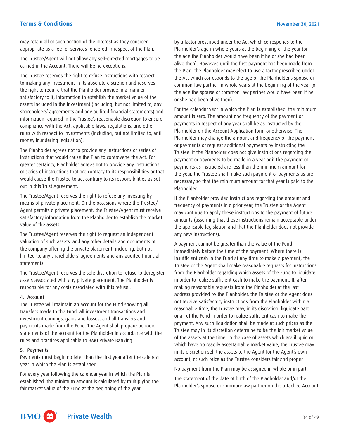may retain all or such portion of the interest as they consider appropriate as a fee for services rendered in respect of the Plan.

The Trustee/Agent will not allow any self-directed mortgages to be carried in the Account. There will be no exceptions.

The Trustee reserves the right to refuse instructions with respect to making any investment in its absolute discretion and reserves the right to require that the Planholder provide in a manner satisfactory to it, information to establish the market value of the assets included in the investment (including, but not limited to, any shareholders' agreements and any audited financial statements) and information required in the Trustee's reasonable discretion to ensure compliance with the Act, applicable laws, regulations, and other rules with respect to investments (including, but not limited to, antimoney laundering legislation).

The Planholder agrees not to provide any instructions or series of instructions that would cause the Plan to contravene the Act. For greater certainty, Planholder agrees not to provide any instructions or series of instructions that are contrary to its responsibilities or that would cause the Trustee to act contrary to its responsibilities as set out in this Trust Agreement.

The Trustee/Agent reserves the right to refuse any investing by means of private placement. On the occasions where the Trustee/ Agent permits a private placement, the Trustee/Agent must receive satisfactory information from the Planholder to establish the market value of the assets.

The Trustee/Agent reserves the right to request an independent valuation of such assets, and any other details and documents of the company offering the private placement, including, but not limited to, any shareholders' agreements and any audited financial statements.

The Trustee/Agent reserves the sole discretion to refuse to deregister assets associated with any private placement. The Planholder is responsible for any costs associated with this refusal.

#### 4. Account

The Trustee will maintain an account for the Fund showing all transfers made to the Fund, all investment transactions and investment earnings, gains and losses, and all transfers and payments made from the Fund. The Agent shall prepare periodic statements of the account for the Planholder in accordance with the rules and practices applicable to BMO Private Banking.

#### 5. Payments

Payments must begin no later than the first year after the calendar year in which the Plan is established.

 For every year following the calendar year in which the Plan is established, the minimum amount is calculated by multiplying the fair market value of the Fund at the beginning of the year

by a factor prescribed under the Act which corresponds to the Planholder's age in whole years at the beginning of the year (or the age the Planholder would have been if he or she had been alive then). However, until the first payment has been made from the Plan, the Planholder may elect to use a factor prescribed under the Act which corresponds to the age of the Planholder's spouse or common-law partner in whole years at the beginning of the year (or the age the spouse or common-law partner would have been if he or she had been alive then).

For the calendar year in which the Plan is established, the minimum amount is zero. The amount and frequency of the payment or payments in respect of any year shall be as instructed by the Planholder on the Account Application form or otherwise. The Planholder may change the amount and frequency of the payment or payments or request additional payments by instructing the Trustee. If the Planholder does not give instructions regarding the payment or payments to be made in a year or if the payment or payments as instructed are less than the minimum amount for the year, the Trustee shall make such payment or payments as are necessary so that the minimum amount for that year is paid to the Planholder.

If the Planholder provided instructions regarding the amount and frequency of payments in a prior year, the Trustee or the Agent may continue to apply these instructions to the payment of future amounts (assuming that these instructions remain acceptable under the applicable legislation and that the Planholder does not provide any new instructions).

A payment cannot be greater than the value of the Fund immediately before the time of the payment. Where there is insufficient cash in the Fund at any time to make a payment, the Trustee or the Agent shall make reasonable requests for instructions from the Planholder regarding which assets of the Fund to liquidate in order to realize sufficient cash to make the payment. If, after making reasonable requests from the Planholder at the last address provided by the Planholder, the Trustee or the Agent does not receive satisfactory instructions from the Planholder within a reasonable time, the Trustee may, in its discretion, liquidate part or all of the Fund in order to realize sufficient cash to make the payment. Any such liquidation shall be made at such prices as the Trustee may in its discretion determine to be the fair market value of the assets at the time; in the case of assets which are illiquid or which have no readily ascertainable market value, the Trustee may in its discretion sell the assets to the Agent for the Agent's own account, at such price as the Trustee considers fair and proper.

No payment from the Plan may be assigned in whole or in part.

The statement of the date of birth of the Planholder and/or the Planholder's spouse or common-law partner on the attached Account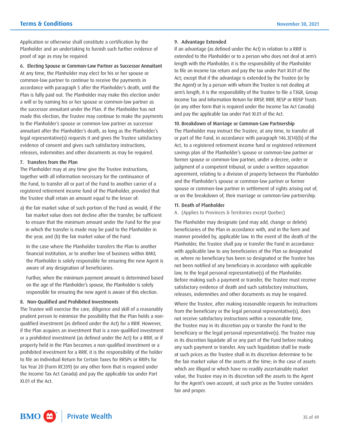Application or otherwise shall constitute a certification by the Planholder and an undertaking to furnish such further evidence of proof of age as may be required.

6. Electing Spouse or Common-Law Partner as Successor Annuitant

At any time, the Planholder may elect for his or her spouse or common-law partner to continue to receive the payments in accordance with paragraph 5 after the Planholder's death, until the Plan is fully paid out. The Planholder may make this election under a will or by naming his or her spouse or common-law partner as the successor annuitant under the Plan. If the Planholder has not made this election, the Trustee may continue to make the payments to the Planholder's spouse or common-law partner as successor annuitant after the Planholder's death, as long as the Planholder's legal representative(s) requests it and gives the Trustee satisfactory evidence of consent and gives such satisfactory instructions, releases, indemnities and other documents as may be required.

## 7. Transfers from the Plan

The Planholder may at any time give the Trustee instructions, together with all information necessary for the continuance of the Fund, to transfer all or part of the Fund to another carrier of a registered retirement income fund of the Planholder, provided that the Trustee shall retain an amount equal to the lesser of:

a) the fair market value of such portion of the Fund as would, if the fair market value does not decline after the transfer, be sufficient to ensure that the minimum amount under the Fund for the year in which the transfer is made may be paid to the Planholder in the year, and (b) the fair market value of the Fund.

In the case where the Planholder transfers the Plan to another financial institution, or to another line of business within BMO, the Planholder is solely responsible for ensuring the new Agent is aware of any designation of beneficiaries.

Further, when the minimum payment amount is determined based on the age of the Planholder's spouse, the Planholder is solely responsible for ensuring the new agent is aware of this election.

# 8. Non-Qualified and Prohibited Investments

The Trustee will exercise the care, diligence and skill of a reasonably prudent person to minimize the possibility that the Plan holds a nonqualified investment (as defined under the Act) for a RRIF. However, if the Plan acquires an investment that is a non-qualified investment or a prohibited investment (as defined under the Act) for a RRIF, or if property held in the Plan becomes a non-qualified investment or a prohibited investment for a RRIF, it is the responsibility of the holder to file an Individual Return for Certain Taxes for RRSPs or RRIFs for Tax Year 20 (Form RC339) (or any other form that is required under the Income Tax Act Canada) and pay the applicable tax under Part XI.01 of the Act.

#### 9. Advantage Extended

If an advantage (as defined under the Act) in relation to a RRIF is extended to the Planholder or to a person who does not deal at arm's length with the Planholder, it is the responsibility of the Planholder to file an income tax return and pay the tax under Part XI.01 of the Act; except that if the advantage is extended by the Trustee (or by the Agent) or by a person with whom the Trustee is not dealing at arm's length, it is the responsibility of the Trustee to file a T3GR, Group Income Tax and Information Return for RRSP, RRIF, RESP or RDSP Trusts (or any other form that is required under the Income Tax Act Canada) and pay the applicable tax under Part XI.01 of the Act.

## 10. Breakdown of Marriage or Common-Law Partnership

The Planholder may instruct the Trustee, at any time, to transfer all or part of the Fund, in accordance with paragraph 146.3(14)(b) of the Act, to a registered retirement income fund or registered retirement savings plan of the Planholder's spouse or common-law partner or former spouse or common-law partner, under a decree, order or judgment of a competent tribunal, or under a written separation agreement, relating to a division of property between the Planholder and the Planholder's spouse or common-law partner or former spouse or common-law partner in settlement of rights arising out of, or on the breakdown of, their marriage or common-law partnership.

# 11. Death of Planholder

#### A. (Applies to Provinces & Territories except Quebec)

The Planholder may designate (and may add, change or delete) beneficiaries of the Plan in accordance with, and in the form and manner provided by, applicable law. In the event of the death of the Planholder, the Trustee shall pay or transfer the Fund in accordance with applicable law to any beneficiaries of the Plan so designated or, where no beneficiary has been so designated or the Trustee has not been notified of any beneficiary in accordance with applicable law, to the legal personal representative(s) of the Planholder. Before making such a payment or transfer, the Trustee must receive satisfactory evidence of death and such satisfactory instructions, releases, indemnities and other documents as may be required.

Where the Trustee, after making reasonable requests for instructions from the beneficiary or the legal personal representative(s), does not receive satisfactory instructions within a reasonable time, the Trustee may in its discretion pay or transfer the Fund to the beneficiary or the legal personal representative(s). The Trustee may in its discretion liquidate all or any part of the Fund before making any such payment or transfer. Any such liquidation shall be made at such prices as the Trustee shall in its discretion determine to be the fair market value of the assets at the time; in the case of assets which are illiquid or which have no readily ascertainable market value, the Trustee may in its discretion sell the assets to the Agent for the Agent's own account, at such price as the Trustee considers fair and proper.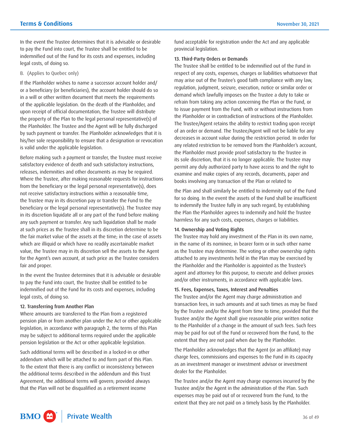In the event the Trustee determines that it is advisable or desirable to pay the Fund into court, the Trustee shall be entitled to be indemnified out of the Fund for its costs and expenses, including legal costs, of doing so.

# B. (Applies to Quebec only)

If the Planholder wishes to name a successor account holder and/ or a beneficiary (or beneficiaries), the account holder should do so in a will or other written document that meets the requirements of the applicable legislation. On the death of the Planholder, and upon receipt of official documentation, the Trustee will distribute the property of the Plan to the legal personal representative(s) of the Planholder. The Trustee and the Agent will be fully discharged by such payment or transfer. The Planholder acknowledges that it is his/her sole responsibility to ensure that a designation or revocation is valid under the applicable legislation.

Before making such a payment or transfer, the Trustee must receive satisfactory evidence of death and such satisfactory instructions, releases, indemnities and other documents as may be required. Where the Trustee, after making reasonable requests for instructions from the beneficiary or the legal personal representative(s), does not receive satisfactory instructions within a reasonable time, the Trustee may in its discretion pay or transfer the Fund to the beneficiary or the legal personal representative(s). The Trustee may in its discretion liquidate all or any part of the Fund before making any such payment or transfer. Any such liquidation shall be made at such prices as the Trustee shall in its discretion determine to be the fair market value of the assets at the time; in the case of assets which are illiquid or which have no readily ascertainable market value, the Trustee may in its discretion sell the assets to the Agent for the Agent's own account, at such price as the Trustee considers fair and proper.

In the event the Trustee determines that it is advisable or desirable to pay the Fund into court, the Trustee shall be entitled to be indemnified out of the Fund for its costs and expenses, including legal costs, of doing so.

#### 12. Transferring from Another Plan

Where amounts are transferred to the Plan from a registered pension plan or from another plan under the Act or other applicable legislation, in accordance with paragraph 2, the terms of this Plan may be subject to additional terms required under the applicable pension legislation or the Act or other applicable legislation.

Such additional terms will be described in a locked-in or other addendum which will be attached to and form part of this Plan. To the extent that there is any conflict or inconsistency between the additional terms described in the addendum and this Trust Agreement, the additional terms will govern; provided always that the Plan will not be disqualified as a retirement income

fund acceptable for registration under the Act and any applicable provincial legislation.

# 13. Third-Party Orders or Demands

The Trustee shall be entitled to be indemnified out of the Fund in respect of any costs, expenses, charges or liabilities whatsoever that may arise out of the Trustee's good faith compliance with any law, regulation, judgment, seizure, execution, notice or similar order or demand which lawfully imposes on the Trustee a duty to take or refrain from taking any action concerning the Plan or the Fund, or to issue payment from the Fund, with or without instructions from the Planholder or in contradiction of instructions of the Planholder. The Trustee/Agent retains the ability to restrict trading upon receipt of an order or demand. The Trustee/Agent will not be liable for any decreases in account value during the restriction period. In order for any related restriction to be removed from the Planholder's account, the Planholder must provide proof satisfactory to the Trustee in its sole discretion, that it is no longer applicable. The Trustee may permit any duly authorized party to have access to and the right to examine and make copies of any records, documents, paper and books involving any transaction of the Plan or related to

the Plan and shall similarly be entitled to indemnity out of the Fund for so doing. In the event the assets of the Fund shall be insufficient to indemnify the Trustee fully in any such regard, by establishing the Plan the Planholder agrees to indemnify and hold the Trustee harmless for any such costs, expenses, charges or liabilities.

#### 14. Ownership and Voting Rights

The Trustee may hold any investment of the Plan in its own name, in the name of its nominee, in bearer form or in such other name as the Trustee may determine. The voting or other ownership rights attached to any investments held in the Plan may be exercised by the Planholder and the Planholder is appointed as the Trustee's agent and attorney for this purpose, to execute and deliver proxies and/or other instruments, in accordance with applicable laws.

#### 15. Fees, Expenses, Taxes, Interest and Penalties

The Trustee and/or the Agent may charge administration and transaction fees, in such amounts and at such times as may be fixed by the Trustee and/or the Agent from time to time, provided that the Trustee and/or the Agent shall give reasonable prior written notice to the Planholder of a change in the amount of such fees. Such fees may be paid for out of the Fund or recovered from the Fund, to the extent that they are not paid when due by the Planholder.

The Planholder acknowledges that the Agent (or an affiliate) may charge fees, commissions and expenses to the Fund in its capacity as an investment manager or investment advisor or investment dealer for the Planholder.

The Trustee and/or the Agent may charge expenses incurred by the Trustee and/or the Agent in the administration of the Plan. Such expenses may be paid out of or recovered from the Fund, to the extent that they are not paid on a timely basis by the Planholder.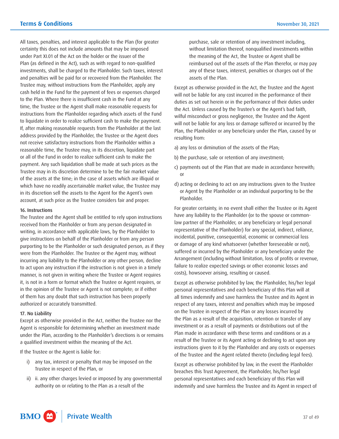All taxes, penalties, and interest applicable to the Plan (for greater certainty this does not include amounts that may be imposed under Part XI.01 of the Act on the holder or the issuer of the Plan (as defined in the Act), such as with regard to non-qualified investments, shall be charged to the Planholder. Such taxes, interest and penalties will be paid for or recovered from the Planholder. The Trustee may, without instructions from the Planholder, apply any cash held in the Fund for the payment of fees or expenses charged to the Plan. Where there is insufficient cash in the Fund at any time, the Trustee or the Agent shall make reasonable requests for instructions from the Planholder regarding which assets of the Fund to liquidate in order to realize sufficient cash to make the payment. If, after making reasonable requests from the Planholder at the last address provided by the Planholder, the Trustee or the Agent does not receive satisfactory instructions from the Planholder within a reasonable time, the Trustee may, in its discretion, liquidate part or all of the Fund in order to realize sufficient cash to make the payment. Any such liquidation shall be made at such prices as the Trustee may in its discretion determine to be the fair market value of the assets at the time; in the case of assets which are illiquid or which have no readily ascertainable market value, the Trustee may in its discretion sell the assets to the Agent for the Agent's own account, at such price as the Trustee considers fair and proper.

#### 16. Instructions

 it, is not in a form or format which the Trustee or Agent requires, or in the opinion of the Trustee or Agent is not complete; or if either The Trustee and the Agent shall be entitled to rely upon instructions received from the Planholder or from any person designated in writing, in accordance with applicable laws, by the Planholder to give instructions on behalf of the Planholder or from any person purporting to be the Planholder or such designated person, as if they were from the Planholder. The Trustee or the Agent may, without incurring any liability to the Planholder or any other person, decline to act upon any instruction if the instruction is not given in a timely manner, is not given in writing where the Trustee or Agent requires of them has any doubt that such instruction has been properly authorized or accurately transmitted.

#### 17. No Liability

Except as otherwise provided in the Act, neither the Trustee nor the Agent is responsible for determining whether an investment made under the Plan, according to the Planholder's directions is or remains a qualified investment within the meaning of the Act.

If the Trustee or the Agent is liable for:

- i) any tax, interest or penalty that may be imposed on the Trustee in respect of the Plan, or
- ii) ii. any other charges levied or imposed by any governmental authority on or relating to the Plan as a result of the

purchase, sale or retention of any investment including, without limitation thereof, nonqualified investments within the meaning of the Act, the Trustee or Agent shall be reimbursed out of the assets of the Plan therefor, or may pay any of these taxes, interest, penalties or charges out of the assets of the Plan.

Except as otherwise provided in the Act, the Trustee and the Agent will not be liable for any cost incurred in the performance of their duties as set out herein or in the performance of their duties under the Act. Unless caused by the Trustee's or the Agent's bad faith, wilful misconduct or gross negligence, the Trustee and the Agent will not be liable for any loss or damage suffered or incurred by the Plan, the Planholder or any beneficiary under the Plan, caused by or resulting from:

- a) any loss or diminution of the assets of the Plan;
- b) the purchase, sale or retention of any investment;
- c) payments out of the Plan that are made in accordance herewith; or
- d) acting or declining to act on any instructions given to the Trustee or Agent by the Planholder or an individual purporting to be the Planholder.

For greater certainty, in no event shall either the Trustee or its Agent have any liability to the Planholder (or to the spouse or commonlaw partner of the Planholder, or any beneficiary or legal personal representative of the Planholder) for any special, indirect, reliance, incidental, punitive, consequential, economic or commercial loss or damage of any kind whatsoever (whether foreseeable or not), suffered or incurred by the Planholder or any beneficiary under the Arrangement (including without limitation, loss of profits or revenue, failure to realize expected savings or other economic losses and costs), howsoever arising, resulting or caused.

Except as otherwise prohibited by law, the Planholder, his/her legal personal representatives and each beneficiary of this Plan will at all times indemnify and save harmless the Trustee and its Agent in respect of any taxes, interest and penalties which may be imposed on the Trustee in respect of the Plan or any losses incurred by the Plan as a result of the acquisition, retention or transfer of any investment or as a result of payments or distributions out of the Plan made in accordance with these terms and conditions or as a result of the Trustee or its Agent acting or declining to act upon any instructions given to it by the Planholder and any costs or expenses of the Trustee and the Agent related thereto (including legal fees).

Except as otherwise prohibited by law, in the event the Planholder breaches this Trust Agreement, the Planholder, his/her legal personal representatives and each beneficiary of this Plan will indemnify and save harmless the Trustee and its Agent in respect of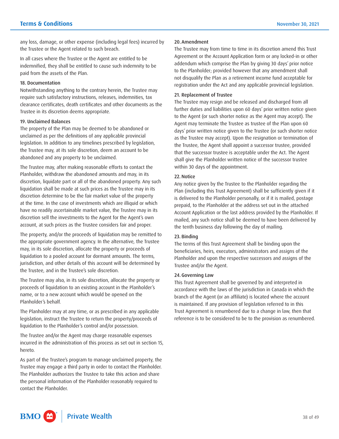any loss, damage, or other expense (including legal fees) incurred by the Trustee or the Agent related to such breach.

In all cases where the Trustee or the Agent are entitled to be indemnified, they shall be entitled to cause such indemnity to be paid from the assets of the Plan.

#### 18. Documentation

Notwithstanding anything to the contrary herein, the Trustee may require such satisfactory instructions, releases, indemnities, tax clearance certificates, death certificates and other documents as the Trustee in its discretion deems appropriate.

#### 19. Unclaimed Balances

The property of the Plan may be deemed to be abandoned or unclaimed as per the definitions of any applicable provincial legislation. In addition to any timelines prescribed by legislation, the Trustee may, at its sole discretion, deem an account to be abandoned and any property to be unclaimed.

The Trustee may, after making reasonable efforts to contact the Planholder, withdraw the abandoned amounts and may, in its discretion, liquidate part or all of the abandoned property. Any such liquidation shall be made at such prices as the Trustee may in its discretion determine to be the fair market value of the property at the time. In the case of investments which are illiquid or which have no readily ascertainable market value, the Trustee may in its discretion sell the investments to the Agent for the Agent's own account, at such prices as the Trustee considers fair and proper.

The property, and/or the proceeds of liquidation may be remitted to the appropriate government agency. In the alternative, the Trustee may, in its sole discretion, allocate the property or proceeds of liquidation to a pooled account for dormant amounts. The terms, jurisdiction, and other details of this account will be determined by the Trustee, and in the Trustee's sole discretion.

The Trustee may also, in its sole discretion, allocate the property or proceeds of liquidation to an existing account in the Planholder's name, or to a new account which would be opened on the Planholder's behalf.

The Planholder may at any time, or as prescribed in any applicable legislation, instruct the Trustee to return the property/proceeds of liquidation to the Planholder's control and/or possession.

The Trustee and/or the Agent may charge reasonable expenses incurred in the administration of this process as set out in section 15, hereto.

As part of the Trustee's program to manage unclaimed property, the Trustee may engage a third party in order to contact the Planholder. The Planholder authorizes the Trustee to take this action and share the personal information of the Planholder reasonably required to contact the Planholder.

# 20.Amendment

The Trustee may from time to time in its discretion amend this Trust Agreement or the Account Application form or any locked-in or other addendum which comprise the Plan by giving 30 days' prior notice to the Planholder; provided however that any amendment shall not disqualify the Plan as a retirement income fund acceptable for registration under the Act and any applicable provincial legislation.

# 21. Replacement of Trustee

The Trustee may resign and be released and discharged from all further duties and liabilities upon 60 days' prior written notice given to the Agent (or such shorter notice as the Agent may accept). The Agent may terminate the Trustee as trustee of the Plan upon 60 days' prior written notice given to the Trustee (or such shorter notice as the Trustee may accept). Upon the resignation or termination of the Trustee, the Agent shall appoint a successor trustee, provided that the successor trustee is acceptable under the Act. The Agent shall give the Planholder written notice of the successor trustee within 30 days of the appointment.

# 22. Notice

Any notice given by the Trustee to the Planholder regarding the Plan (including this Trust Agreement) shall be sufficiently given if it is delivered to the Planholder personally, or if it is mailed, postage prepaid, to the Planholder at the address set out in the attached Account Application or the last address provided by the Planholder. If mailed, any such notice shall be deemed to have been delivered by the tenth business day following the day of mailing.

# 23. Binding

The terms of this Trust Agreement shall be binding upon the beneficiaries, heirs, executors, administrators and assigns of the Planholder and upon the respective successors and assigns of the Trustee and/or the Agent.

#### 24. Governing Law

This Trust Agreement shall be governed by and interpreted in accordance with the laws of the jurisdiction in Canada in which the branch of the Agent (or an affiliate) is located where the account is maintained. If any provision of legislation referred to in this Trust Agreement is renumbered due to a change in law, then that reference is to be considered to be to the provision as renumbered.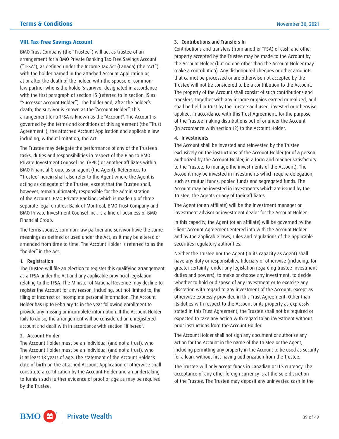#### <span id="page-38-0"></span>**VIII. Tax-Free Savings Account**

BMO Trust Company (the "Trustee") will act as trustee of an arrangement for a BMO Private Banking Tax-Free Savings Account ("TFSA"), as defined under the Income Tax Act (Canada) (the "Act"), with the holder named in the attached Account Application or, at or after the death of the holder, with the spouse or commonlaw partner who is the holder's survivor designated in accordance with the first paragraph of section 15 (referred to in section 15 as "Successor Account Holder"). The holder and, after the holder's death, the survivor is known as the "Account Holder". This arrangement for a TFSA is known as the "Account". The Account is governed by the terms and conditions of this agreement (the "Trust Agreement"), the attached Account Application and applicable law including, without limitation, the Act.

The Trustee may delegate the performance of any of the Trustee's tasks, duties and responsibilities in respect of the Plan to BMO Private Investment Counsel Inc. (BPIC) or another affiliates within BMO Financial Group, as an agent (the Agent). References to "Trustee" herein shall also refer to the Agent where the Agent is acting as delegate of the Trustee, except that the Trustee shall, however, remain ultimately responsible for the administration of the Account. BMO Private Banking, which is made up of three separate legal entities: Bank of Montreal, BMO Trust Company and BMO Private Investment Counsel Inc., is a line of business of BMO Financial Group.

The terms spouse, common-law partner and survivor have the same meanings as defined or used under the Act, as it may be altered or amended from time to time. The Account Holder is referred to as the "holder" in the Act.

#### 1. Registration

The Trustee will file an election to register this qualifying arrangement as a TFSA under the Act and any applicable provincial legislation relating to the TFSA. The Minister of National Revenue may decline to register the Account for any reason, including, but not limited to, the filing of incorrect or incomplete personal information. The Account Holder has up to February 14 in the year following enrollment to provide any missing or incomplete information. If the Account Holder fails to do so, the arrangement will be considered an unregistered account and dealt with in accordance with section 18 hereof.

# 2. Account Holder

The Account Holder must be an individual (and not a trust), who The Account Holder must be an individual (and not a trust), who is at least 18 years of age. The statement of the Account Holder's date of birth on the attached Account Application or otherwise shall constitute a certification by the Account Holder and an undertaking to furnish such further evidence of proof of age as may be required by the Trustee.

#### 3. Contributions and Transfers In

 Contributions and transfers (from another TFSA) of cash and other property accepted by the Trustee may be made to the Account by the Account Holder (but no one other than the Account Holder may make a contribution). Any dishonoured cheques or other amounts that cannot be processed or are otherwise not accepted by the Trustee will not be considered to be a contribution to the Account. The property of the Account shall consist of such contributions and transfers, together with any income or gains earned or realized, and shall be held in trust by the Trustee and used, invested or otherwise applied, in accordance with this Trust Agreement, for the purpose of the Trustee making distributions out of or under the Account (in accordance with section 12) to the Account Holder.

#### 4. Investments

The Account shall be invested and reinvested by the Trustee exclusively on the instructions of the Account Holder (or of a person authorized by the Account Holder, in a form and manner satisfactory to the Trustee, to manage the investments of the Account). The Account may be invested in investments which require delegation, such as mutual funds, pooled funds and segregated funds. The Account may be invested in investments which are issued by the Trustee, the Agents or any of their affiliates.

The Agent (or an affiliate) will be the investment manager or investment advisor or investment dealer for the Account Holder.

In this capacity, the Agent (or an affiliate) will be governed by the Client Account Agreement entered into with the Account Holder and by the applicable laws, rules and regulations of the applicable securities regulatory authorities.

Neither the Trustee nor the Agent (in its capacity as Agent) shall have any duty or responsibility, fiduciary or otherwise (including, for greater certainty, under any legislation regarding trustee investment duties and powers), to make or choose any investment, to decide whether to hold or dispose of any investment or to exercise any discretion with regard to any investment of the Account, except as otherwise expressly provided in this Trust Agreement. Other than its duties with respect to the Account or its property as expressly stated in this Trust Agreement, the Trustee shall not be required or expected to take any action with regard to an investment without prior instructions from the Account Holder.

The Account Holder shall not sign any document or authorize any action for the Account in the name of the Trustee or the Agent, including permitting any property in the Account to be used as security for a loan, without first having authorization from the Trustee.

The Trustee will only accept funds in Canadian or U.S currency. The acceptance of any other foreign currency is at the sole discretion of the Trustee. The Trustee may deposit any uninvested cash in the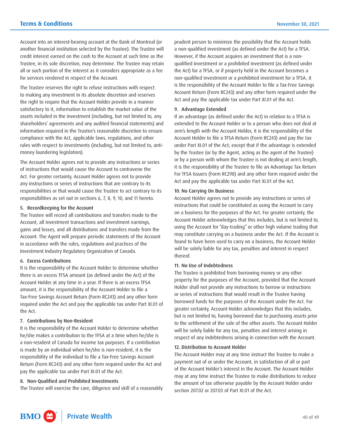Account into an interest-bearing account at the Bank of Montreal (or another financial institution selected by the Trustee). The Trustee will credit interest earned on the cash to the Account at such time as the Trustee, in its sole discretion, may determine. The Trustee may retain all or such portion of the interest as it considers appropriate as a fee for services rendered in respect of the Account.

The Trustee reserves the right to refuse instructions with respect to making any investment in its absolute discretion and reserves the right to require that the Account Holder provide in a manner satisfactory to it, information to establish the market value of the assets included in the investment (including, but not limited to, any shareholders' agreements and any audited financial statements) and information required in the Trustee's reasonable discretion to ensure compliance with the Act, applicable laws, regulations, and other rules with respect to investments (including, but not limited to, antimoney laundering legislation).

The Account Holder agrees not to provide any instructions or series of instructions that would cause the Account to contravene the Act. For greater certainty, Account Holder agrees not to provide any instructions or series of instructions that are contrary to its responsibilities or that would cause the Trustee to act contrary to its responsibilities as set out in sections 6, 7, 8, 9, 10, and 11 hereto.

#### 5. Recordkeeping for the Account

The Trustee will record all contributions and transfers made to the Account, all investment transactions and investment earnings, gains and losses, and all distributions and transfers made from the Account. The Agent will prepare periodic statements of the Account in accordance with the rules, regulations and practices of the Investment Industry Regulatory Organization of Canada.

# 6. Excess Contributions

It is the responsibility of the Account Holder to determine whether there is an excess TFSA amount (as defined under the Act) of the Account Holder at any time in a year. If there is an excess TFSA amount, it is the responsibility of the Account Holder to file a Tax-Free Savings Account Return (Form RC243) and any other form required under the Act and pay the applicable tax under Part XI.01 of the Act.

#### 7. Contributions by Non-Resident

It is the responsibility of the Account Holder to determine whether he/she makes a contribution to the TFSA at a time when he/she is a non-resident of Canada for income tax purposes. If a contribution is made by an individual when he/she is non-resident, it is the responsibility of the individual to file a Tax-Free Savings Account Return (Form RC243) and any other form required under the Act and pay the applicable tax under Part XI.01 of the Act.

#### 8. Non-Qualified and Prohibited Investments

The Trustee will exercise the care, diligence and skill of a reasonably

prudent person to minimize the possibility that the Account holds a non-qualified investment (as defined under the Act) for a TFSA. However, if the Account acquires an investment that is a nonqualified investment or a prohibited investment (as defined under the Act) for a TFSA, or if property held in the Account becomes a non-qualified investment or a prohibited investment for a TFSA, it is the responsibility of the Account Holder to file a Tax-Free Savings Account Return (Form RC243) and any other form required under the Act and pay the applicable tax under Part XI.01 of the Act.

#### 9. Advantage Extended

If an advantage (as defined under the Act) in relation to a TFSA is extended to the Account Holder or to a person who does not deal at arm's length with the Account Holder, it is the responsibility of the Account Holder to file a TFSA Return (Form RC243) and pay the tax under Part XI.01 of the Act; except that if the advantage is extended by the Trustee (or by the Agent, acting as the agent of the Trustee) or by a person with whom the Trustee is not dealing at arm's length, it is the responsibility of the Trustee to file an Advantage Tax Return For TFSA Issuers (Form RC298) and any other form required under the Act and pay the applicable tax under Part XI.01 of the Act.

#### 10. No Carrying On Business

Account Holder agrees not to provide any instructions or series of instructions that could be constituted as using the Account to carry on a business for the purposes of the Act. For greater certainty, the Account Holder acknowledges that this includes, but is not limited to, using the Account for "day-trading" or other high volume trading that may constitute carrying on a business under the Act. If the Account is found to have been used to carry on a business, the Account Holder will be solely liable for any tax, penalties and interest in respect thereof.

## 11. No Use of Indebtedness

The Trustee is prohibited from borrowing money or any other property for the purposes of the Account, provided that the Account Holder shall not provide any instructions to borrow or instructions or series of instructions that would result in the Trustee having borrowed funds for the purposes of the Account under the Act. For greater certainty, Account Holder acknowledges that this includes, but is not limited to, having borrowed due to purchasing assets prior to the settlement of the sale of the other assets. The Account Holder will be solely liable for any tax, penalties and interest arising in respect of any indebtedness arising in connection with the Account.

## 12. Distribution to Account Holder

The Account Holder may at any time instruct the Trustee to make a payment out of or under the Account, in satisfaction of all or part of the Account Holder's interest in the Account. The Account Holder may at any time instruct the Trustee to make distributions to reduce the amount of tax otherwise payable by the Account Holder under section 207.02 or 207.03 of Part XI.01 of the Act.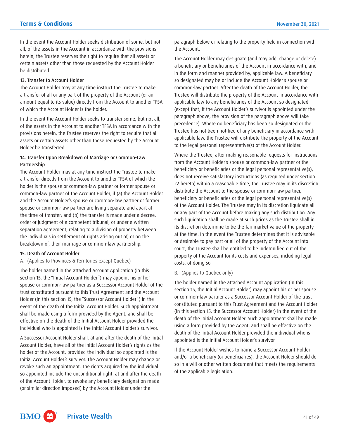In the event the Account Holder seeks distribution of some, but not all, of the assets in the Account in accordance with the provisions herein, the Trustee reserves the right to require that all assets or certain assets other than those requested by the Account Holder be distributed.

#### 13. Transfer to Account Holder

 amount equal to its value) directly from the Account to another TFSA The Account Holder may at any time instruct the Trustee to make a transfer of all or any part of the property of the Account (or an of which the Account Holder is the holder.

In the event the Account Holder seeks to transfer some, but not all, of the assets in the Account to another TFSA in accordance with the provisions herein, the Trustee reserves the right to require that all assets or certain assets other than those requested by the Account Holder be transferred.

#### 14. Transfer Upon Breakdown of Marriage or Common-Law Partnership

The Account Holder may at any time instruct the Trustee to make a transfer directly from the Account to another TFSA of which the holder is the spouse or common-law partner or former spouse or common-law partner of the Account Holder, if (a) the Account Holder and the Account Holder's spouse or common-law partner or former spouse or common-law partner are living separate and apart at the time of transfer; and (b) the transfer is made under a decree, order or judgment of a competent tribunal, or under a written separation agreement, relating to a division of property between the individuals in settlement of rights arising out of, or on the breakdown of, their marriage or common-law partnership.

#### 15. Death of Account Holder

A. (Applies to Provinces & Territories except Quebec)

The holder named in the attached Account Application (in this section 15, the "Initial Account Holder") may appoint his or her spouse or common-law partner as a Successor Account Holder of the trust constituted pursuant to this Trust Agreement and the Account Holder (in this section 15, the "Successor Account Holder") in the event of the death of the Initial Account Holder. Such appointment shall be made using a form provided by the Agent, and shall be effective on the death of the Initial Account Holder provided the individual who is appointed is the Initial Account Holder's survivor.

A Successor Account Holder shall, at and after the death of the Initial Account Holder, have all of the Initial Account Holder's rights as the holder of the Account, provided the individual so appointed is the Initial Account Holder's survivor. The Account Holder may change or revoke such an appointment. The rights acquired by the individual so appointed include the unconditional right, at and after the death of the Account Holder, to revoke any beneficiary designation made (or similar direction imposed) by the Account Holder under the

paragraph below or relating to the property held in connection with the Account.

The Account Holder may designate (and may add, change or delete) a beneficiary or beneficiaries of the Account in accordance with, and in the form and manner provided by, applicable law. A beneficiary so designated may be or include the Account Holder's spouse or common-law partner. After the death of the Account Holder, the Trustee will distribute the property of the Account in accordance with applicable law to any beneficiaries of the Account so designated (except that, if the Account Holder's survivor is appointed under the paragraph above, the provision of the paragraph above will take precedence). Where no beneficiary has been so designated or the Trustee has not been notified of any beneficiary in accordance with applicable law, the Trustee will distribute the property of the Account to the legal personal representative(s) of the Account Holder.

Where the Trustee, after making reasonable requests for instructions from the Account Holder's spouse or common-law partner or the beneficiary or beneficiaries or the legal personal representative(s), does not receive satisfactory instructions (as required under section 22 hereto) within a reasonable time, the Trustee may in its discretion distribute the Account to the spouse or common-law partner, beneficiary or beneficiaries or the legal personal representative(s) of the Account Holder. The Trustee may in its discretion liquidate all or any part of the Account before making any such distribution. Any such liquidation shall be made at such prices as the Trustee shall in its discretion determine to be the fair market value of the property at the time. In the event the Trustee determines that it is advisable or desirable to pay part or all of the property of the Account into court, the Trustee shall be entitled to be indemnified out of the property of the Account for its costs and expenses, including legal costs, of doing so.

B. (Applies to Quebec only)

The holder named in the attached Account Application (in this section 15, the Initial Account Holder) may appoint his or her spouse or common-law partner as a Successor Account Holder of the trust constituted pursuant to this Trust Agreement and the Account Holder (in this section 15, the Successor Account Holder) in the event of the death of the Initial Account Holder. Such appointment shall be made using a form provided by the Agent, and shall be effective on the death of the Initial Account Holder provided the individual who is appointed is the Initial Account Holder's survivor.

 If the Account Holder wishes to name a Successor Account Holder and/or a beneficiary (or beneficiaries), the Account Holder should do so in a will or other written document that meets the requirements of the applicable legislation.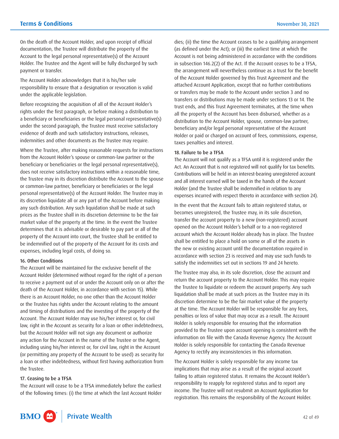On the death of the Account Holder, and upon receipt of official documentation, the Trustee will distribute the property of the Account to the legal personal representative(s) of the Account Holder. The Trustee and the Agent will be fully discharged by such payment or transfer.

The Account Holder acknowledges that it is his/her sole responsibility to ensure that a designation or revocation is valid under the applicable legislation.

Before recognizing the acquisition of all of the Account Holder's rights under the first paragraph, or before making a distribution to a beneficiary or beneficiaries or the legal personal representative(s) under the second paragraph, the Trustee must receive satisfactory evidence of death and such satisfactory instructions, releases, indemnities and other documents as the Trustee may require.

Where the Trustee, after making reasonable requests for instructions from the Account Holder's spouse or common-law partner or the beneficiary or beneficiaries or the legal personal representative(s), does not receive satisfactory instructions within a reasonable time, the Trustee may in its discretion distribute the Account to the spouse or common-law partner, beneficiary or beneficiaries or the legal personal representative(s) of the Account Holder. The Trustee may in its discretion liquidate all or any part of the Account before making any such distribution. Any such liquidation shall be made at such prices as the Trustee shall in its discretion determine to be the fair market value of the property at the time. In the event the Trustee determines that it is advisable or desirable to pay part or all of the property of the Account into court, the Trustee shall be entitled to be indemnified out of the property of the Account for its costs and expenses, including legal costs, of doing so.

#### 16. Other Conditions

The Account will be maintained for the exclusive benefit of the Account Holder (determined without regard for the right of a person to receive a payment out of or under the Account only on or after the death of the Account Holder, in accordance with section 15). While there is an Account Holder, no one other than the Account Holder or the Trustee has rights under the Account relating to the amount and timing of distributions and the investing of the property of the Account. The Account Holder may use his/her interest or, for civil law, right in the Account as security for a loan or other indebtedness, but the Account Holder will not sign any document or authorize any action for the Account in the name of the Trustee or the Agent, including using his/her interest or, for civil law, right in the Account (or permitting any property of the Account to be used) as security for a loan or other indebtedness, without first having authorization from the Trustee.

#### 17. Ceasing to be a TFSA

The Account will cease to be a TFSA immediately before the earliest of the following times: (i) the time at which the last Account Holder dies; (ii) the time the Account ceases to be a qualifying arrangement (as defined under the Act); or (iii) the earliest time at which the Account is not being administered in accordance with the conditions in subsection 146.2(2) of the Act. If the Account ceases to be a TFSA, the arrangement will nevertheless continue as a trust for the benefit of the Account Holder governed by this Trust Agreement and the attached Account Application, except that no further contributions or transfers may be made to the Account under section 3 and no transfers or distributions may be made under sections 13 or 14. The trust ends, and this Trust Agreement terminates, at the time when all the property of the Account has been disbursed, whether as a distribution to the Account Holder, spouse, common-law partner, beneficiary and/or legal personal representative of the Account Holder or paid or charged on account of fees, commissions, expense, taxes penalties and interest.

#### 18. Failure to be a TFSA

The Account will not qualify as a TFSA until it is registered under the Act. An Account that is not registered will not qualify for tax benefits. Contributions will be held in an interest-bearing unregistered account and all interest earned will be taxed in the hands of the Account Holder (and the Trustee shall be indemnified in relation to any expenses incurred with respect thereto in accordance with section 24).

In the event that the Account fails to attain registered status, or becomes unregistered, the Trustee may, in its sole discretion, transfer the account property to a new (non-registered) account opened on the Account Holder's behalf or to a non-registered account which the Account Holder already has in place. The Trustee shall be entitled to place a hold on some or all of the assets in the new or existing account until the documentation required in accordance with section 23 is received and may use such funds to satisfy the indemnities set out in sections 19 and 24 hereto.

The Trustee may also, in its sole discretion, close the account and return the account property to the Account Holder. This may require the Trustee to liquidate or redeem the account property. Any such liquidation shall be made at such prices as the Trustee may in its discretion determine to be the fair market value of the property at the time. The Account Holder will be responsible for any fees, penalties or loss of value that may occur as a result. The Account Holder is solely responsible for ensuring that the information provided to the Trustee upon account opening is consistent with the information on file with the Canada Revenue Agency. The Account Holder is solely responsible for contacting the Canada Revenue Agency to rectify any inconsistencies in this information.

The Account Holder is solely responsible for any income tax implications that may arise as a result of the original account failing to attain registered status. It remains the Account Holder's responsibility to reapply for registered status and to report any income. The Trustee will not resubmit an Account Application for registration. This remains the responsibility of the Account Holder.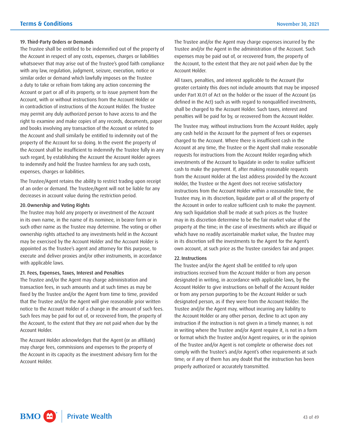#### 19. Third-Party Orders or Demands

 Account, with or without instructions from the Account Holder or The Trustee shall be entitled to be indemnified out of the property of the Account in respect of any costs, expenses, charges or liabilities whatsoever that may arise out of the Trustee's good faith compliance with any law, regulation, judgment, seizure, execution, notice or similar order or demand which lawfully imposes on the Trustee a duty to take or refrain from taking any action concerning the Account or part or all of its property, or to issue payment from the in contradiction of instructions of the Account Holder. The Trustee may permit any duly authorized person to have access to and the right to examine and make copies of any records, documents, paper and books involving any transaction of the Account or related to the Account and shall similarly be entitled to indemnity out of the property of the Account for so doing. In the event the property of the Account shall be insufficient to indemnify the Trustee fully in any such regard, by establishing the Account the Account Holder agrees to indemnify and hold the Trustee harmless for any such costs, expenses, charges or liabilities.

The Trustee/Agent retains the ability to restrict trading upon receipt of an order or demand. The Trustee/Agent will not be liable for any decreases in account value during the restriction period.

# 20.Ownership and Voting Rights

The Trustee may hold any property or investment of the Account in its own name, in the name of its nominee, in bearer form or in such other name as the Trustee may determine. The voting or other ownership rights attached to any investments held in the Account may be exercised by the Account Holder and the Account Holder is appointed as the Trustee's agent and attorney for this purpose, to execute and deliver proxies and/or other instruments, in accordance with applicable laws.

#### 21. Fees, Expenses, Taxes, Interest and Penalties

The Trustee and/or the Agent may charge administration and transaction fees, in such amounts and at such times as may be fixed by the Trustee and/or the Agent from time to time, provided that the Trustee and/or the Agent will give reasonable prior written notice to the Account Holder of a change in the amount of such fees. Such fees may be paid for out of, or recovered from, the property of the Account, to the extent that they are not paid when due by the Account Holder.

The Account Holder acknowledges that the Agent (or an affiliate) may charge fees, commissions and expenses to the property of the Account in its capacity as the investment advisory firm for the Account Holder.

The Trustee and/or the Agent may charge expenses incurred by the Trustee and/or the Agent in the administration of the Account. Such expenses may be paid out of, or recovered from, the property of the Account, to the extent that they are not paid when due by the Account Holder.

All taxes, penalties, and interest applicable to the Account (for greater certainty this does not include amounts that may be imposed under Part XI.01 of Act on the holder or the issuer of the Account (as defined in the Act) such as with regard to nonqualified investments, shall be charged to the Account Holder. Such taxes, interest and penalties will be paid for by, or recovered from the Account Holder.

The Trustee may, without instructions from the Account Holder, apply any cash held in the Account for the payment of fees or expenses charged to the Account. Where there is insufficient cash in the Account at any time, the Trustee or the Agent shall make reasonable requests for instructions from the Account Holder regarding which investments of the Account to liquidate in order to realize sufficient cash to make the payment. If, after making reasonable requests from the Account Holder at the last address provided by the Account Holder, the Trustee or the Agent does not receive satisfactory instructions from the Account Holder within a reasonable time, the Trustee may, in its discretion, liquidate part or all of the property of the Account in order to realize sufficient cash to make the payment. Any such liquidation shall be made at such prices as the Trustee may in its discretion determine to be the fair market value of the property at the time; in the case of investments which are illiquid or which have no readily ascertainable market value, the Trustee may in its discretion sell the investments to the Agent for the Agent's own account, at such price as the Trustee considers fair and proper.

#### 22. Instructions

 comply with the Trustee's and/or Agent's other requirements at such The Trustee and/or the Agent shall be entitled to rely upon instructions received from the Account Holder or from any person designated in writing, in accordance with applicable laws, by the Account Holder to give instructions on behalf of the Account Holder or from any person purporting to be the Account Holder or such designated person, as if they were from the Account Holder. The Trustee and/or the Agent may, without incurring any liability to the Account Holder or any other person, decline to act upon any instruction if the instruction is not given in a timely manner, is not in writing where the Trustee and/or Agent require it, is not in a form or format which the Trustee and/or Agent requires, or in the opinion of the Trustee and/or Agent is not complete or otherwise does not time; or if any of them has any doubt that the instruction has been properly authorized or accurately transmitted.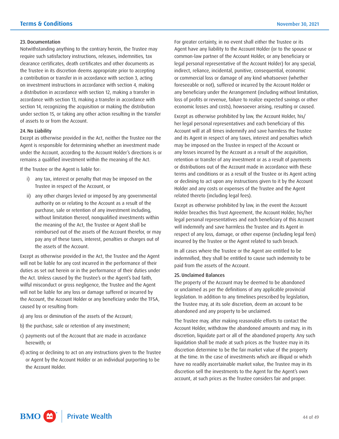#### 23. Documentation

Notwithstanding anything to the contrary herein, the Trustee may require such satisfactory instructions, releases, indemnities, tax clearance certificates, death certificates and other documents as the Trustee in its discretion deems appropriate prior to accepting a contribution or transfer in in accordance with section 3, acting on investment instructions in accordance with section 4, making a distribution in accordance with section 12, making a transfer in accordance with section 13, making a transfer in accordance with section 14, recognizing the acquisition or making the distribution under section 15, or taking any other action resulting in the transfer of assets to or from the Account.

#### 24. No Liability

Except as otherwise provided in the Act, neither the Trustee nor the Agent is responsible for determining whether an investment made under the Account, according to the Account Holder's directions is or remains a qualified investment within the meaning of the Act.

If the Trustee or the Agent is liable for:

- i) any tax, interest or penalty that may be imposed on the Trustee in respect of the Account, or
- ii) any other charges levied or imposed by any governmental authority on or relating to the Account as a result of the purchase, sale or retention of any investment including, without limitation thereof, nonqualified investments within the meaning of the Act, the Trustee or Agent shall be reimbursed out of the assets of the Account therefor, or may pay any of these taxes, interest, penalties or charges out of the assets of the Account.

Except as otherwise provided in the Act, the Trustee and the Agent will not be liable for any cost incurred in the performance of their duties as set out herein or in the performance of their duties under the Act. Unless caused by the Trustee's or the Agent's bad faith, wilful misconduct or gross negligence, the Trustee and the Agent will not be liable for any loss or damage suffered or incurred by the Account, the Account Holder or any beneficiary under the TFSA, caused by or resulting from:

- a) any loss or diminution of the assets of the Account;
- b) the purchase, sale or retention of any investment;
- c) payments out of the Account that are made in accordance herewith; or
- d) acting or declining to act on any instructions given to the Trustee or Agent by the Account Holder or an individual purporting to be the Account Holder.

For greater certainty, in no event shall either the Trustee or its Agent have any liability to the Account Holder (or to the spouse or common-law partner of the Account Holder, or any beneficiary or legal personal representative of the Account Holder) for any special, indirect, reliance, incidental, punitive, consequential, economic or commercial loss or damage of any kind whatsoever (whether foreseeable or not), suffered or incurred by the Account Holder or any beneficiary under the Arrangement (including without limitation, loss of profits or revenue, failure to realize expected savings or other economic losses and costs), howsoever arising, resulting or caused.

Except as otherwise prohibited by law, the Account Holder, his/ her legal personal representatives and each beneficiary of this Account will at all times indemnify and save harmless the Trustee and its Agent in respect of any taxes, interest and penalties which may be imposed on the Trustee in respect of the Account or any losses incurred by the Account as a result of the acquisition, retention or transfer of any investment or as a result of payments or distributions out of the Account made in accordance with these terms and conditions or as a result of the Trustee or its Agent acting or declining to act upon any instructions given to it by the Account Holder and any costs or expenses of the Trustee and the Agent related thereto (including legal fees).

Except as otherwise prohibited by law, in the event the Account Holder breaches this Trust Agreement, the Account Holder, his/her legal personal representatives and each beneficiary of this Account will indemnify and save harmless the Trustee and its Agent in respect of any loss, damage, or other expense (including legal fees) incurred by the Trustee or the Agent related to such breach.

In all cases where the Trustee or the Agent are entitled to be indemnified, they shall be entitled to cause such indemnity to be paid from the assets of the Account.

#### 25. Unclaimed Balances

The property of the Account may be deemed to be abandoned or unclaimed as per the definitions of any applicable provincial legislation. In addition to any timelines prescribed by legislation, the Trustee may, at its sole discretion, deem an account to be abandoned and any property to be unclaimed.

The Trustee may, after making reasonable efforts to contact the Account Holder, withdraw the abandoned amounts and may, in its discretion, liquidate part or all of the abandoned property. Any such liquidation shall be made at such prices as the Trustee may in its discretion determine to be the fair market value of the property at the time. In the case of investments which are illiquid or which have no readily ascertainable market value, the Trustee may in its discretion sell the investments to the Agent for the Agent's own account, at such prices as the Trustee considers fair and proper.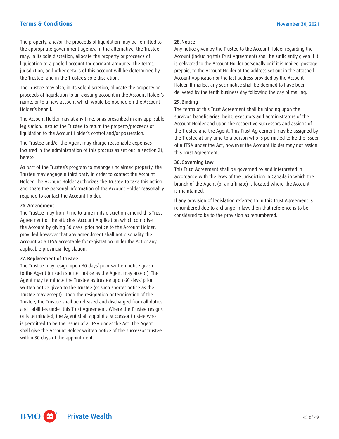The property, and/or the proceeds of liquidation may be remitted to the appropriate government agency. In the alternative, the Trustee may, in its sole discretion, allocate the property or proceeds of liquidation to a pooled account for dormant amounts. The terms, jurisdiction, and other details of this account will be determined by the Trustee, and in the Trustee's sole discretion.

The Trustee may also, in its sole discretion, allocate the property or proceeds of liquidation to an existing account in the Account Holder's name, or to a new account which would be opened on the Account Holder's behalf.

The Account Holder may at any time, or as prescribed in any applicable legislation, instruct the Trustee to return the property/proceeds of liquidation to the Account Holder's control and/or possession.

The Trustee and/or the Agent may charge reasonable expenses incurred in the administration of this process as set out in section 21, hereto.

As part of the Trustee's program to manage unclaimed property, the Trustee may engage a third party in order to contact the Account Holder. The Account Holder authorizes the Trustee to take this action and share the personal information of the Account Holder reasonably required to contact the Account Holder.

## 26.Amendment

The Trustee may from time to time in its discretion amend this Trust Agreement or the attached Account Application which comprise the Account by giving 30 days' prior notice to the Account Holder; provided however that any amendment shall not disqualify the Account as a TFSA acceptable for registration under the Act or any applicable provincial legislation.

#### 27. Replacement of Trustee

The Trustee may resign upon 60 days' prior written notice given to the Agent (or such shorter notice as the Agent may accept). The Agent may terminate the Trustee as trustee upon 60 days' prior written notice given to the Trustee (or such shorter notice as the Trustee may accept). Upon the resignation or termination of the Trustee, the Trustee shall be released and discharged from all duties and liabilities under this Trust Agreement. Where the Trustee resigns or is terminated, the Agent shall appoint a successor trustee who is permitted to be the issuer of a TFSA under the Act. The Agent shall give the Account Holder written notice of the successor trustee within 30 days of the appointment.

# 28.Notice

Any notice given by the Trustee to the Account Holder regarding the Account (including this Trust Agreement) shall be sufficiently given if it is delivered to the Account Holder personally or if it is mailed, postage prepaid, to the Account Holder at the address set out in the attached Account Application or the last address provided by the Account Holder. If mailed, any such notice shall be deemed to have been delivered by the tenth business day following the day of mailing.

#### 29.Binding

The terms of this Trust Agreement shall be binding upon the survivor, beneficiaries, heirs, executors and administrators of the Account Holder and upon the respective successors and assigns of the Trustee and the Agent. This Trust Agreement may be assigned by the Trustee at any time to a person who is permitted to be the issuer of a TFSA under the Act; however the Account Holder may not assign this Trust Agreement.

## 30.Governing Law

This Trust Agreement shall be governed by and interpreted in accordance with the laws of the jurisdiction in Canada in which the branch of the Agent (or an affiliate) is located where the Account is maintained.

If any provision of legislation referred to in this Trust Agreement is renumbered due to a change in law, then that reference is to be considered to be to the provision as renumbered.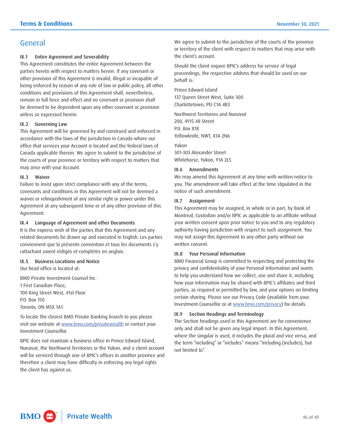# <span id="page-45-0"></span>General

# IX.1 Entire Agreement and Severability

This Agreement constitutes the entire Agreement between the parties hereto with respect to matters herein. If any covenant or other provision of this Agreement is invalid, illegal or incapable of being enforced by reason of any rule of law or public policy, all other conditions and provisions of this Agreement shall, nevertheless, remain in full force and effect and no covenant or provision shall be deemed to be dependent upon any other covenant or provision unless so expressed herein.

#### IX.2 Governing Law

This Agreement will be governed by and construed and enforced in accordance with the laws of the jurisdiction in Canada where our office that services your Account is located and the federal laws of Canada applicable therein. We agree to submit to the jurisdiction of the courts of your province or territory with respect to matters that may arise with your Account.

#### IX.3 Waiver

Failure to insist upon strict compliance with any of the terms, covenants and conditions in this Agreement will not be deemed a waiver or relinquishment of any similar right or power under this Agreement at any subsequent time or of any other provision of this Agreement.

# IX.4 Language of Agreement and other Documents

It is the express wish of the parties that this Agreement and any related documents be drawn up and executed in English. Les parties conviennent que la présente convention et tous les documents s'y rattachant soient rédigés et complétés en anglais.

#### IX.5 Business Locations and Notice

Our head office is located at:

BMO Private Investment Counsel Inc. 1 First Canadian Place, 100 King Street West, 41st Floor P.O. Box 150 Toronto, ON M5X 1A1

visit our website at <u><www.bmo.com/privatewealth></u> or contact your To locate the closest BMO Private Banking branch to you please Investment Counsellor.

BPIC does not maintain a business office in Prince Edward Island, Nunavut, the Northwest Territories or the Yukon, and a client account will be serviced through one of BPIC's offices in another province and therefore a client may have difficulty in enforcing any legal rights the client has against us.

We agree to submit to the jurisdiction of the courts of the province or territory of the client with respect to matters that may arise with the client's account.

Should the client require BPIC's address for service of legal proceedings, the respective address that should be used on our behalf is:

Prince Edward Island 137 Queen Street West, Suite 300 Charlottetown, PEI C1A 4B3

Northwest Territories and Nunavut 200, 4915 48 Street P.O. Box 818 Yellowknife, NWT, X1A 2N6

Yukon 301-303 Alexander Street Whitehorse, Yukon, Y1A 2L5

#### IX.6 Amendments

We may amend this Agreement at any time with written notice to you. The amendment will take effect at the time stipulated in the notice of such amendment.

# IX.7 Assignment

 may not assign this Agreement to any other party without our This Agreement may be assigned, in whole or in part, by Bank of Montreal, Custodian and/or BPIC as applicable to an affiliate without your written consent upon prior notice to you and to any regulatory authority having jurisdiction with respect to such assignment. You written consent.

#### IX.8 Your Personal Information

BMO Financial Group is committed to respecting and protecting the privacy and confidentiality of your Personal Information and wants to help you understand how we collect, use and share it, including how your information may be shared with BPIC's affiliates and third parties, as required or permitted by law, and your options on limiting certain sharing. Please see our Privacy Code (available from your Investment Counsellor or at [www.bmo.com/privacy\)](www.bmo.com/privacy) for details.

# IX.9 Section Headings and Terminology

The Section headings used in this Agreement are for convenience only and shall not be given any legal import. In this Agreement, where the singular is used, it includes the plural and vice versa, and the term "including" or "includes" means "including (includes), but not limited to".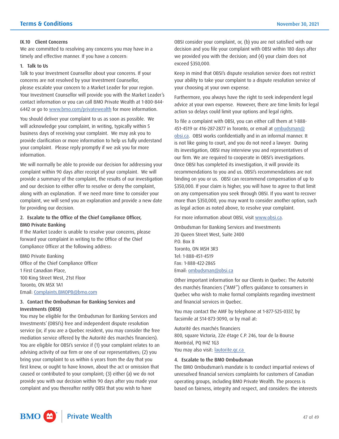#### IX.10 Client Concerns

We are committed to resolving any concerns you may have in a timely and effective manner. If you have a concern:

#### 1. Talk to Us

Talk to your Investment Counsellor about your concerns. If your concerns are not resolved by your Investment Counsellor, please escalate your concern to a Market Leader for your region. Your Investment Counsellor will provide you with the Market Leader's contact information or you can call BMO Private Wealth at 1-800-844- 6442 or go to <www.bmo.com/privatewealth> for more information.

You should deliver your complaint to us as soon as possible. We will acknowledge your complaint, in writing, typically within 5 business days of receiving your complaint. We may ask you to provide clarification or more information to help us fully understand your complaint. Please reply promptly if we ask you for more information.

 along with an explanation. If we need more time to consider your We will normally be able to provide our decision for addressing your complaint within 90 days after receipt of your complaint. We will provide a summary of the complaint, the results of our investigation and our decision to either offer to resolve or deny the complaint, complaint, we will send you an explanation and provide a new date for providing our decision.

# 2. Escalate to the Office of the Chief Compliance Officer, BMO Private Banking

If the Market Leader is unable to resolve your concerns, please forward your complaint in writing to the Office of the Chief Compliance Officer at the following address:

BMO Private Banking Office of the Chief Compliance Officer 1 First Canadian Place, 100 King Street West, 21st Floor Toronto, ON M5X 1A1 Email: [Complaints.BMOPB@bmo.com](mailto:Complaints.BMOPB@bmo.com)

# 3. Contact the Ombudsman for Banking Services and Investments (OBSI)

You may be eligible for the Ombudsman for Banking Services and Investments' (OBSI's) free and independent dispute resolution service (or, if you are a Quebec resident, you may consider the free mediation service offered by the Autorité des marchés financiers). You are eligible for OBSI's service if (1) your complaint relates to an advising activity of our firm or one of our representatives; (2) you bring your complaint to us within 6 years from the day that you first knew, or ought to have known, about the act or omission that caused or contributed to your complaint; (3) either (a) we do not provide you with our decision within 90 days after you made your complaint and you thereafter notify OBSI that you wish to have

OBSI consider your complaint, or, (b) you are not satisfied with our decision and you file your complaint with OBSI within 180 days after we provided you with the decision; and (4) your claim does not exceed \$350,000.

Keep in mind that OBSI's dispute resolution service does not restrict your ability to take your complaint to a dispute resolution service of your choosing at your own expense.

Furthermore, you always have the right to seek independent legal advice at your own expense. However, there are time limits for legal action so delays could limit your options and legal rights.

To file a complaint with OBSI, you can either call them at 1-888- 451-4519 or 416-287-2877 in Toronto, or email at **ombudsman@** [obsi.ca.](mailto:ombudsman@obsi.ca) OBSI works confidentially and in an informal manner. It is not like going to court, and you do not need a lawyer. During its investigation, OBSI may interview you and representatives of our firm. We are required to cooperate in OBSI's investigations. Once OBSI has completed its investigation, it will provide its recommendations to you and us. OBSI's recommendations are not binding on you or us. OBSI can recommend compensation of up to \$350,000. If your claim is higher, you will have to agree to that limit on any compensation you seek through OBSI. If you want to recover more than \$350,000, you may want to consider another option, such as legal action as noted above, to resolve your complaint.

For more information about OBSI, visit <www.obsi.ca>.

Ombudsman for Banking Services and Investments 20 Queen Street West, Suite 2400 P.O. Box 8 Toronto, ON M5H 3R3 Tel: 1-888-451-4519 Fax: 1-888-422-2865 Email: [ombudsman@obsi.ca](mailto:ombudsman@obsi.ca)

Other important information for our Clients in Quebec: The Autorité des marchés financiers ("AMF") offers guidance to consumers in Quebec who wish to make formal complaints regarding investment and financial services in Quebec.

You may contact the AMF by telephone at 1-877-525-0337, by facsimile at 514-873-3090, or by mail at:

Autorité des marchés financiers 800, square Victoria, 22e étage C.P. 246, tour de la Bourse Montréal, PQ H4Z 1G3 You may also visit: [lautorite.qc.ca](https://lautorite.qc.ca)

#### 4. Escalate to the BMO Ombudsman

The BMO Ombudsman's mandate is to conduct impartial reviews of unresolved financial services complaints for customers of Canadian operating groups, including BMO Private Wealth. The process is based on fairness, integrity and respect, and considers: the interests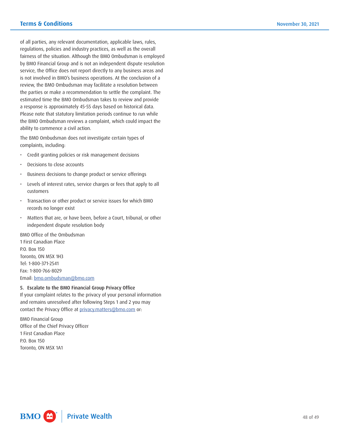of all parties, any relevant documentation, applicable laws, rules, regulations, policies and industry practices, as well as the overall fairness of the situation. Although the BMO Ombudsman is employed by BMO Financial Group and is not an independent dispute resolution service, the Office does not report directly to any business areas and is not involved in BMO's business operations. At the conclusion of a review, the BMO Ombudsman may facilitate a resolution between the parties or make a recommendation to settle the complaint. The estimated time the BMO Ombudsman takes to review and provide a response is approximately 45-55 days based on historical data. Please note that statutory limitation periods continue to run while the BMO Ombudsman reviews a complaint, which could impact the ability to commence a civil action.

The BMO Ombudsman does not investigate certain types of complaints, including:

- Credit granting policies or risk management decisions
- Decisions to close accounts
- Business decisions to change product or service offerings
- Levels of interest rates, service charges or fees that apply to all customers
- • Transaction or other product or service issues for which BMO records no longer exist
- Matters that are, or have been, before a Court, tribunal, or other independent dispute resolution body

BMO Office of the Ombudsman 1 First Canadian Place P.O. Box 150 Toronto, ON M5X 1H3 Tel: 1-800-371-2541 Fax: 1-800-766-8029 Email: [bmo.ombudsman@bmo.com](mailto:bmo.ombudsman@bmo.com) 

# 5. Escalate to the BMO Financial Group Privacy Office

If your complaint relates to the privacy of your personal information and remains unresolved after following Steps 1 and 2 you may contact the Privacy Office at [privacy.matters@bmo.com](mailto:privacy.matters@bmo.com) or:

BMO Financial Group Office of the Chief Privacy Officer 1 First Canadian Place P.O. Box 150 Toronto, ON M5X 1A1